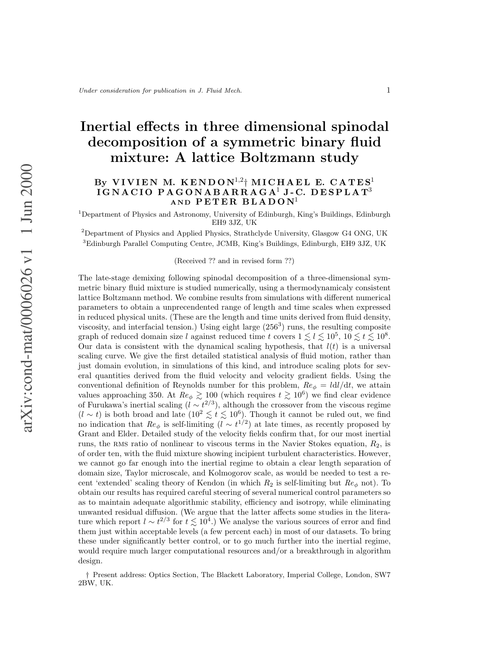# <span id="page-0-0"></span>Inertial effects in three dimensional spinodal decomposition of a symmetric binary fluid mixture: A lattice Boltzmann study

## By VIVIEN M. KENDON<sup>1,2</sup><sup>†</sup> MICHAEL E. CATES<sup>1</sup>  $IGNACIO$   $PAGONABARRAGA<sup>1</sup>$  J-C. DESPLAT<sup>3</sup> AND PETER BLADON<sup>1</sup>

<sup>1</sup>Department of Physics and Astronomy, University of Edinburgh, King's Buildings, Edinburgh EH9 3JZ, UK

<sup>2</sup>Department of Physics and Applied Physics, Strathclyde University, Glasgow G4 ONG, UK <sup>3</sup>Edinburgh Parallel Computing Centre, JCMB, King's Buildings, Edinburgh, EH9 3JZ, UK

(Received ?? and in revised form ??)

The late-stage demixing following spinodal decomposition of a three-dimensional symmetric binary fluid mixture is studied numerically, using a thermodynamicaly consistent lattice Boltzmann method. We combine results from simulations with different numerical parameters to obtain a unprecendented range of length and time scales when expressed in reduced physical units. (These are the length and time units derived from fluid density, viscosity, and interfacial tension.) Using eight large  $(256^3)$  runs, the resulting composite graph of reduced domain size l against reduced time t covers  $1 \lesssim l \lesssim 10^5$ ,  $10 \lesssim t \lesssim 10^8$ . Our data is consistent with the dynamical scaling hypothesis, that  $l(t)$  is a universal scaling curve. We give the first detailed statistical analysis of fluid motion, rather than just domain evolution, in simulations of this kind, and introduce scaling plots for several quantities derived from the fluid velocity and velocity gradient fields. Using the conventional definition of Reynolds number for this problem,  $Re_{\phi} = \frac{Id}{dt}$ , we attain values approaching 350. At  $Re_{\phi} \gtrsim 100$  (which requires  $t \gtrsim 10^6$ ) we find clear evidence of Furukawa's inertial scaling  $(l \sim t^{2/3})$ , although the crossover from the viscous regime  $(l \sim t)$  is both broad and late  $(10^2 \lesssim t \lesssim 10^6)$ . Though it cannot be ruled out, we find no indication that  $Re_{\phi}$  is self-limiting  $(l \sim t^{1/2})$  at late times, as recently proposed by Grant and Elder. Detailed study of the velocity fields confirm that, for our most inertial runs, the RMS ratio of nonlinear to viscous terms in the Navier Stokes equation,  $R_2$ , is of order ten, with the fluid mixture showing incipient turbulent characteristics. However, we cannot go far enough into the inertial regime to obtain a clear length separation of domain size, Taylor microscale, and Kolmogorov scale, as would be needed to test a recent 'extended' scaling theory of Kendon (in which  $R_2$  is self-limiting but  $Re_{\phi}$  not). To obtain our results has required careful steering of several numerical control parameters so as to maintain adequate algorithmic stability, efficiency and isotropy, while eliminating unwanted residual diffusion. (We argue that the latter affects some studies in the literature which report  $l \sim t^{2/3}$  for  $t \lesssim 10^4$ .) We analyse the various sources of error and find them just within acceptable levels (a few percent each) in most of our datasets. To bring these under significantly better control, or to go much further into the inertial regime, would require much larger computational resources and/or a breakthrough in algorithm design.

† Present address: Optics Section, The Blackett Laboratory, Imperial College, London, SW7 2BW, UK.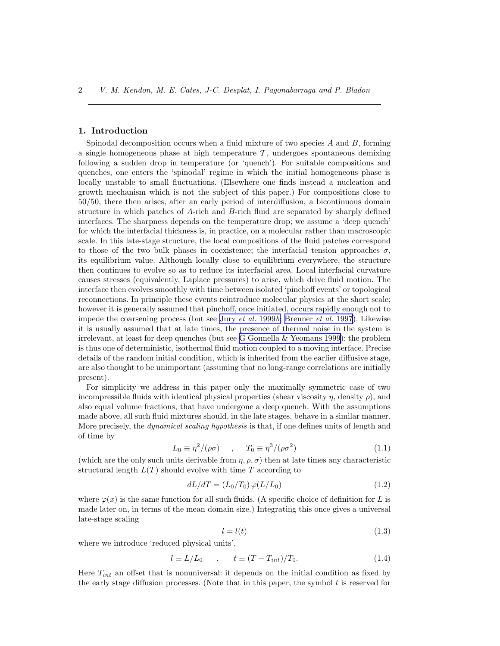## 1. Introduction

Spinodal decomposition occurs when a fluid mixture of two species  $A$  and  $B$ , forming a single homogeneous phase at high temperature  $\mathcal{T}$ , undergoes spontaneous demixing following a sudden drop in temperature (or 'quench'). For suitable compositions and quenches, one enters the 'spinodal' regime in which the initial homogeneous phase is locally unstable to small fluctuations. (Elsewhere one finds instead a nucleation and growth mechanism which is not the subject of this paper.) For compositions close to 50/50, there then arises, after an early period of interdiffusion, a bicontinuous domain structure in which patches of  $A$ -rich and  $B$ -rich fluid are separated by sharply defined interfaces. The sharpness depends on the temperature drop; we assume a 'deep quench' for which the interfacial thickness is, in practice, on a molecular rather than macroscopic scale. In this late-stage structure, the local compositions of the fluid patches correspond to those of the two bulk phases in coexistence; the interfacial tension approaches  $\sigma$ , its equilibrium value. Although locally close to equilibrium everywhere, the structure then continues to evolve so as to reduce its interfacial area. Local interfacial curvature causes stresses (equivalently, Laplace pressures) to arise, which drive fluid motion. The interface then evolves smoothly with time between isolated 'pinchoff events' or topological reconnections. In principle these events reintroduce molecular physics at the short scale; however it is generally assumed that pinchoff, once initiated, occurs rapidly enough not to impede the coarsening process (but see Jury  $et \, al.$  1999 $b$ ; [Brenner](#page-46-0)  $et \, al.$  1997). Likewise it is usually assumed that at late times, the presence of thermal noise in the system is irrelevant, at least for deep quenches (but see [G Gonnella & Yeomans 1999](#page-46-0)): the problem is thus one of deterministic, isothermal fluid motion coupled to a moving interface. Precise details of the random initial condition, which is inherited from the earlier diffusive stage, are also thought to be unimportant (assuming that no long-range correlations are initially present).

For simplicity we address in this paper only the maximally symmetric case of two incompressible fluids with identical physical properties (shear viscosity  $\eta$ , density  $\rho$ ), and also equal volume fractions, that have undergone a deep quench. With the assumptions made above, all such fluid mixtures should, in the late stages, behave in a similar manner. More precisely, the *dynamical scaling hypothesis* is that, if one defines units of length and of time by

$$
L_0 \equiv \eta^2 / (\rho \sigma) \qquad , \qquad T_0 \equiv \eta^3 / (\rho \sigma^2) \tag{1.1}
$$

(which are the only such units derivable from  $\eta$ ,  $\rho$ ,  $\sigma$ ) then at late times any characteristic structural length  $L(T)$  should evolve with time T according to

$$
dL/dT = (L_0/T_0) \varphi(L/L_0) \tag{1.2}
$$

where  $\varphi(x)$  is the same function for all such fluids. (A specific choice of definition for L is made later on, in terms of the mean domain size.) Integrating this once gives a universal late-stage scaling

$$
l = l(t) \tag{1.3}
$$

where we introduce 'reduced physical units',

$$
l \equiv L/L_0 \qquad , \qquad t \equiv (T - T_{int})/T_0. \tag{1.4}
$$

Here  $T_{int}$  an offset that is nonuniversal: it depends on the initial condition as fixed by the early stage diffusion processes. (Note that in this paper, the symbol  $t$  is reserved for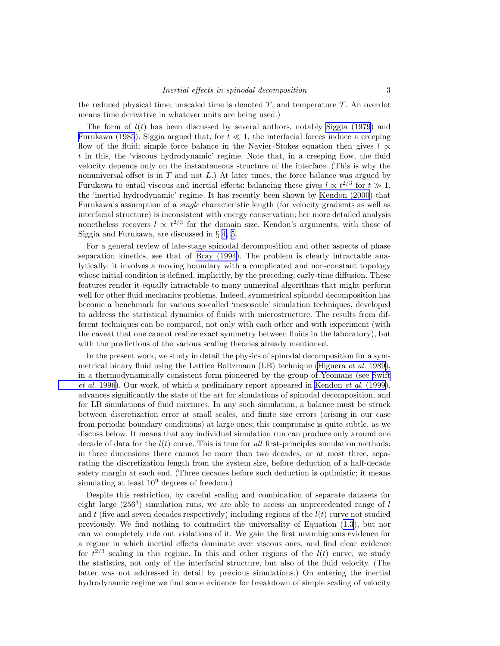<span id="page-2-0"></span>the reduced physical time; unscaled time is denoted  $T$ , and temperature  $\mathcal T$ . An overdot means time derivative in whatever units are being used.)

The form of  $l(t)$  has been discussed by several authors, notably [Siggia \(1979](#page-47-0)) and [Furukawa \(1985](#page-46-0)). Siggia argued that, for  $t \ll 1$ , the interfacial forces induce a creeping flow of the fluid; simple force balance in the Navier–Stokes equation then gives  $l \propto$ t in this, the 'viscous hydrodynamic' regime. Note that, in a creeping flow, the fluid velocity depends only on the instantaneous structure of the interface. (This is why the nonuniversal offset is in  $T$  and not  $L$ .) At later times, the force balance was argued by Furukawa to entail viscous and inertial effects; balancing these gives  $l \propto t^{2/3}$  for  $t \gg 1$ , the 'inertial hydrodynamic' regime. It has recently been shown by [Kendon \(2000\)](#page-47-0) that Furukawa's assumption of a single characteristic length (for velocity gradients as well as interfacial structure) is inconsistent with energy conservation; her more detailed analysis nonetheless recovers  $l \propto t^{2/3}$  for the domain size. Kendon's arguments, with those of Siggia and Furukawa, are discussed in § [4](#page-5-0), [5](#page-7-0).

For a general review of late-stage spinodal decomposition and other aspects of phase separation kinetics, see that of [Bray \(1994\)](#page-46-0). The problem is clearly intractable analytically: it involves a moving boundary with a complicated and non-constant topology whose initial condition is defined, implicitly, by the preceding, early-time diffusion. These features render it equally intractable to many numerical algorithms that might perform well for other fluid mechanics problems. Indeed, symmetrical spinodal decomposition has become a benchmark for various so-called 'mesoscale' simulation techniques, developed to address the statistical dynamics of fluids with microstructure. The results from different techniques can be compared, not only with each other and with experiment (with the caveat that one cannot realize exact symmetry between fluids in the laboratory), but with the predictions of the various scaling theories already mentioned.

In the present work, we study in detail the physics of spinodal decomposition for a sym-metrical binary fluid using the Lattice Boltzmann (LB) technique [\(Higuera](#page-47-0) *et al.* 1989), in a thermodynamically consistent form pioneered by the group of Yeomans (see [Swift](#page-47-0) [et al.](#page-47-0) 1996). Our work, of which a preliminary report appeared in [Kendon](#page-47-0) et al.  $(1999)$ , advances significantly the state of the art for simulations of spinodal decomposition, and for LB simulations of fluid mixtures. In any such simulation, a balance must be struck between discretization error at small scales, and finite size errors (arising in our case from periodic boundary conditions) at large ones; this compromise is quite subtle, as we discuss below. It means that any individual simulation run can produce only around one decade of data for the  $l(t)$  curve. This is true for all first-principles simulation methods: in three dimensions there cannot be more than two decades, or at most three, separating the discretization length from the system size, before deduction of a half-decade safety margin at each end. (Three decades before such deduction is optimistic; it means simulating at least  $10^9$  degrees of freedom.)

Despite this restriction, by careful scaling and combination of separate datasets for eight large  $(256^3)$  simulation runs, we are able to access an unprecedented range of l and t (five and seven decades respectively) including regions of the  $l(t)$  curve not studied previously. We find nothing to contradict the universality of Equation [\(1.3](#page-0-0)), but nor can we completely rule out violations of it. We gain the first unambiguous evidence for a regime in which inertial effects dominate over viscous ones, and find clear evidence for  $t^{2/3}$  scaling in this regime. In this and other regions of the  $l(t)$  curve, we study the statistics, not only of the interfacial structure, but also of the fluid velocity. (The latter was not addressed in detail by previous simulations.) On entering the inertial hydrodynamic regime we find some evidence for breakdown of simple scaling of velocity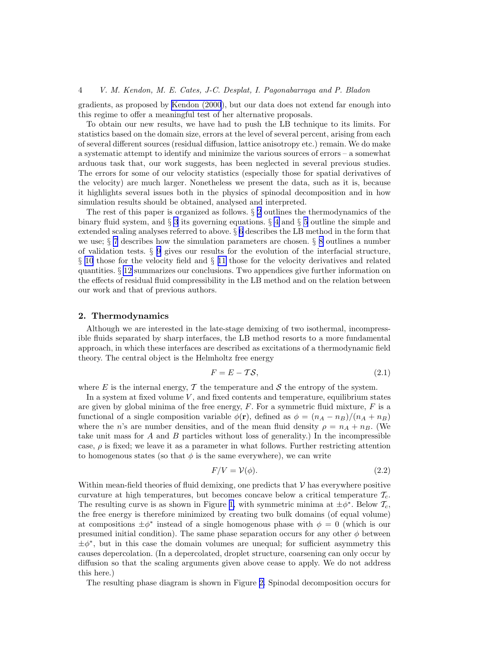<span id="page-3-0"></span>gradients, as proposed by [Kendon \(2000](#page-47-0)), but our data does not extend far enough into this regime to offer a meaningful test of her alternative proposals.

To obtain our new results, we have had to push the LB technique to its limits. For statistics based on the domain size, errors at the level of several percent, arising from each of several different sources (residual diffusion, lattice anisotropy etc.) remain. We do make a systematic attempt to identify and minimize the various sources of errors – a somewhat arduous task that, our work suggests, has been neglected in several previous studies. The errors for some of our velocity statistics (especially those for spatial derivatives of the velocity) are much larger. Nonetheless we present the data, such as it is, because it highlights several issues both in the physics of spinodal decomposition and in how simulation results should be obtained, analysed and interpreted.

The rest of this paper is organized as follows. § [2](#page-2-0) outlines the thermodynamics of the binary fluid system, and § [3](#page-5-0) its governing equations. § [4](#page-5-0) and § [5](#page-7-0) outline the simple and extended scaling analyses referred to above. § [6](#page-9-0) describes the LB method in the form that we use;  $\S$  [7](#page-13-0) describes how the simulation parameters are chosen.  $\S$  [8](#page-15-0) outlines a number of validation tests. § [9](#page-19-0) gives our results for the evolution of the interfacial structure, § [10](#page-26-0) those for the velocity field and § [11](#page-30-0) those for the velocity derivatives and related quantities. § [12](#page-39-0) summarizes our conclusions. Two appendices give further information on the effects of residual fluid compressibility in the LB method and on the relation between our work and that of previous authors.

#### 2. Thermodynamics

Although we are interested in the late-stage demixing of two isothermal, incompressible fluids separated by sharp interfaces, the LB method resorts to a more fundamental approach, in which these interfaces are described as excitations of a thermodynamic field theory. The central object is the Helmholtz free energy

$$
F = E - T\mathcal{S},\tag{2.1}
$$

where E is the internal energy, T the temperature and S the entropy of the system.

In a system at fixed volume  $V$ , and fixed contents and temperature, equilibrium states are given by global minima of the free energy,  $F$ . For a symmetric fluid mixture,  $F$  is a functional of a single composition variable  $\phi(\mathbf{r})$ , defined as  $\phi = (n_A - n_B)/(n_A + n_B)$ where the n's are number densities, and of the mean fluid density  $\rho = n_A + n_B$ . (We take unit mass for A and B particles without loss of generality.) In the incompressible case,  $\rho$  is fixed; we leave it as a parameter in what follows. Further restricting attention to homogenous states (so that  $\phi$  is the same everywhere), we can write

$$
F/V = \mathcal{V}(\phi). \tag{2.2}
$$

Within mean-field theories of fluid demixing, one predicts that  $\mathcal V$  has everywhere positive curvature at high temperatures, but becomes concave below a critical temperature  $\mathcal{T}_c$ . The resulting curve is as shown in Figure 1, with symmetric minima at  $\pm \phi^*$ . Below  $\mathcal{T}_c$ , the free energy is therefore minimized by creating two bulk domains (of equal volume) at compositions  $\pm \phi^*$  instead of a single homogenous phase with  $\phi = 0$  (which is our presumed initial condition). The same phase separation occurs for any other  $\phi$  between  $\pm\phi^*$ , but in this case the domain volumes are unequal; for sufficient asymmetry this causes depercolation. (In a depercolated, droplet structure, coarsening can only occur by diffusion so that the scaling arguments given above cease to apply. We do not address this here.)

The resulting phase diagram is shown in Figure 2. Spinodal decomposition occurs for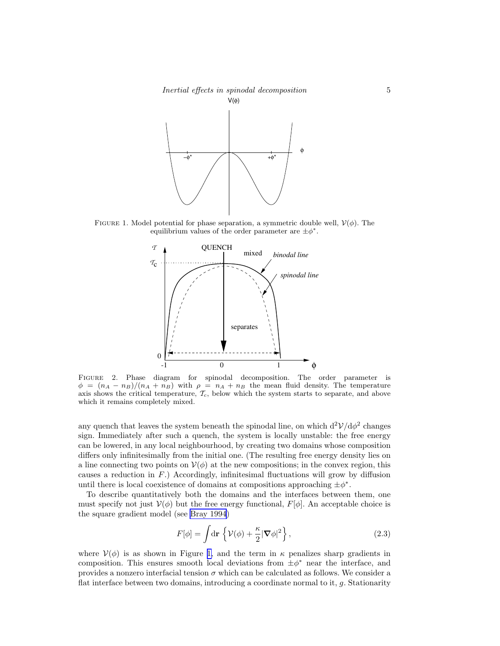<span id="page-4-0"></span>Inertial effects in spinodal decomposition 5



FIGURE 1. Model potential for phase separation, a symmetric double well,  $\mathcal{V}(\phi)$ . The equilibrium values of the order parameter are  $\pm \phi^*$ .



FIGURE 2. Phase diagram for spinodal decomposition. The order parameter is  $\phi = (n_A - n_B)/(n_A + n_B)$  with  $\rho = n_A + n_B$  the mean fluid density. The temperature axis shows the critical temperature,  $\mathcal{T}_c$ , below which the system starts to separate, and above which it remains completely mixed.

any quench that leaves the system beneath the spinodal line, on which  $d^2V/d\phi^2$  changes sign. Immediately after such a quench, the system is locally unstable: the free energy can be lowered, in any local neighbourhood, by creating two domains whose composition differs only infinitesimally from the initial one. (The resulting free energy density lies on a line connecting two points on  $V(\phi)$  at the new compositions; in the convex region, this causes a reduction in  $F$ .) Accordingly, infinitesimal fluctuations will grow by diffusion until there is local coexistence of domains at compositions approaching  $\pm\phi^*$ .

To describe quantitatively both the domains and the interfaces between them, one must specify not just  $V(\phi)$  but the free energy functional,  $F[\phi]$ . An acceptable choice is the square gradient model (see [Bray 1994](#page-46-0))

$$
F[\phi] = \int d\mathbf{r} \left\{ \mathcal{V}(\phi) + \frac{\kappa}{2} |\nabla \phi|^2 \right\},\tag{2.3}
$$

where  $V(\phi)$  is as shown in Figure [1,](#page-3-0) and the term in  $\kappa$  penalizes sharp gradients in composition. This ensures smooth local deviations from  $\pm \phi^*$  near the interface, and provides a nonzero interfacial tension  $\sigma$  which can be calculated as follows. We consider a flat interface between two domains, introducing a coordinate normal to it, g. Stationarity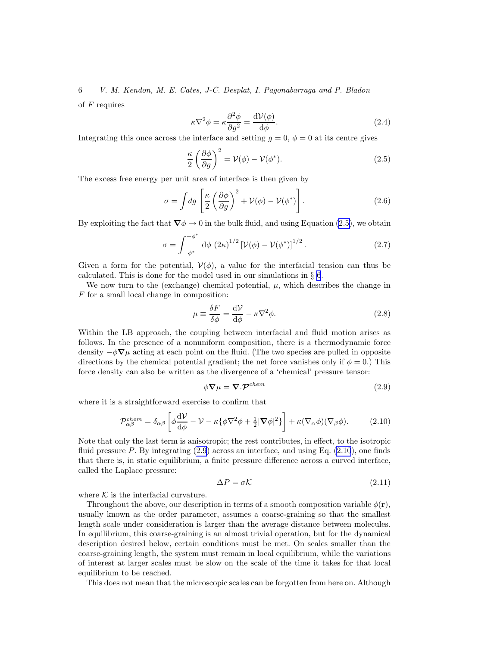<span id="page-5-0"></span>of  $F$  requires

$$
\kappa \nabla^2 \phi = \kappa \frac{\partial^2 \phi}{\partial g^2} = \frac{\mathrm{d} \mathcal{V}(\phi)}{\mathrm{d}\phi}.
$$
\n(2.4)

Integrating this once across the interface and setting  $q = 0$ ,  $\phi = 0$  at its centre gives

$$
\frac{\kappa}{2} \left( \frac{\partial \phi}{\partial g} \right)^2 = \mathcal{V}(\phi) - \mathcal{V}(\phi^*). \tag{2.5}
$$

The excess free energy per unit area of interface is then given by

$$
\sigma = \int dg \left[ \frac{\kappa}{2} \left( \frac{\partial \phi}{\partial g} \right)^2 + \mathcal{V}(\phi) - \mathcal{V}(\phi^*) \right]. \tag{2.6}
$$

By exploiting the fact that  $\nabla \phi \to 0$  in the bulk fluid, and using Equation [\(2.5\)](#page-4-0), we obtain

$$
\sigma = \int_{-\phi^*}^{+\phi^*} d\phi \ (2\kappa)^{1/2} \left[ \mathcal{V}(\phi) - \mathcal{V}(\phi^*) \right]^{1/2} . \tag{2.7}
$$

Given a form for the potential,  $V(\phi)$ , a value for the interfacial tension can thus be calculated. This is done for the model used in our simulations in  $\S$  [6](#page-9-0).

We now turn to the (exchange) chemical potential,  $\mu$ , which describes the change in F for a small local change in composition:

$$
\mu \equiv \frac{\delta F}{\delta \phi} = \frac{\mathrm{d}\mathcal{V}}{\mathrm{d}\phi} - \kappa \nabla^2 \phi. \tag{2.8}
$$

Within the LB approach, the coupling between interfacial and fluid motion arises as follows. In the presence of a nonuniform composition, there is a thermodynamic force density  $-\phi \nabla \mu$  acting at each point on the fluid. (The two species are pulled in opposite directions by the chemical potential gradient; the net force vanishes only if  $\phi = 0$ .) This force density can also be written as the divergence of a 'chemical' pressure tensor:

$$
\phi \nabla \mu = \nabla . \mathcal{P}^{chem} \tag{2.9}
$$

where it is a straightforward exercise to confirm that

$$
\mathcal{P}_{\alpha\beta}^{chem} = \delta_{\alpha\beta} \left[ \phi \frac{\mathrm{d}\mathcal{V}}{\mathrm{d}\phi} - \mathcal{V} - \kappa \{ \phi \nabla^2 \phi + \frac{1}{2} |\nabla \phi|^2 \} \right] + \kappa (\nabla_\alpha \phi)(\nabla_\beta \phi). \tag{2.10}
$$

Note that only the last term is anisotropic; the rest contributes, in effect, to the isotropic fluid pressure P. By integrating  $(2.9)$  $(2.9)$  across an interface, and using Eq.  $(2.10)$ , one finds that there is, in static equilibrium, a finite pressure difference across a curved interface, called the Laplace pressure:

$$
\Delta P = \sigma \mathcal{K} \tag{2.11}
$$

where  $K$  is the interfacial curvature.

Throughout the above, our description in terms of a smooth composition variable  $\phi(\mathbf{r})$ , usually known as the order parameter, assumes a coarse-graining so that the smallest length scale under consideration is larger than the average distance between molecules. In equilibrium, this coarse-graining is an almost trivial operation, but for the dynamical description desired below, certain conditions must be met. On scales smaller than the coarse-graining length, the system must remain in local equilibrium, while the variations of interest at larger scales must be slow on the scale of the time it takes for that local equilibrium to be reached.

This does not mean that the microscopic scales can be forgotten from here on. Although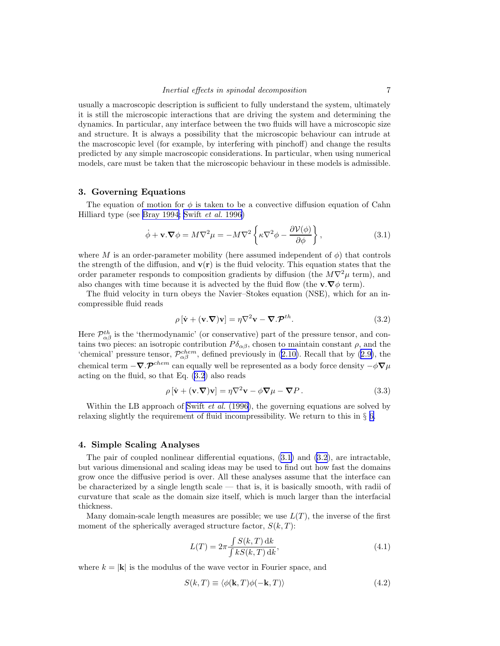<span id="page-6-0"></span>usually a macroscopic description is sufficient to fully understand the system, ultimately it is still the microscopic interactions that are driving the system and determining the dynamics. In particular, any interface between the two fluids will have a microscopic size and structure. It is always a possibility that the microscopic behaviour can intrude at the macroscopic level (for example, by interfering with pinchoff) and change the results predicted by any simple macroscopic considerations. In particular, when using numerical models, care must be taken that the microscopic behaviour in these models is admissible.

## 3. Governing Equations

The equation of motion for  $\phi$  is taken to be a convective diffusion equation of Cahn Hilliard type (see [Bray 1994](#page-46-0); [Swift](#page-47-0) et al. 1996)

$$
\dot{\phi} + \mathbf{v} \cdot \nabla \phi = M \nabla^2 \mu = -M \nabla^2 \left\{ \kappa \nabla^2 \phi - \frac{\partial \mathcal{V}(\phi)}{\partial \phi} \right\},\tag{3.1}
$$

where M is an order-parameter mobility (here assumed independent of  $\phi$ ) that controls the strength of the diffusion, and  $\mathbf{v}(\mathbf{r})$  is the fluid velocity. This equation states that the order parameter responds to composition gradients by diffusion (the  $M\nabla^2\mu$  term), and also changes with time because it is advected by the fluid flow (the  $\mathbf{v}.\nabla\phi$  term).

The fluid velocity in turn obeys the Navier–Stokes equation (NSE), which for an incompressible fluid reads

$$
\rho \left[ \dot{\mathbf{v}} + (\mathbf{v} \cdot \nabla) \mathbf{v} \right] = \eta \nabla^2 \mathbf{v} - \nabla \cdot \mathcal{P}^{th}.
$$
\n(3.2)

Here  $\mathcal{P}_{\alpha\beta}^{th}$  is the 'thermodynamic' (or conservative) part of the pressure tensor, and contains two pieces: an isotropic contribution  $P\delta_{\alpha\beta}$ , chosen to maintain constant  $\rho$ , and the 'chemical' pressure tensor,  $\mathcal{P}_{\alpha\beta}^{chem}$ , defined previously in ([2.10\)](#page-4-0). Recall that by ([2.9\)](#page-4-0), the chemical term  $-\nabla \cdot \mathcal{P}^{chem}$  can equally well be represented as a body force density  $-\phi \nabla \mu$ acting on the fluid, so that Eq. [\(3.2](#page-5-0)) also reads

$$
\rho \left[ \dot{\mathbf{v}} + (\mathbf{v} \cdot \nabla) \mathbf{v} \right] = \eta \nabla^2 \mathbf{v} - \phi \nabla \mu - \nabla P. \tag{3.3}
$$

Within the LB approach of Swift *et al.* [\(1996](#page-47-0)), the governing equations are solved by relaxing slightly the requirement of fluid incompressibility. We return to this in § [6.](#page-9-0)

#### 4. Simple Scaling Analyses

The pair of coupled nonlinear differential equations,  $(3.1)$  and  $(3.2)$  $(3.2)$ , are intractable, but various dimensional and scaling ideas may be used to find out how fast the domains grow once the diffusive period is over. All these analyses assume that the interface can be characterized by a single length scale — that is, it is basically smooth, with radii of curvature that scale as the domain size itself, which is much larger than the interfacial thickness.

Many domain-scale length measures are possible; we use  $L(T)$ , the inverse of the first moment of the spherically averaged structure factor,  $S(k, T)$ :

$$
L(T) = 2\pi \frac{\int S(k,T) \, \mathrm{d}k}{\int k S(k,T) \, \mathrm{d}k},\tag{4.1}
$$

where  $k = |\mathbf{k}|$  is the modulus of the wave vector in Fourier space, and

$$
S(k,T) \equiv \langle \phi(\mathbf{k},T)\phi(-\mathbf{k},T) \rangle \tag{4.2}
$$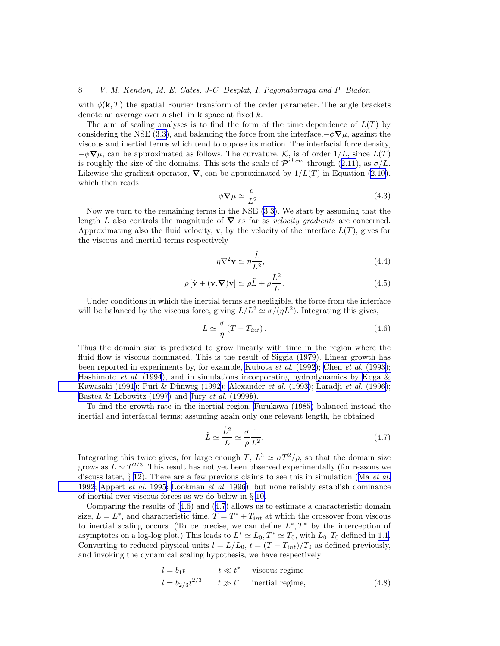<span id="page-7-0"></span>with  $\phi(\mathbf{k}, T)$  the spatial Fourier transform of the order parameter. The angle brackets denote an average over a shell in  $k$  space at fixed  $k$ .

The aim of scaling analyses is to find the form of the time dependence of  $L(T)$  by considering the NSE ([3.3\)](#page-5-0), and balancing the force from the interface, $-\phi \nabla \mu$ , against the viscous and inertial terms which tend to oppose its motion. The interfacial force density,  $-\phi \nabla \mu$ , can be approximated as follows. The curvature, K, is of order  $1/L$ , since  $L(T)$ is roughly the size of the domains. This sets the scale of  $\mathcal{P}^{chem}$  through ([2.11\)](#page-4-0), as  $\sigma/L$ . Likewise the gradient operator,  $\nabla$ , can be approximated by  $1/L(T)$  in Equation [\(2.10](#page-4-0)), which then reads

$$
-\phi \nabla \mu \simeq \frac{\sigma}{L^2}.\tag{4.3}
$$

Now we turn to the remaining terms in the NSE [\(3.3](#page-5-0)). We start by assuming that the length L also controls the magnitude of  $\nabla$  as far as velocity gradients are concerned. Approximating also the fluid velocity, **v**, by the velocity of the interface  $\hat{L}(T)$ , gives for the viscous and inertial terms respectively

$$
\eta \nabla^2 \mathbf{v} \simeq \eta \frac{\dot{L}}{L^2},\tag{4.4}
$$

$$
\rho \left[ \dot{\mathbf{v}} + (\mathbf{v}.\nabla)\mathbf{v} \right] \simeq \rho \ddot{L} + \rho \frac{\dot{L}^2}{L}.
$$
\n(4.5)

Under conditions in which the inertial terms are negligible, the force from the interface will be balanced by the viscous force, giving  $\dot{L}/L^2 \simeq \sigma/(\eta L^2)$ . Integrating this gives,

$$
L \simeq \frac{\sigma}{\eta} \left( T - T_{int} \right). \tag{4.6}
$$

Thus the domain size is predicted to grow linearly with time in the region where the fluid flow is viscous dominated. This is the result of [Siggia \(1979](#page-47-0)). Linear growth has been reported in experiments by, for example, [Kubota](#page-47-0) *et al.* (1992); Chen *et al.* [\(1993](#page-46-0)); [Hashimoto](#page-46-0) et al. (1994), and in simulations incorporating hydrodynamics by Koga  $\&$ [Kawasaki \(1991\)](#page-47-0); Puri & Dünweg (1992); [Alexander](#page-46-0) et al. (1993); [Laradji](#page-47-0) et al. (1996); [Bastea & Lebowitz \(1997](#page-46-0)) and Jury *et al.* [\(1999](#page-47-0)*b*).

To find the growth rate in the inertial region, [Furukawa \(1985\)](#page-46-0) balanced instead the inertial and interfacial terms; assuming again only one relevant length, he obtained

$$
\ddot{L} \simeq \frac{\dot{L}^2}{L} \simeq \frac{\sigma}{\rho} \frac{1}{L^2}.\tag{4.7}
$$

Integrating this twice gives, for large enough T,  $L^3 \simeq \sigma T^2/\rho$ , so that the domain size grows as  $L \sim T^{2/3}$ . This result has not yet been observed experimentally (for reasons we discuss later,  $\S$  [12\)](#page-39-0). There are a few previous claims to see this in simulation (Ma *[et al.](#page-47-0)*) [1992](#page-47-0); [Appert](#page-46-0) et al. 1995; [Lookman](#page-47-0) et al. 1996), but none reliably establish dominance of inertial over viscous forces as we do below in § [10.](#page-26-0)

Comparing the results of  $(4.6)$  $(4.6)$  and  $(4.7)$  $(4.7)$  $(4.7)$  allows us to estimate a characteristic domain size,  $L = L^*$ , and characteristic time,  $T = T^* + T_{int}$  at which the crossover from viscous to inertial scaling occurs. (To be precise, we can define  $L^*, T^*$  by the interception of asymptotes on a log-log plot.) This leads to  $L^* \simeq L_0$ ,  $T^* \simeq T_0$ , with  $L_0$ ,  $T_0$  defined in [1.1.](#page-0-0) Converting to reduced physical units  $l = L/L_0$ ,  $t = (T - T_{int})/T_0$  as defined previously, and invoking the dynamical scaling hypothesis, we have respectively

$$
l = b_1 t \t t \ll t^* \t \text{viscous regime}
$$
  
\n
$$
l = b_{2/3} t^{2/3} \t t \gg t^* \t \text{inertial regime}, \t (4.8)
$$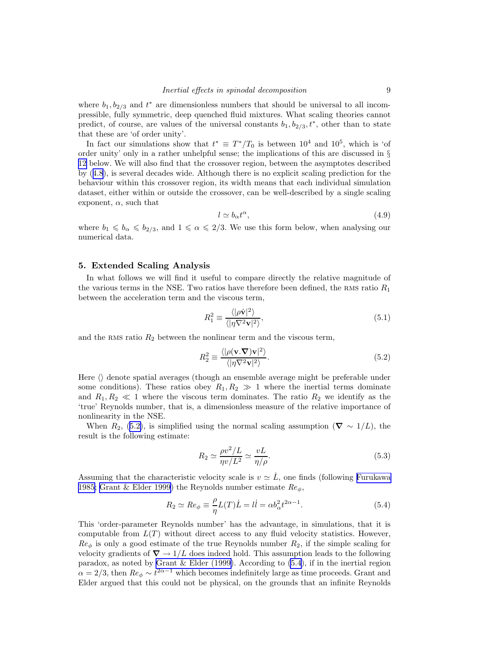<span id="page-8-0"></span>where  $b_1, b_{2/3}$  and  $t^*$  are dimensionless numbers that should be universal to all incompressible, fully symmetric, deep quenched fluid mixtures. What scaling theories cannot predict, of course, are values of the universal constants  $b_1, b_{2/3}, t^*$ , other than to state that these are 'of order unity'.

In fact our simulations show that  $t^* \equiv T^*/T_0$  is between  $10^4$  and  $10^5$ , which is 'of order unity' only in a rather unhelpful sense; the implications of this are discussed in  $\S$ [12](#page-39-0) below. We will also find that the crossover region, between the asymptotes described by ([4.8](#page-6-0)), is several decades wide. Although there is no explicit scaling prediction for the behaviour within this crossover region, its width means that each individual simulation dataset, either within or outside the crossover, can be well-described by a single scaling exponent,  $\alpha$ , such that

$$
l \simeq b_{\alpha} t^{\alpha},\tag{4.9}
$$

where  $b_1 \leq b_\alpha \leq b_{2/3}$ , and  $1 \leq \alpha \leq 2/3$ . We use this form below, when analysing our numerical data.

#### 5. Extended Scaling Analysis

In what follows we will find it useful to compare directly the relative magnitude of the various terms in the NSE. Two ratios have therefore been defined, the RMS ratio  $R_1$ between the acceleration term and the viscous term,

$$
R_1^2 \equiv \frac{\langle |\rho \dot{\mathbf{v}}|^2 \rangle}{\langle |\eta \nabla^2 \mathbf{v}|^2 \rangle},\tag{5.1}
$$

and the RMS ratio  $R_2$  between the nonlinear term and the viscous term,

$$
R_2^2 \equiv \frac{\langle |\rho(\mathbf{v}.\nabla)\mathbf{v}|^2 \rangle}{\langle |\eta \nabla^2 \mathbf{v}|^2 \rangle}.
$$
 (5.2)

Here  $\langle \rangle$  denote spatial averages (though an ensemble average might be preferable under some conditions). These ratios obey  $R_1, R_2 \gg 1$  where the inertial terms dominate and  $R_1, R_2 \ll 1$  where the viscous term dominates. The ratio  $R_2$  we identify as the 'true' Reynolds number, that is, a dimensionless measure of the relative importance of nonlinearity in the NSE.

When  $R_2$ , ([5.2\)](#page-7-0), is simplified using the normal scaling assumption ( $\nabla \sim 1/L$ ), the result is the following estimate:

$$
R_2 \simeq \frac{\rho v^2 / L}{\eta v / L^2} \simeq \frac{vL}{\eta / \rho}.\tag{5.3}
$$

Assuming that the characteristic velocity scale is  $v \simeq \dot{L}$ , one finds (following [Furukawa](#page-46-0) [1985](#page-46-0); [Grant & Elder 1999](#page-46-0)) the Reynolds number estimate  $Re_{\phi}$ ,

$$
R_2 \simeq Re_{\phi} \equiv \frac{\rho}{\eta} L(T)\dot{L} = l\dot{l} = \alpha b_{\alpha}^2 t^{2\alpha - 1}.
$$
 (5.4)

This 'order-parameter Reynolds number' has the advantage, in simulations, that it is computable from  $L(T)$  without direct access to any fluid velocity statistics. However,  $Re_{\phi}$  is only a good estimate of the true Reynolds number  $R_2$ , if the simple scaling for velocity gradients of  $\nabla \rightarrow 1/L$  does indeed hold. This assumption leads to the following paradox, as noted by [Grant & Elder \(1999\)](#page-46-0). According to [\(5.4](#page-7-0)), if in the inertial region  $\alpha = 2/3$ , then  $Re_{\phi} \sim t^{2\alpha - 1}$  which becomes indefinitely large as time proceeds. Grant and Elder argued that this could not be physical, on the grounds that an infinite Reynolds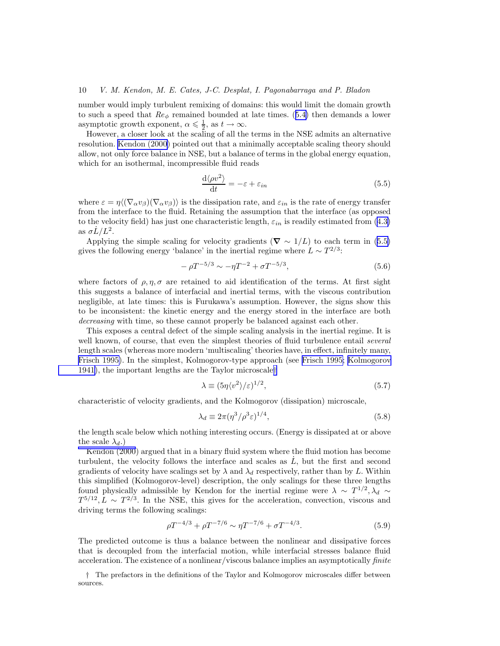<span id="page-9-0"></span>number would imply turbulent remixing of domains: this would limit the domain growth to such a speed that  $Re_{\phi}$  remained bounded at late times. ([5.4\)](#page-7-0) then demands a lower asymptotic growth exponent,  $\alpha \leq \frac{1}{2}$ , as  $t \to \infty$ .

However, a closer look at the scaling of all the terms in the NSE admits an alternative resolution. [Kendon \(2000\)](#page-47-0) pointed out that a minimally acceptable scaling theory should allow, not only force balance in NSE, but a balance of terms in the global energy equation, which for an isothermal, incompressible fluid reads

$$
\frac{\mathrm{d}\langle \rho v^2 \rangle}{\mathrm{d}t} = -\varepsilon + \varepsilon_{in} \tag{5.5}
$$

where  $\varepsilon = \eta \langle (\nabla_\alpha v_\beta)(\nabla_\alpha v_\beta) \rangle$  is the dissipation rate, and  $\varepsilon_{in}$  is the rate of energy transfer from the interface to the fluid. Retaining the assumption that the interface (as opposed to the velocity field) has just one characteristic length,  $\varepsilon_{in}$  is readily estimated from ([4.3\)](#page-6-0) as  $\sigma \dot{L}/L^2$ .

Applying the simple scaling for velocity gradients ( $\nabla \sim 1/L$ ) to each term in ([5.5\)](#page-8-0) gives the following energy 'balance' in the inertial regime where  $L \sim T^{2/3}$ :

$$
-\rho T^{-5/3} \sim -\eta T^{-2} + \sigma T^{-5/3},\tag{5.6}
$$

where factors of  $\rho, \eta, \sigma$  are retained to aid identification of the terms. At first sight this suggests a balance of interfacial and inertial terms, with the viscous contribution negligible, at late times: this is Furukawa's assumption. However, the signs show this to be inconsistent: the kinetic energy and the energy stored in the interface are both decreasing with time, so these cannot properly be balanced against each other.

This exposes a central defect of the simple scaling analysis in the inertial regime. It is well known, of course, that even the simplest theories of fluid turbulence entail several length scales (whereas more modern 'multiscaling' theories have, in effect, infinitely many, [Frisch 1995\)](#page-46-0). In the simplest, Kolmogorov-type approach (see [Frisch 1995;](#page-46-0) [Kolmogorov](#page-47-0) [1941](#page-47-0)), the important lengths are the Taylor microscale[†](#page-8-0)

$$
\lambda \equiv (5\eta \langle v^2 \rangle / \varepsilon)^{1/2},\tag{5.7}
$$

characteristic of velocity gradients, and the Kolmogorov (dissipation) microscale,

$$
\lambda_d \equiv 2\pi (\eta^3 / \rho^3 \varepsilon)^{1/4},\tag{5.8}
$$

the length scale below which nothing interesting occurs. (Energy is dissipated at or above the scale  $\lambda_d$ .)

[Kendon \(2000](#page-47-0)) argued that in a binary fluid system where the fluid motion has become turbulent, the velocity follows the interface and scales as  $\dot{L}$ , but the first and second gradients of velocity have scalings set by  $\lambda$  and  $\lambda_d$  respectively, rather than by L. Within this simplified (Kolmogorov-level) description, the only scalings for these three lengths found physically admissible by Kendon for the inertial regime were  $\lambda \sim T^{1/2}$ ,  $\lambda_d \sim$  $T^{5/12}, L \sim T^{2/3}$ . In the NSE, this gives for the acceleration, convection, viscous and driving terms the following scalings:

$$
\rho T^{-4/3} + \rho T^{-7/6} \sim \eta T^{-7/6} + \sigma T^{-4/3}.\tag{5.9}
$$

The predicted outcome is thus a balance between the nonlinear and dissipative forces that is decoupled from the interfacial motion, while interfacial stresses balance fluid acceleration. The existence of a nonlinear/viscous balance implies an asymptotically *finite* 

† The prefactors in the definitions of the Taylor and Kolmogorov microscales differ between sources.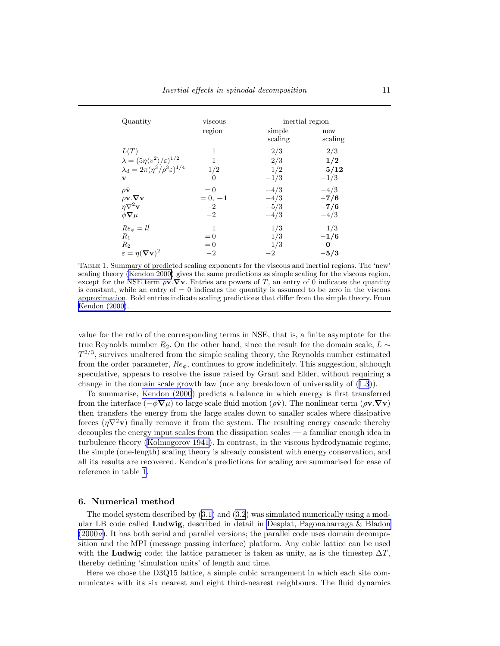<span id="page-10-0"></span>

| Quantity                                                    | viscous   | inertial region   |                |  |
|-------------------------------------------------------------|-----------|-------------------|----------------|--|
|                                                             | region    | simple<br>scaling | new<br>scaling |  |
| L(T)                                                        | 1         | 2/3               | 2/3            |  |
| $\lambda = (5\eta \langle v^2 \rangle / \varepsilon)^{1/2}$ | 1         | 2/3               | 1/2            |  |
| $\lambda_d = 2\pi (\eta^3/\rho^3 \varepsilon)^{1/4}$        | 1/2       | 1/2               | 5/12           |  |
| v                                                           | $\theta$  | $-1/3$            | $-1/3$         |  |
| $\rho\dot{\mathbf{v}}$                                      | $= 0$     | $-4/3$            | $-4/3$         |  |
| $\rho$ v. $\nabla$ v                                        | $= 0, -1$ | $-4/3$            | $-7/6$         |  |
| $\eta \nabla^2 \mathbf{v}$                                  | $-2$      | $-5/3$            | $-7/6$         |  |
| $\phi \nabla \mu$                                           | $-2$      | $-4/3$            | $-4/3$         |  |
| $Re_{\phi} = l\dot{l}$                                      | 1         | 1/3               | 1/3            |  |
| $R_1$                                                       | $= 0$     | 1/3               | $-1/6$         |  |
| $R_{2}$                                                     | $= 0$     | 1/3               | 0              |  |
| $\varepsilon = \eta (\nabla \mathbf{v})^2$                  | $-2$      | $-2$              | $-5/3$         |  |

Table 1. Summary of predicted scaling exponents for the viscous and inertial regions. The 'new' scaling theory ([Kendon 2000\)](#page-47-0) gives the same predictions as simple scaling for the viscous region, except for the NSE term  $\rho v \cdot \nabla v$ . Entries are powers of T, an entry of 0 indicates the quantity is constant, while an entry of  $= 0$  indicates the quantity is assumed to be zero in the viscous approximation. Bold entries indicate scaling predictions that differ from the simple theory. From [Kendon \(2000](#page-47-0)).

value for the ratio of the corresponding terms in NSE, that is, a finite asymptote for the true Reynolds number  $R_2$ . On the other hand, since the result for the domain scale,  $L \sim$  $T^{2/3}$ , survives unaltered from the simple scaling theory, the Reynolds number estimated from the order parameter,  $Re_{\phi}$ , continues to grow indefinitely. This suggestion, although speculative, appears to resolve the issue raised by Grant and Elder, without requiring a change in the domain scale growth law (nor any breakdown of universality of ([1.3](#page-0-0))).

To summarise, [Kendon \(2000](#page-47-0)) predicts a balance in which energy is first transferred from the interface  $(-\phi \nabla \mu)$  to large scale fluid motion  $(\rho \dot{\bf{v}})$ . The nonlinear term  $(\rho {\bf{v}}.\nabla {\bf{v}})$ then transfers the energy from the large scales down to smaller scales where dissipative forces  $(\eta \nabla^2 \mathbf{v})$  finally remove it from the system. The resulting energy cascade thereby decouples the energy input scales from the dissipation scales — a familiar enough idea in turbulence theory [\(Kolmogorov 1941](#page-47-0)). In contrast, in the viscous hydrodynamic regime, the simple (one-length) scaling theory is already consistent with energy conservation, and all its results are recovered. Kendon's predictions for scaling are summarised for ease of reference in table [1](#page-9-0).

## 6. Numerical method

The model system described by ([3.1\)](#page-5-0) and [\(3.2](#page-5-0)) was simulated numerically using a modular LB code called Ludwig, described in detail in [Desplat, Pagonabarraga & Bladon](#page-46-0)  $(2000a)$  $(2000a)$ . It has both serial and parallel versions; the parallel code uses domain decomposition and the MPI (message passing interface) platform. Any cubic lattice can be used with the Ludwig code; the lattice parameter is taken as unity, as is the timestep  $\Delta T$ , thereby defining 'simulation units' of length and time.

Here we chose the D3Q15 lattice, a simple cubic arrangement in which each site communicates with its six nearest and eight third-nearest neighbours. The fluid dynamics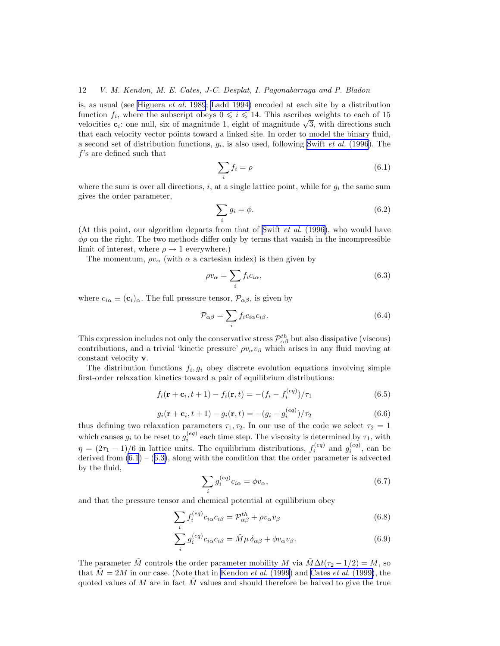<span id="page-11-0"></span>is, as usual (see [Higuera](#page-47-0) et al. 1989; [Ladd 1994\)](#page-47-0) encoded at each site by a distribution function  $f_i$ , where the subscript obeys  $0 \leq i \leq 14$ . This ascribes weights to each of 15 velocities  $c_i$ : one null, six of magnitude 1, eight of magnitude  $\sqrt{3}$ , with directions such that each velocity vector points toward a linked site. In order to model the binary fluid, a second set of distribution functions,  $g_i$ , is also used, following Swift *et al.* [\(1996](#page-47-0)). The f's are defined such that

$$
\sum_{i} f_i = \rho \tag{6.1}
$$

where the sum is over all directions, i, at a single lattice point, while for  $g_i$  the same sum gives the order parameter,

$$
\sum_{i} g_i = \phi. \tag{6.2}
$$

(At this point, our algorithm departs from that of Swift et al. [\(1996\)](#page-47-0), who would have  $\phi \rho$  on the right. The two methods differ only by terms that vanish in the incompressible limit of interest, where  $\rho \rightarrow 1$  everywhere.)

The momentum,  $\rho v_{\alpha}$  (with  $\alpha$  a cartesian index) is then given by

$$
\rho v_{\alpha} = \sum_{i} f_i c_{i\alpha},\tag{6.3}
$$

where  $c_{i\alpha} \equiv (\mathbf{c}_i)_{\alpha}$ . The full pressure tensor,  $\mathcal{P}_{\alpha\beta}$ , is given by

$$
\mathcal{P}_{\alpha\beta} = \sum_{i} f_i c_{i\alpha} c_{i\beta}.
$$
\n(6.4)

This expression includes not only the conservative stress  $\mathcal{P}_{\alpha\beta}^{th}$  but also dissipative (viscous) contributions, and a trivial 'kinetic pressure'  $\rho v_{\alpha} v_{\beta}$  which arises in any fluid moving at constant velocity v.

The distribution functions  $f_i, g_i$  obey discrete evolution equations involving simple first-order relaxation kinetics toward a pair of equilibrium distributions:

$$
f_i(\mathbf{r} + \mathbf{c}_i, t + 1) - f_i(\mathbf{r}, t) = -(f_i - f_i^{(eq)})/\tau_1
$$
\n(6.5)

$$
g_i(\mathbf{r} + \mathbf{c}_i, t + 1) - g_i(\mathbf{r}, t) = -(g_i - g_i^{(eq)})/\tau_2
$$
\n(6.6)

thus defining two relaxation parameters  $\tau_1, \tau_2$ . In our use of the code we select  $\tau_2 = 1$ which causes  $g_i$  to be reset to  $g_i^{(eq)}$  $e^{i\epsilon q}$  each time step. The viscosity is determined by  $\tau_1$ , with  $\eta = (2\tau_1 - 1)/6$  in lattice units. The equilibrium distributions,  $f_i^{(eq)}$  $g_i^{(eq)}$  and  $g_i^{(eq)}$  $i^{(eq)}$ , can be derived from  $(6.1) - (6.3)$  $(6.1) - (6.3)$  $(6.1) - (6.3)$ , along with the condition that the order parameter is advected by the fluid,

$$
\sum_{i} g_i^{(eq)} c_{i\alpha} = \phi v_{\alpha},\tag{6.7}
$$

and that the pressure tensor and chemical potential at equilibrium obey

$$
\sum_{i} f_i^{(eq)} c_{i\alpha} c_{i\beta} = \mathcal{P}_{\alpha\beta}^{th} + \rho v_{\alpha} v_{\beta}
$$
\n(6.8)

$$
\sum_{i} g_i^{(eq)} c_{i\alpha} c_{i\beta} = \tilde{M} \mu \, \delta_{\alpha\beta} + \phi v_\alpha v_\beta. \tag{6.9}
$$

The parameter  $\tilde{M}$  controls the order parameter mobility M via  $\tilde{M}\Delta t(\tau_2-1/2)=M$ , so that  $M = 2M$  in our case. (Note that in [Kendon](#page-47-0) *et al.* (1999) and [Cates](#page-46-0) *et al.* (1999), the quoted values of  $M$  are in fact  $M$  values and should therefore be halved to give the true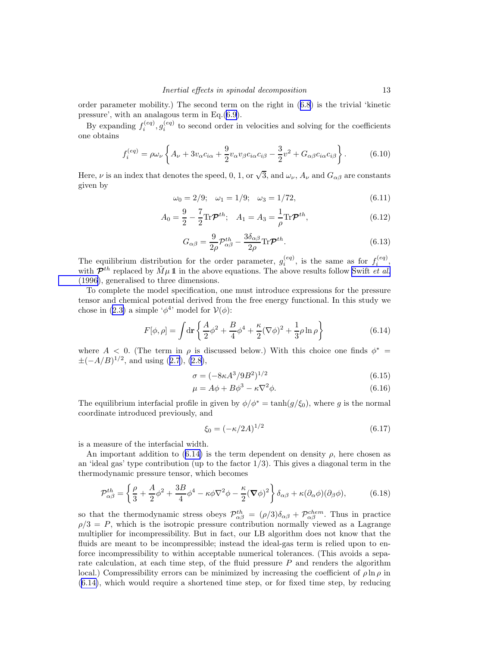<span id="page-12-0"></span>order parameter mobility.) The second term on the right in ([6.8](#page-10-0)) is the trivial 'kinetic pressure', with an analagous term in Eq.[\(6.9\)](#page-10-0).

By expanding  $f_i^{(eq)}$ ,  $g_i^{(eq)}$  to second order in velocities and solving for the coefficients one obtains

$$
f_i^{(eq)} = \rho \omega_\nu \left\{ A_\nu + 3v_\alpha c_{i\alpha} + \frac{9}{2} v_\alpha v_\beta c_{i\alpha} c_{i\beta} - \frac{3}{2} v^2 + G_{\alpha\beta} c_{i\alpha} c_{i\beta} \right\}.
$$
 (6.10)

Here,  $\nu$  is an index that denotes the speed, 0, 1, or  $\sqrt{3}$ , and  $\omega_{\nu}$ ,  $A_{\nu}$  and  $G_{\alpha\beta}$  are constants given by

$$
\omega_0 = 2/9; \quad \omega_1 = 1/9; \quad \omega_3 = 1/72, \tag{6.11}
$$

$$
A_0 = \frac{9}{2} - \frac{7}{2} \text{Tr} \mathcal{P}^{th}; \quad A_1 = A_3 = \frac{1}{\rho} \text{Tr} \mathcal{P}^{th}, \tag{6.12}
$$

$$
G_{\alpha\beta} = \frac{9}{2\rho} \mathcal{P}_{\alpha\beta}^{th} - \frac{3\delta_{\alpha\beta}}{2\rho} \text{Tr} \boldsymbol{\mathcal{P}}^{th}.
$$
\n(6.13)

The equilibrium distribution for the order parameter,  $g_i^{(eq)}$ , is the same as for  $f_i^{(eq)}$ , with  $\mathcal{P}^{th}$  replaced by  $\tilde{M}\mu$  1 in the above equations. The above results follow [Swift](#page-47-0) *et al.* [\(1996\)](#page-47-0), generalised to three dimensions.

To complete the model specification, one must introduce expressions for the pressure tensor and chemical potential derived from the free energy functional. In this study we chose in ([2.3\)](#page-3-0) a simple ' $\phi^4$ ' model for  $V(\phi)$ :

$$
F[\phi, \rho] = \int d\mathbf{r} \left\{ \frac{A}{2} \phi^2 + \frac{B}{4} \phi^4 + \frac{\kappa}{2} (\nabla \phi)^2 + \frac{1}{3} \rho \ln \rho \right\}
$$
(6.14)

where  $A < 0$ . (The term in  $\rho$  is discussed below.) With this choice one finds  $\phi^* =$  $\pm(-A/B)^{1/2}$ , and using ([2.7](#page-4-0)), [\(2.8](#page-4-0)),

$$
\sigma = (-8\kappa A^3/9B^2)^{1/2} \tag{6.15}
$$

$$
\mu = A\phi + B\phi^3 - \kappa \nabla^2 \phi. \tag{6.16}
$$

The equilibrium interfacial profile in given by  $\phi/\phi^* = \tanh(g/\xi_0)$ , where g is the normal coordinate introduced previously, and

$$
\xi_0 = (-\kappa/2A)^{1/2} \tag{6.17}
$$

is a measure of the interfacial width.

An important addition to ([6.14\)](#page-11-0) is the term dependent on density  $\rho$ , here chosen as an 'ideal gas' type contribution (up to the factor  $1/3$ ). This gives a diagonal term in the thermodynamic pressure tensor, which becomes

$$
\mathcal{P}_{\alpha\beta}^{th} = \left\{ \frac{\rho}{3} + \frac{A}{2}\phi^2 + \frac{3B}{4}\phi^4 - \kappa\phi\nabla^2\phi - \frac{\kappa}{2}(\nabla\phi)^2 \right\} \delta_{\alpha\beta} + \kappa(\partial_\alpha\phi)(\partial_\beta\phi),\tag{6.18}
$$

so that the thermodynamic stress obeys  $\mathcal{P}_{\alpha\beta}^{th} = (\rho/3)\delta_{\alpha\beta} + \mathcal{P}_{\alpha\beta}^{chem}$ . Thus in practice  $\rho/3 = P$ , which is the isotropic pressure contribution normally viewed as a Lagrange multiplier for incompressibility. But in fact, our LB algorithm does not know that the fluids are meant to be incompressible; instead the ideal-gas term is relied upon to enforce incompressibility to within acceptable numerical tolerances. (This avoids a separate calculation, at each time step, of the fluid pressure  $P$  and renders the algorithm local.) Compressibility errors can be minimized by increasing the coefficient of  $\rho \ln \rho$  in ([6.14\)](#page-11-0), which would require a shortened time step, or for fixed time step, by reducing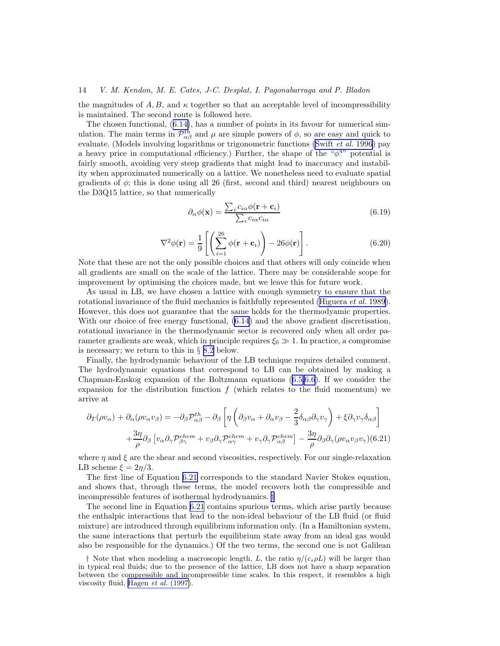<span id="page-13-0"></span>the magnitudes of A, B, and  $\kappa$  together so that an acceptable level of incompressibility is maintained. The second route is followed here.

The chosen functional, ([6.14\)](#page-11-0), has a number of points in its favour for numerical simulation. The main terms in  $\mathcal{P}_{\alpha\beta}^{th}$  and  $\mu$  are simple powers of  $\phi$ , so are easy and quick to evaluate. (Models involving logarithms or trigonometric functions [\(Swift](#page-47-0) *et al.* 1996) pay a heavy price in computational efficiency.) Further, the shape of the " $\phi^{4}$ " potential is fairly smooth, avoiding very steep gradients that might lead to inaccuracy and instability when approximated numerically on a lattice. We nonetheless need to evaluate spatial gradients of  $\phi$ ; this is done using all 26 (first, second and third) nearest neighbours on the D3Q15 lattice, so that numerically

$$
\partial_{\alpha}\phi(\mathbf{x}) = \frac{\sum_{i} c_{i\alpha}\phi(\mathbf{r} + \mathbf{c}_{i})}{\sum_{i} c_{i\alpha}c_{i\alpha}}
$$
(6.19)

$$
\nabla^2 \phi(\mathbf{r}) = \frac{1}{9} \left[ \left( \sum_{i=1}^{26} \phi(\mathbf{r} + \mathbf{c}_i) \right) - 26\phi(\mathbf{r}) \right]. \tag{6.20}
$$

Note that these are not the only possible choices and that others will only coincide when all gradients are small on the scale of the lattice. There may be considerable scope for improvement by optimising the choices made, but we leave this for future work.

As usual in LB, we have chosen a lattice with enough symmetry to ensure that the rotational invariance of the fluid mechanics is faithfully represented [\(Higuera](#page-47-0) *et al.* 1989). However, this does not guarantee that the same holds for the thermodyamic properties. With our choice of free energy functional, [\(6.14](#page-11-0)) and the above gradient discretisation, rotational invariance in the thermodynamic sector is recovered only when all order parameter gradients are weak, which in principle requires  $\xi_0 \gg 1$ . In practice, a compromise is necessary; we return to this in  $\S 8.2$  $\S 8.2$  below.

Finally, the hydrodynamic behaviour of the LB technique requires detailed comment. The hydrodynamic equations that correspond to LB can be obtained by making a Chapman-Enskog expansion of the Boltzmann equations ([6.5,6.6](#page-10-0)). If we consider the expansion for the distribution function  $f$  (which relates to the fluid momentum) we arrive at

$$
\partial_T(\rho v_\alpha) + \partial_\alpha(\rho v_\alpha v_\beta) = -\partial_\beta \mathcal{P}_{\alpha\beta}^{th} - \partial_\beta \left[ \eta \left( \partial_\beta v_\alpha + \partial_\alpha v_\beta - \frac{2}{3} \delta_{\alpha\beta} \partial_\gamma v_\gamma \right) + \xi \partial_\gamma v_\gamma \delta_{\alpha\beta} \right] + \frac{3\eta}{\rho} \partial_\beta \left[ v_\alpha \partial_\gamma \mathcal{P}_{\beta\gamma}^{chem} + v_\beta \partial_\gamma \mathcal{P}_{\alpha\gamma}^{chem} + v_\gamma \partial_\gamma \mathcal{P}_{\alpha\beta}^{chem} \right] - \frac{3\eta}{\rho} \partial_\beta \partial_\gamma (\rho v_\alpha v_\beta v_\gamma)(6.21)
$$

where  $\eta$  and  $\xi$  are the shear and second viscosities, respectively. For our single-relaxation LB scheme  $\xi = 2\eta/3$ .

The first line of Equation [6.21](#page-12-0) corresponds to the standard Navier Stokes equation, and shows that, through these terms, the model recovers both the compressible and incompressible features of isothermal hydrodynamics. [†](#page-12-0)

The second line in Equation [6.21](#page-12-0) contains spurious terms, which arise partly because the enthalpic interactions that lead to the non-ideal behaviour of the LB fluid (or fluid mixture) are introduced through equilibrium information only. (In a Hamiltonian system, the same interactions that perturb the equilibrium state away from an ideal gas would also be responsible for the dynamics.) Of the two terms, the second one is not Galilean

<sup>&</sup>lt;sup>†</sup> Note that when modeling a macroscopic length, L, the ratio  $\eta/(c_s \rho L)$  will be larger than in typical real fluids; due to the presence of the lattice, LB does not have a sharp separation between the compressible and incompressible time scales. In this respect, it resembles a high viscosity fluid, [Hagen](#page-46-0) et al. (1997).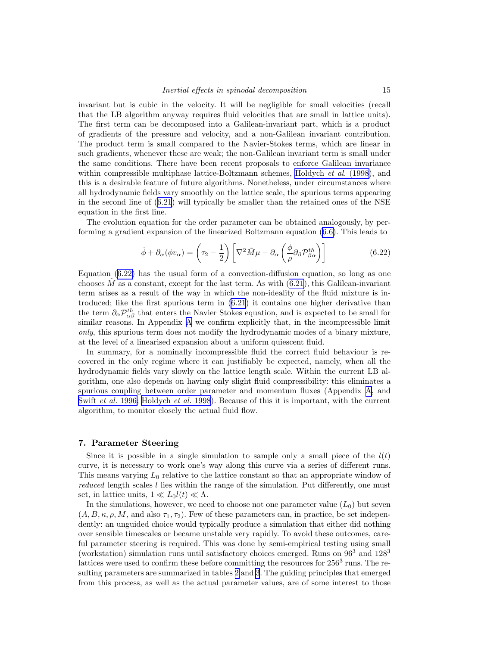<span id="page-14-0"></span>invariant but is cubic in the velocity. It will be negligible for small velocities (recall that the LB algorithm anyway requires fluid velocities that are small in lattice units). The first term can be decomposed into a Galilean-invariant part, which is a product of gradients of the pressure and velocity, and a non-Galilean invariant contribution. The product term is small compared to the Navier-Stokes terms, which are linear in such gradients, whenever these are weak; the non-Galilean invariant term is small under the same conditions. There have been recent proposals to enforce Galilean invariance within compressible multiphase lattice-Boltzmann schemes, [Holdych](#page-47-0) *et al.* (1998), and this is a desirable feature of future algorithms. Nonetheless, under circumstances where all hydrodynamic fields vary smoothly on the lattice scale, the spurious terms appearing in the second line of ([6.21](#page-12-0)) will typically be smaller than the retained ones of the NSE equation in the first line.

The evolution equation for the order parameter can be obtained analogously, by performing a gradient expansion of the linearized Boltzmann equation [\(6.6\)](#page-10-0). This leads to

$$
\dot{\phi} + \partial_{\alpha}(\phi v_{\alpha}) = \left(\tau_2 - \frac{1}{2}\right) \left[\nabla^2 \tilde{M} \mu - \partial_{\alpha} \left(\frac{\phi}{\rho} \partial_{\beta} \mathcal{P}_{\beta \alpha}^{th}\right)\right]
$$
(6.22)

Equation ([6.22\)](#page-13-0) has the usual form of a convection-diffusion equation, so long as one chooses  $M$  as a constant, except for the last term. As with  $(6.21)$  $(6.21)$ , this Galilean-invariant term arises as a result of the way in which the non-ideality of the fluid mixture is introduced; like the first spurious term in [\(6.21](#page-12-0)) it contains one higher derivative than the term  $\partial_{\alpha} \mathcal{P}_{\alpha\beta}^{th}$  that enters the Navier Stokes equation, and is expected to be small for similar reasons. In Appendix [A](#page-41-0) we confirm explicitly that, in the incompressible limit only, this spurious term does not modify the hydrodynamic modes of a binary mixture, at the level of a linearised expansion about a uniform quiescent fluid.

In summary, for a nominally incompressible fluid the correct fluid behaviour is recovered in the only regime where it can justifiably be expected, namely, when all the hydrodynamic fields vary slowly on the lattice length scale. Within the current LB algorithm, one also depends on having only slight fluid compressibility: this eliminates a spurious coupling between order parameter and momentum fluxes (Appendix [A](#page-41-0), and [Swift](#page-47-0) *et al.* 1996; [Holdych](#page-47-0) *et al.* 1998). Because of this it is important, with the current algorithm, to monitor closely the actual fluid flow.

#### 7. Parameter Steering

Since it is possible in a single simulation to sample only a small piece of the  $l(t)$ curve, it is necessary to work one's way along this curve via a series of different runs. This means varying  $L_0$  relative to the lattice constant so that an appropriate window of *reduced* length scales  $l$  lies within the range of the simulation. Put differently, one must set, in lattice units,  $1 \ll L_0 l(t) \ll \Lambda$ .

In the simulations, however, we need to choose not one parameter value  $(L_0)$  but seven  $(A, B, \kappa, \rho, M, \text{ and also } \tau_1, \tau_2)$ . Few of these parameters can, in practice, be set independently: an unguided choice would typically produce a simulation that either did nothing over sensible timescales or became unstable very rapidly. To avoid these outcomes, careful parameter steering is required. This was done by semi-empirical testing using small (workstation) simulation runs until satisfactory choices emerged. Runs on  $96<sup>3</sup>$  and  $128<sup>3</sup>$ lattices were used to confirm these before committing the resources for  $256<sup>3</sup>$  runs. The resulting parameters are summarized in tables [2](#page-15-0) and [3](#page-15-0). The guiding principles that emerged from this process, as well as the actual parameter values, are of some interest to those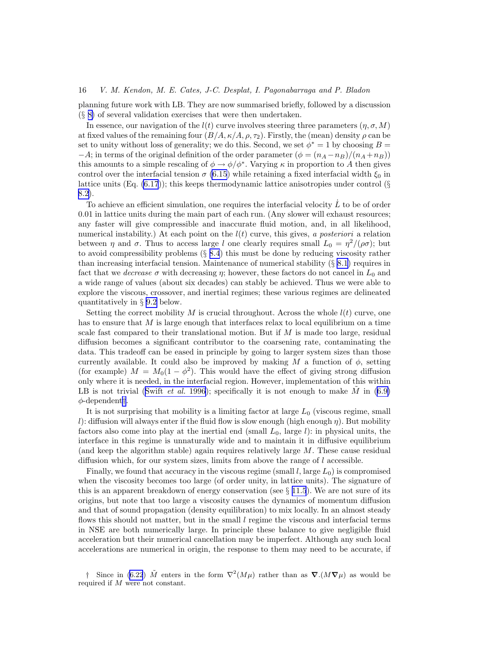<span id="page-15-0"></span>planning future work with LB. They are now summarised briefly, followed by a discussion (§ 8) of several validation exercises that were then undertaken.

In essence, our navigation of the  $l(t)$  curve involves steering three parameters  $(\eta, \sigma, M)$ at fixed values of the remaining four  $(B/A, \kappa/A, \rho, \tau_2)$ . Firstly, the (mean) density  $\rho$  can be set to unity without loss of generality; we do this. Second, we set  $\phi^* = 1$  by choosing  $B =$  $-A$ ; in terms of the original definition of the order parameter  $(\phi = (n_A - n_B)/(n_A + n_B))$ this amounts to a simple rescaling of  $\phi \to \phi/\phi^*$ . Varying  $\kappa$  in proportion to A then gives control over the interfacial tension  $\sigma$  [\(6.15](#page-11-0)) while retaining a fixed interfacial width  $\xi_0$  in lattice units (Eq.  $(6.17)$  $(6.17)$ ); this keeps thermodynamic lattice anisotropies under control  $(\S$ [8.2\)](#page-16-0).

To achieve an efficient simulation, one requires the interfacial velocity  $L$  to be of order 0.01 in lattice units during the main part of each run. (Any slower will exhaust resources; any faster will give compressible and inaccurate fluid motion, and, in all likelihood, numerical instability.) At each point on the  $l(t)$  curve, this gives, a posteriori a relation between  $\eta$  and  $\sigma$ . Thus to access large l one clearly requires small  $L_0 = \eta^2/(\rho \sigma)$ ; but to avoid compressibility problems (§ [8.4](#page-18-0)) this must be done by reducing viscosity rather than increasing interfacial tension. Maintenance of numerical stability (§ 8.1) requires in fact that we *decrease*  $\sigma$  with decreasing  $\eta$ ; however, these factors do not cancel in  $L_0$  and a wide range of values (about six decades) can stably be achieved. Thus we were able to explore the viscous, crossover, and inertial regimes; these various regimes are delineated quantitatively in § [9.2](#page-21-0) below.

Setting the correct mobility  $M$  is crucial throughout. Across the whole  $l(t)$  curve, one has to ensure that  $M$  is large enough that interfaces relax to local equilibrium on a time scale fast compared to their translational motion. But if  $M$  is made too large, residual diffusion becomes a significant contributor to the coarsening rate, contaminating the data. This tradeoff can be eased in principle by going to larger system sizes than those currently available. It could also be improved by making M a function of  $\phi$ , setting (for example)  $M = M_0(1 - \phi^2)$ . This would have the effect of giving strong diffusion only where it is needed, in the interfacial region. However, implementation of this within LB is not trivial (Swift *[et al.](#page-47-0)* 1996); specifically it is not enough to make M in  $(6.9)$  $(6.9)$ φ-dependent[†](#page-14-0).

It is not surprising that mobility is a limiting factor at large  $L_0$  (viscous regime, small l): diffusion will always enter if the fluid flow is slow enough (high enough  $\eta$ ). But mobility factors also come into play at the inertial end (small  $L_0$ , large l): in physical units, the interface in this regime is unnaturally wide and to maintain it in diffusive equilibrium (and keep the algorithm stable) again requires relatively large  $M$ . These cause residual diffusion which, for our system sizes, limits from above the range of l accessible.

Finally, we found that accuracy in the viscous regime (small  $l$ , large  $L_0$ ) is compromised when the viscosity becomes too large (of order unity, in lattice units). The signature of this is an apparent breakdown of energy conservation (see  $\S 11.5$  $\S 11.5$ ). We are not sure of its origins, but note that too large a viscosity causes the dynamics of momentum diffusion and that of sound propagation (density equilibration) to mix locally. In an almost steady flows this should not matter, but in the small  $l$  regime the viscous and interfacial terms in NSE are both numerically large. In principle these balance to give negligible fluid acceleration but their numerical cancellation may be imperfect. Although any such local accelerations are numerical in origin, the response to them may need to be accurate, if

† Since in [\(6.22](#page-13-0))  $\tilde{M}$  enters in the form  $\nabla^2(M\mu)$  rather than as  $\nabla.(M\nabla\mu)$  as would be required if M were not constant.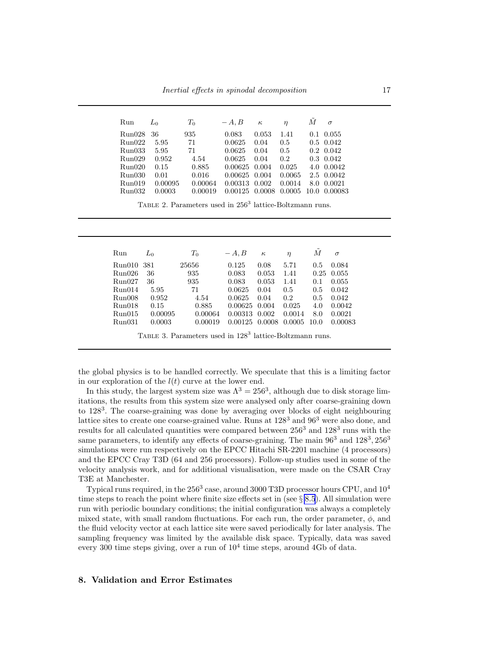<span id="page-16-0"></span>

| Run    | $L_0$   | $T_0$   | $-A, B$        | $\kappa$ | $\eta$ | $\overline{M}$ | $\sigma$          |
|--------|---------|---------|----------------|----------|--------|----------------|-------------------|
| Run028 | 36      | 935     | 0.083          | 0.053    | 1.41   |                | $0.1 \quad 0.055$ |
| Run022 | 5.95    | 71      | 0.0625         | 0.04     | 0.5    |                | $0.5 \quad 0.042$ |
| Run033 | 5.95    | 71      | 0.0625         | 0.04     | 0.5    |                | $0.2 \quad 0.042$ |
| Run029 | 0.952   | 4.54    | 0.0625         | 0.04     | 0.2    |                | 0.3 0.042         |
| Run020 | 0.15    | 0.885   | 0.00625 0.004  |          | 0.025  |                | 4.0 0.0042        |
| Run030 | 0.01    | 0.016   | 0.00625 0.004  |          | 0.0065 |                | 2.5 0.0042        |
| Run019 | 0.00095 | 0.00064 | 0.00313        | 0.002    | 0.0014 | 8.0            | 0.0021            |
| Run032 | 0.0003  | 0.00019 | 0.00125 0.0008 |          | 0.0005 |                | 10.0 0.00083      |

TABLE 2. Parameters used in 256<sup>3</sup> lattice-Boltzmann runs.

| Run    | $L_0$   | $T_0$   | $-A, B$        | $\kappa$ | $\eta$ | $\boldsymbol{M}$ | $\sigma$       |
|--------|---------|---------|----------------|----------|--------|------------------|----------------|
| Run010 | -381    | 25656   | 0.125          | 0.08     | 5.71   | 0.5              | 0.084          |
| Run026 | 36      | 935     | 0.083          | 0.053    | 1.41   |                  | $0.25$ $0.055$ |
| Run027 | 36      | 935     | 0.083          | 0.053    | 1.41   | 0.1              | 0.055          |
| Run014 | 5.95    | 71      | 0.0625         | 0.04     | 0.5    | $0.5^{\circ}$    | 0.042          |
| Run008 | 0.952   | 4.54    | 0.0625         | 0.04     | 0.2    | 0.5              | 0.042          |
| Run018 | 0.15    | 0.885   | 0.00625 0.004  |          | 0.025  | 4.0              | 0.0042         |
| Run015 | 0.00095 | 0.00064 | 0.00313 0.002  |          | 0.0014 | 8.0              | 0.0021         |
| Run031 | 0.0003  | 0.00019 | 0.00125 0.0008 |          | 0.0005 | 10.0             | 0.00083        |

the global physics is to be handled correctly. We speculate that this is a limiting factor in our exploration of the  $l(t)$  curve at the lower end.

In this study, the largest system size was  $\Lambda^3 = 256^3$ , although due to disk storage limitations, the results from this system size were analysed only after coarse-graining down to 128<sup>3</sup>. The coarse-graining was done by averaging over blocks of eight neighbouring lattice sites to create one coarse-grained value. Runs at  $128^3$  and  $96^3$  were also done, and results for all calculated quantities were compared between  $256<sup>3</sup>$  and  $128<sup>3</sup>$  runs with the same parameters, to identify any effects of coarse-graining. The main  $96^3$  and  $128^3, 256^3$ simulations were run respectively on the EPCC Hitachi SR-2201 machine (4 processors) and the EPCC Cray T3D (64 and 256 processors). Follow-up studies used in some of the velocity analysis work, and for additional visualisation, were made on the CSAR Cray T3E at Manchester.

Typical runs required, in the  $256^3$  case, around 3000 T3D processor hours CPU, and  $10^4$ time steps to reach the point where finite size effects set in (see  $\S 8.5$  $\S 8.5$ ). All simulation were run with periodic boundary conditions; the initial configuration was always a completely mixed state, with small random fluctuations. For each run, the order parameter,  $\phi$ , and the fluid velocity vector at each lattice site were saved periodically for later analysis. The sampling frequency was limited by the available disk space. Typically, data was saved every 300 time steps giving, over a run of  $10^4$  time steps, around 4Gb of data.

## 8. Validation and Error Estimates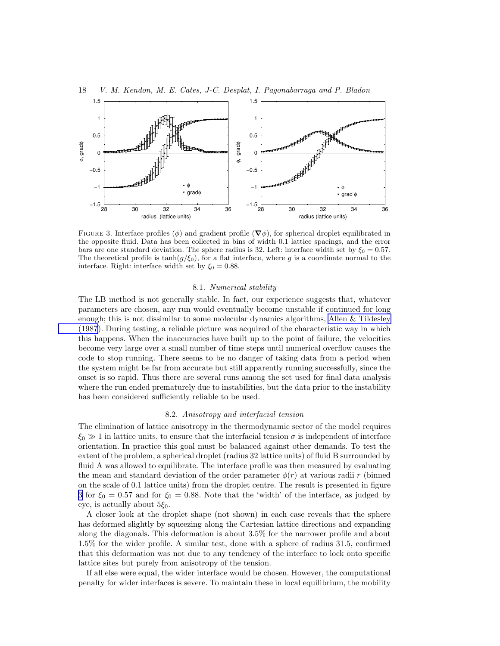

<span id="page-17-0"></span>18 V. M. Kendon, M. E. Cates, J-C. Desplat, I. Pagonabarraga and P. Bladon

FIGURE 3. Interface profiles ( $\phi$ ) and gradient profile ( $\nabla \phi$ ), for spherical droplet equilibrated in the opposite fluid. Data has been collected in bins of width 0.1 lattice spacings, and the error bars are one standard deviation. The sphere radius is 32. Left: interface width set by  $\xi_0 = 0.57$ . The theoretical profile is  $tanh(g/\xi_0)$ , for a flat interface, where g is a coordinate normal to the interface. Right: interface width set by  $\xi_0 = 0.88$ .

#### 8.1. Numerical stability

The LB method is not generally stable. In fact, our experience suggests that, whatever parameters are chosen, any run would eventually become unstable if continued for long enough; this is not dissimilar to some molecular dynamics algorithms, [Allen & Tildesley](#page-46-0) [\(1987\)](#page-46-0). During testing, a reliable picture was acquired of the characteristic way in which this happens. When the inaccuracies have built up to the point of failure, the velocities become very large over a small number of time steps until numerical overflow causes the code to stop running. There seems to be no danger of taking data from a period when the system might be far from accurate but still apparently running successfully, since the onset is so rapid. Thus there are several runs among the set used for final data analysis where the run ended prematurely due to instabilities, but the data prior to the instability has been considered sufficiently reliable to be used.

#### 8.2. Anisotropy and interfacial tension

The elimination of lattice anisotropy in the thermodynamic sector of the model requires  $\xi_0 \gg 1$  in lattice units, to ensure that the interfacial tension  $\sigma$  is independent of interface orientation. In practice this goal must be balanced against other demands. To test the extent of the problem, a spherical droplet (radius 32 lattice units) of fluid B surrounded by fluid A was allowed to equilibrate. The interface profile was then measured by evaluating the mean and standard deviation of the order parameter  $\phi(r)$  at various radii r (binned on the scale of 0.1 lattice units) from the droplet centre. The result is presented in figure [3](#page-16-0) for  $\xi_0 = 0.57$  and for  $\xi_0 = 0.88$ . Note that the 'width' of the interface, as judged by eye, is actually about  $5\xi_0$ .

A closer look at the droplet shape (not shown) in each case reveals that the sphere has deformed slightly by squeezing along the Cartesian lattice directions and expanding along the diagonals. This deformation is about 3.5% for the narrower profile and about 1.5% for the wider profile. A similar test, done with a sphere of radius 31.5, confirmed that this deformation was not due to any tendency of the interface to lock onto specific lattice sites but purely from anisotropy of the tension.

If all else were equal, the wider interface would be chosen. However, the computational penalty for wider interfaces is severe. To maintain these in local equilibrium, the mobility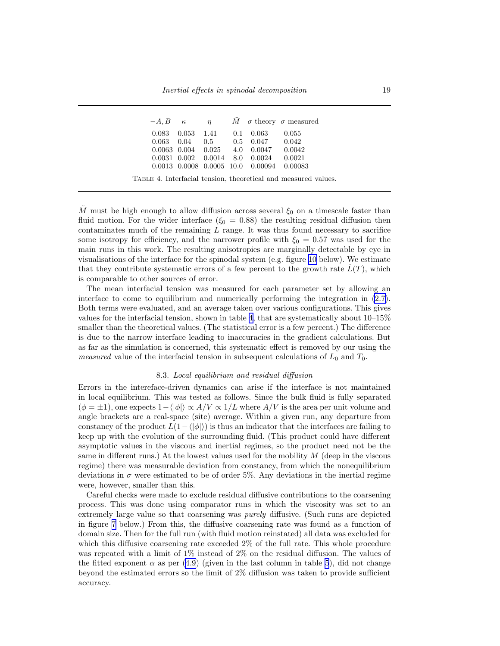<span id="page-18-0"></span>

|                                                                | $-A, B \kappa$ |       | $\eta$                        |     |                                   | M $\sigma$ theory $\sigma$ measured |  |
|----------------------------------------------------------------|----------------|-------|-------------------------------|-----|-----------------------------------|-------------------------------------|--|
|                                                                | 0.083          | 0.053 | 1.41                          | 0.1 | 0.063                             | 0.055                               |  |
|                                                                | 0.063          | 0.04  |                               |     | $0.5$ $0.5$ $0.047$ $0.042$       |                                     |  |
|                                                                |                |       | $0.0063$ $0.004$ $0.025$ 4.0  |     | 0.0047                            | 0.0042                              |  |
|                                                                |                |       | $0.0031$ $0.002$ $0.0014$ 8.0 |     | 0.0024                            | 0.0021                              |  |
|                                                                |                |       |                               |     | 0.0013 0.0008 0.0005 10.0 0.00094 | 0.00083                             |  |
| TABLE 4. Interfacial tension, theoretical and measured values. |                |       |                               |     |                                   |                                     |  |

M must be high enough to allow diffusion across several  $\xi_0$  on a timescale faster than fluid motion. For the wider interface ( $\xi_0 = 0.88$ ) the resulting residual diffusion then contaminates much of the remaining  $L$  range. It was thus found necessary to sacrifice some isotropy for efficiency, and the narrower profile with  $\xi_0 = 0.57$  was used for the main runs in this work. The resulting anisotropies are marginally detectable by eye in visualisations of the interface for the spinodal system (e.g. figure [10](#page-27-0) below). We estimate that they contribute systematic errors of a few percent to the growth rate  $\hat{L}(T)$ , which is comparable to other sources of error.

The mean interfacial tension was measured for each parameter set by allowing an interface to come to equilibrium and numerically performing the integration in [\(2.7](#page-4-0)). Both terms were evaluated, and an average taken over various configurations. This gives values for the interfacial tension, shown in table [4,](#page-17-0) that are systematically about  $10-15\%$ smaller than the theoretical values. (The statistical error is a few percent.) The difference is due to the narrow interface leading to inaccuracies in the gradient calculations. But as far as the simulation is concerned, this systematic effect is removed by our using the *measured* value of the interfacial tension in subsequent calculations of  $L_0$  and  $T_0$ .

#### 8.3. Local equilibrium and residual diffusion

Errors in the intereface-driven dynamics can arise if the interface is not maintained in local equilibrium. This was tested as follows. Since the bulk fluid is fully separated  $(\phi = \pm 1)$ , one expects  $1 - \langle |\phi| \rangle \propto A/V \propto 1/L$  where  $A/V$  is the area per unit volume and angle brackets are a real-space (site) average. Within a given run, any departure from constancy of the product  $L(1-\langle |\phi| \rangle)$  is thus an indicator that the interfaces are failing to keep up with the evolution of the surrounding fluid. (This product could have different asymptotic values in the viscous and inertial regimes, so the product need not be the same in different runs.) At the lowest values used for the mobility  $M$  (deep in the viscous regime) there was measurable deviation from constancy, from which the nonequilibrium deviations in  $\sigma$  were estimated to be of order 5%. Any deviations in the inertial regime were, however, smaller than this.

Careful checks were made to exclude residual diffusive contributions to the coarsening process. This was done using comparator runs in which the viscosity was set to an extremely large value so that coarsening was purely diffusive. (Such runs are depicted in figure [7](#page-23-0) below.) From this, the diffusive coarsening rate was found as a function of domain size. Then for the full run (with fluid motion reinstated) all data was excluded for which this diffusive coarsening rate exceeded 2% of the full rate. This whole procedure was repeated with a limit of 1% instead of 2% on the residual diffusion. The values of the fitted exponent  $\alpha$  as per [\(4.9](#page-7-0)) (given in the last column in table [5](#page-22-0)), did not change beyond the estimated errors so the limit of 2% diffusion was taken to provide sufficient accuracy.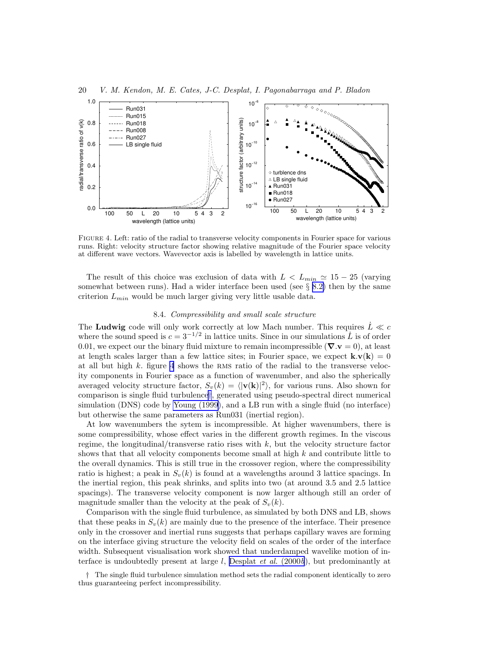<span id="page-19-0"></span>

Figure 4. Left: ratio of the radial to transverse velocity components in Fourier space for various runs. Right: velocity structure factor showing relative magnitude of the Fourier space velocity at different wave vectors. Wavevector axis is labelled by wavelength in lattice units.

The result of this choice was exclusion of data with  $L < L_{min} \simeq 15 - 25$  (varying somewhat between runs). Had a wider interface been used (see  $\S$  [8.2\)](#page-16-0) then by the same criterion  $L_{min}$  would be much larger giving very little usable data.

## 8.4. Compressibility and small scale structure

The Ludwig code will only work correctly at low Mach number. This requires  $\dot{L} \ll c$ where the sound speed is  $c = 3^{-1/2}$  in lattice units. Since in our simulations  $\dot{L}$  is of order 0.01, we expect our the binary fluid mixture to remain incompressible ( $\nabla \cdot \mathbf{v} = 0$ ), at least at length scales larger than a few lattice sites; in Fourier space, we expect  $\mathbf{k} \cdot \mathbf{v}(\mathbf{k}) = 0$ at all but high  $k$ . figure [4](#page-18-0) shows the RMS ratio of the radial to the transverse velocity components in Fourier space as a function of wavenumber, and also the spherically averaged velocity structure factor,  $S_v(k) = \langle |\mathbf{v}(\mathbf{k})|^2 \rangle$ , for various runs. Also shown for comparison is single fluid turbulence[†](#page-18-0), generated using pseudo-spectral direct numerical simulation (DNS) code by [Young \(1999](#page-47-0)), and a LB run with a single fluid (no interface) but otherwise the same parameters as Run031 (inertial region).

At low wavenumbers the sytem is incompressible. At higher wavenumbers, there is some compressibility, whose effect varies in the different growth regimes. In the viscous regime, the longitudinal/transverse ratio rises with  $k$ , but the velocity structure factor shows that that all velocity components become small at high  $k$  and contribute little to the overall dynamics. This is still true in the crossover region, where the compressibility ratio is highest; a peak in  $S_n(k)$  is found at a wavelengths around 3 lattice spacings. In the inertial region, this peak shrinks, and splits into two (at around 3.5 and 2.5 lattice spacings). The transverse velocity component is now larger although still an order of magnitude smaller than the velocity at the peak of  $S_v(k)$ .

Comparison with the single fluid turbulence, as simulated by both DNS and LB, shows that these peaks in  $S_n(k)$  are mainly due to the presence of the interface. Their presence only in the crossover and inertial runs suggests that perhaps capillary waves are forming on the interface giving structure the velocity field on scales of the order of the interface width. Subsequent visualisation work showed that underdamped wavelike motion of interface is undoubtedly present at large  $l$ , [Desplat](#page-46-0) *et al.* (2000*b*), but predominantly at

† The single fluid turbulence simulation method sets the radial component identically to zero thus guaranteeing perfect incompressibility.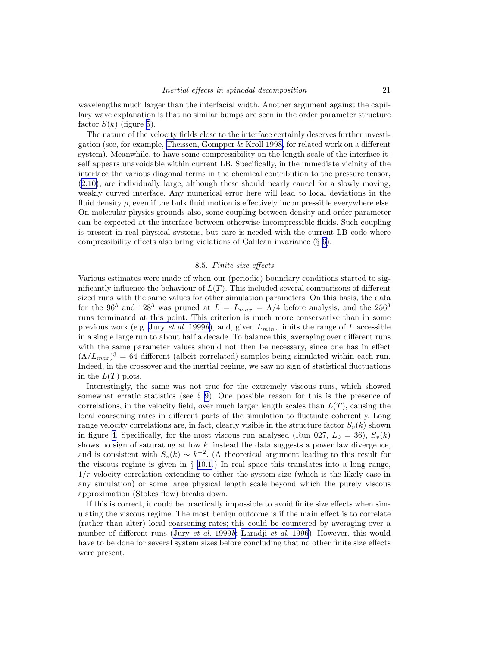<span id="page-20-0"></span>wavelengths much larger than the interfacial width. Another argument against the capillary wave explanation is that no similar bumps are seen in the order parameter structure factor  $S(k)$  (figure 5).

The nature of the velocity fields close to the interface certainly deserves further investigation (see, for example, [Theissen, Gompper & Kroll 1998,](#page-47-0) for related work on a different system). Meanwhile, to have some compressibility on the length scale of the interface itself appears unavoidable within current LB. Specifically, in the immediate vicinity of the interface the various diagonal terms in the chemical contribution to the pressure tensor, ([2.10\)](#page-4-0), are individually large, although these should nearly cancel for a slowly moving, weakly curved interface. Any numerical error here will lead to local deviations in the fluid density  $\rho$ , even if the bulk fluid motion is effectively incompressible everywhere else. On molecular physics grounds also, some coupling between density and order parameter can be expected at the interface between otherwise incompressible fluids. Such coupling is present in real physical systems, but care is needed with the current LB code where compressibility effects also bring violations of Galilean invariance  $(\S 6)$  $(\S 6)$ .

## 8.5. Finite size effects

Various estimates were made of when our (periodic) boundary conditions started to significantly influence the behaviour of  $L(T)$ . This included several comparisons of different sized runs with the same values for other simulation parameters. On this basis, the data for the 96<sup>3</sup> and 128<sup>3</sup> was pruned at  $L = L_{max} = \Lambda/4$  before analysis, and the 256<sup>3</sup> runs terminated at this point. This criterion is much more conservative than in some previous work (e.g. Jury *[et al.](#page-47-0)* 1999b), and, given  $L_{min}$ , limits the range of L accessible in a single large run to about half a decade. To balance this, averaging over different runs with the same parameter values should not then be necessary, since one has in effect  $(\Lambda/L_{max})^3 = 64$  different (albeit correlated) samples being simulated within each run. Indeed, in the crossover and the inertial regime, we saw no sign of statistical fluctuations in the  $L(T)$  plots.

Interestingly, the same was not true for the extremely viscous runs, which showed somewhat erratic statistics (see  $\S$  [9\)](#page-19-0). One possible reason for this is the presence of correlations, in the velocity field, over much larger length scales than  $L(T)$ , causing the local coarsening rates in different parts of the simulation to fluctuate coherently. Long range velocity correlations are, in fact, clearly visible in the structure factor  $S_v(k)$  shown in figure [4.](#page-18-0) Specifically, for the most viscous run analysed (Run 027,  $L_0 = 36$ ),  $S_v(k)$ shows no sign of saturating at low  $k$ ; instead the data suggests a power law divergence, and is consistent with  $S_v(k) \sim k^{-2}$ . (A theoretical argument leading to this result for the viscous regime is given in  $\S$  [10.1.](#page-26-0)) In real space this translates into a long range,  $1/r$  velocity correlation extending to either the system size (which is the likely case in any simulation) or some large physical length scale beyond which the purely viscous approximation (Stokes flow) breaks down.

If this is correct, it could be practically impossible to avoid finite size effects when simulating the viscous regime. The most benign outcome is if the main effect is to correlate (rather than alter) local coarsening rates; this could be countered by averaging over a number of different runs (Jury *[et al.](#page-47-0)* 1999*b*; [Laradji](#page-47-0) *et al.* 1996). However, this would have to be done for several system sizes before concluding that no other finite size effects were present.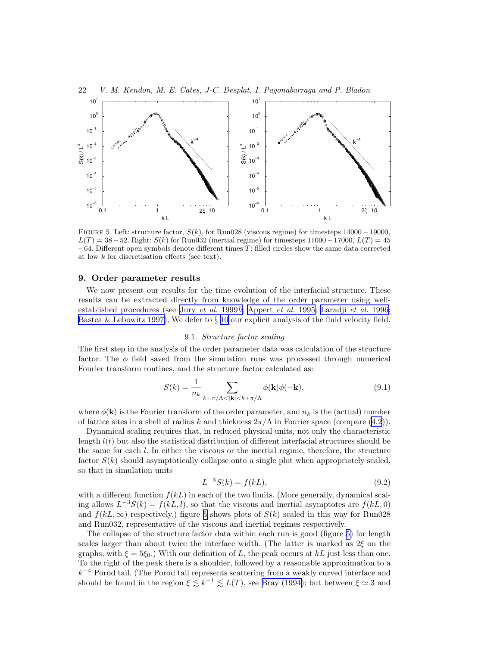<span id="page-21-0"></span>

FIGURE 5. Left: structure factor,  $S(k)$ , for Run028 (viscous regime) for timesteps 14000 – 19000,  $L(T) = 38 - 52$ . Right:  $S(k)$  for Run032 (inertial regime) for timesteps 11000 – 17000,  $L(T) = 45$  $-64.$  Different open symbols denote different times  $T$ ; filled circles show the same data corrected at low k for discretisation effects (see text).

#### 9. Order parameter results

We now present our results for the time evolution of the interfacial structure. These results can be extracted directly from knowledge of the order parameter using wellestablished procedures (see Jury *[et al.](#page-47-0)* 1999*b*; [Appert](#page-46-0) *et al.* 1995; [Laradji](#page-47-0) *et al.* 1996; [Bastea & Lebowitz 1997\)](#page-46-0). We defer to  $\S$  [10](#page-26-0) our explicit analysis of the fluid velocity field.

#### 9.1. Structure factor scaling

The first step in the analysis of the order parameter data was calculation of the structure factor. The  $\phi$  field saved from the simulation runs was processed through numerical Fourier transform routines, and the structure factor calculated as:

$$
S(k) = \frac{1}{n_k} \sum_{k - \pi/\Lambda < |\mathbf{k}| < k + \pi/\Lambda} \phi(\mathbf{k}) \phi(-\mathbf{k}),\tag{9.1}
$$

where  $\phi(\mathbf{k})$  is the Fourier transform of the order parameter, and  $n_k$  is the (actual) number of lattice sites in a shell of radius k and thickness  $2\pi/\Lambda$  in Fourier space (compare [\(4.2](#page-5-0))).

Dynamical scaling requires that, in reduced physical units, not only the characteristic length  $l(t)$  but also the statistical distribution of different interfacial structures should be the same for each  $l$ . In either the viscous or the inertial regime, therefore, the structure factor  $S(k)$  should asymptotically collapse onto a single plot when appropriately scaled, so that in simulation units

$$
L^{-3}S(k) = f(kL),
$$
\n(9.2)

with a different function  $f(kL)$  in each of the two limits. (More generally, dynamical scaling allows  $L^{-3}S(k) = f(kL, l)$ , so that the viscous and inertial asymptotes are  $f(kL, 0)$ and  $f(kL,\infty)$  respectively.) figure [5](#page-20-0) shows plots of  $S(k)$  scaled in this way for Run028 and Run032, representative of the viscous and inertial regimes respectively.

The collapse of the structure factor data within each run is good (figure [5\)](#page-20-0) for length scales larger than about twice the interface width. (The latter is marked as  $2\xi$  on the graphs, with  $\xi = 5\xi_0$ .) With our definition of L, the peak occurs at kL just less than one. To the right of the peak there is a shoulder, followed by a reasonable approximation to a  $k^{-4}$  Porod tail. (The Porod tail represents scattering from a weakly curved interface and should be found in the region  $\xi \lesssim k^{-1} \lesssim L(T)$ , see [Bray \(1994\)](#page-46-0); but between  $\xi \simeq 3$  and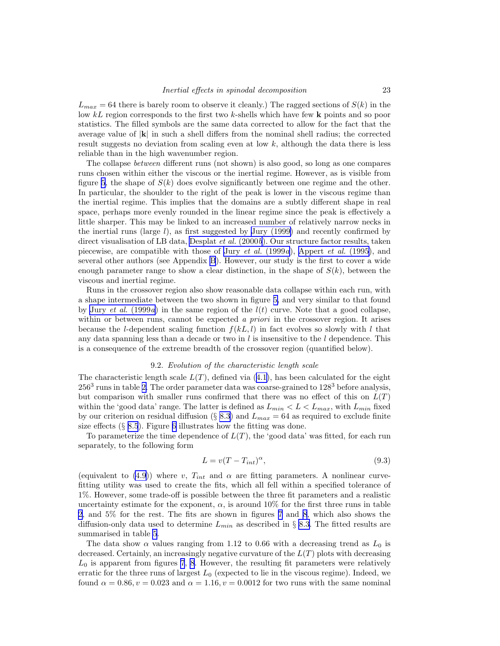<span id="page-22-0"></span> $L_{max} = 64$  there is barely room to observe it cleanly.) The ragged sections of  $S(k)$  in the low kL region corresponds to the first two k-shells which have few **k** points and so poor statistics. The filled symbols are the same data corrected to allow for the fact that the average value of |k| in such a shell differs from the nominal shell radius; the corrected result suggests no deviation from scaling even at low  $k$ , although the data there is less reliable than in the high wavenumber region.

The collapse between different runs (not shown) is also good, so long as one compares runs chosen within either the viscous or the inertial regime. However, as is visible from figure [5](#page-20-0), the shape of  $S(k)$  does evolve significantly between one regime and the other. In particular, the shoulder to the right of the peak is lower in the viscous regime than the inertial regime. This implies that the domains are a subtly different shape in real space, perhaps more evenly rounded in the linear regime since the peak is effectively a little sharper. This may be linked to an increased number of relatively narrow necks in the inertial runs (large  $l$ ), as first suggested by [Jury \(1999\)](#page-47-0) and recently confirmed by direct visualisation of LB data, [Desplat](#page-46-0) et al. (2000b). Our structure factor results, taken piecewise, are compatible with those of Jury *et al.* [\(1999](#page-47-0)*a*), [Appert](#page-46-0) *et al.* (1995), and several other authors (see Appendix [B](#page-42-0)). However, our study is the first to cover a wide enough parameter range to show a clear distinction, in the shape of  $S(k)$ , between the viscous and inertial regime.

Runs in the crossover region also show reasonable data collapse within each run, with a shape intermediate between the two shown in figure [5,](#page-20-0) and very similar to that found by Jury *et al.* [\(1999](#page-47-0)*a*) in the same region of the  $l(t)$  curve. Note that a good collapse, within or between runs, cannot be expected a priori in the crossover region. It arises because the l-dependent scaling function  $f(kL, l)$  in fact evolves so slowly with l that any data spanning less than a decade or two in  $l$  is insensitive to the  $l$  dependence. This is a consequence of the extreme breadth of the crossover region (quantified below).

#### 9.2. Evolution of the characteristic length scale

The characteristic length scale  $L(T)$ , defined via ([4.1\)](#page-5-0), has been calculated for the eight 256<sup>3</sup> runs in table [2.](#page-15-0) The order parameter data was coarse-grained to 128<sup>3</sup> before analysis, but comparison with smaller runs confirmed that there was no effect of this on  $L(T)$ within the 'good data' range. The latter is defined as  $L_{min} < L < L_{max}$ , with  $L_{min}$  fixed by our criterion on residual diffusion (§ [8.3](#page-17-0)) and  $L_{max} = 64$  as required to exclude finite size effects  $(\S 8.5)$  $(\S 8.5)$  $(\S 8.5)$ . Figure 6 illustrates how the fitting was done.

To parameterize the time dependence of  $L(T)$ , the 'good data' was fitted, for each run separately, to the following form

$$
L = v(T - T_{int})^{\alpha},\tag{9.3}
$$

(equivalent to [\(4.9](#page-7-0))) where v,  $T_{int}$  and  $\alpha$  are fitting parameters. A nonlinear curvefitting utility was used to create the fits, which all fell within a specified tolerance of 1%. However, some trade-off is possible between the three fit parameters and a realistic uncertainty estimate for the exponent,  $\alpha$ , is around 10% for the first three runs in table [2,](#page-15-0) and 5% for the rest. The fits are shown in figures [7](#page-23-0) and [8](#page-24-0), which also shows the diffusion-only data used to determine  $L_{min}$  as described in § [8.3](#page-17-0). The fitted results are summarised in table 5.

The data show  $\alpha$  values ranging from 1.12 to 0.66 with a decreasing trend as  $L_0$  is decreased. Certainly, an increasingly negative curvature of the  $L(T)$  plots with decreasing  $L_0$  is apparent from figures [7](#page-23-0), [8](#page-24-0). However, the resulting fit parameters were relatively erratic for the three runs of largest  $L_0$  (expected to lie in the viscous regime). Indeed, we found  $\alpha = 0.86, v = 0.023$  and  $\alpha = 1.16, v = 0.0012$  for two runs with the same nominal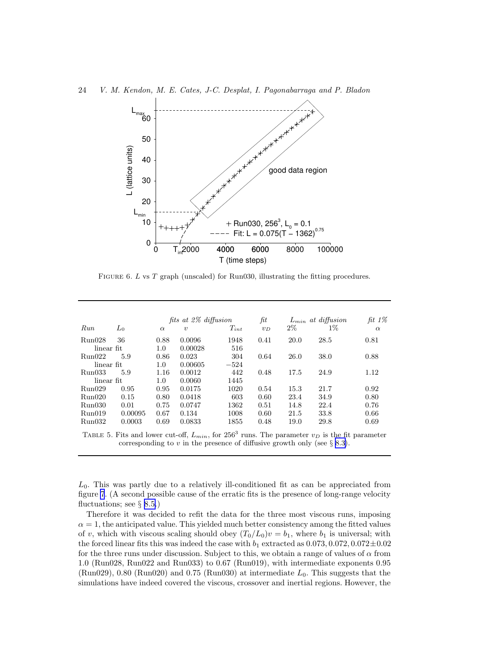<span id="page-23-0"></span>



FIGURE 6. L vs T graph (unscaled) for Run030, illustrating the fitting procedures.

|            |         |          | fits at 2% diffusion |           | fit   |       | $L_{min}$ at diffusion | fit $1\%$ |
|------------|---------|----------|----------------------|-----------|-------|-------|------------------------|-----------|
| Run        | $L_0$   | $\alpha$ | $\eta$               | $T_{int}$ | $v_D$ | $2\%$ | $1\%$                  | $\alpha$  |
| Run028     | 36      | 0.88     | 0.0096               | 1948      | 0.41  | 20.0  | 28.5                   | 0.81      |
| linear fit |         | 1.0      | 0.00028              | 516       |       |       |                        |           |
| Run022     | 5.9     | 0.86     | 0.023                | 304       | 0.64  | 26.0  | 38.0                   | 0.88      |
| linear fit |         | 1.0      | 0.00605              | $-524$    |       |       |                        |           |
| Run033     | 5.9     | 1.16     | 0.0012               | 442       | 0.48  | 17.5  | 24.9                   | 1.12      |
| linear fit |         | 1.0      | 0.0060               | 1445      |       |       |                        |           |
| Run029     | 0.95    | 0.95     | 0.0175               | 1020      | 0.54  | 15.3  | 21.7                   | 0.92      |
| Run020     | 0.15    | 0.80     | 0.0418               | 603       | 0.60  | 23.4  | 34.9                   | 0.80      |
| Run030     | 0.01    | 0.75     | 0.0747               | 1362      | 0.51  | 14.8  | 22.4                   | 0.76      |
| Run019     | 0.00095 | 0.67     | 0.134                | 1008      | 0.60  | 21.5  | 33.8                   | 0.66      |
| Run032     | 0.0003  | 0.69     | 0.0833               | 1855      | 0.48  | 19.0  | 29.8                   | 0.69      |

TABLE 5. Fits and lower cut-off,  $L_{min}$ , for 256<sup>3</sup> runs. The parameter  $v_D$  is the fit parameter corresponding to v in the presence of diffusive growth only (see  $\S 8.3$ ).

 $L_0$ . This was partly due to a relatively ill-conditioned fit as can be appreciated from figure 7. (A second possible cause of the erratic fits is the presence of long-range velocity fluctuations; see  $\S$  [8.5.](#page-19-0))

Therefore it was decided to refit the data for the three most viscous runs, imposing  $\alpha = 1$ , the anticipated value. This yielded much better consistency among the fitted values of v, which with viscous scaling should obey  $(T_0/L_0)v = b_1$ , where  $b_1$  is universal; with the forced linear fits this was indeed the case with  $b_1$  extracted as  $0.073, 0.072, 0.072 \pm 0.02$ for the three runs under discussion. Subject to this, we obtain a range of values of  $\alpha$  from 1.0 (Run028, Run022 and Run033) to 0.67 (Run019), with intermediate exponents 0.95 (Run029), 0.80 (Run020) and 0.75 (Run030) at intermediate  $L_0$ . This suggests that the simulations have indeed covered the viscous, crossover and inertial regions. However, the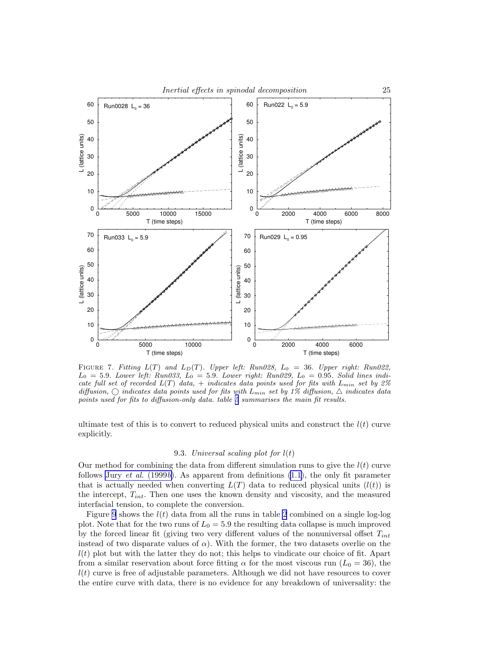<span id="page-24-0"></span>

FIGURE 7. Fitting  $L(T)$  and  $L_D(T)$ . Upper left: Run028,  $L_0 = 36$ . Upper right: Run022,  $L_0 = 5.9$ . Lower left: Run033,  $L_0 = 5.9$ . Lower right: Run029,  $L_0 = 0.95$ . Solid lines indicate full set of recorded  $L(T)$  data, + indicates data points used for fits with  $L_{min}$  set by 2% diffusion,  $\bigcap$  indicates data points used for fits with  $L_{min}$  set by 1% diffusion,  $\bigtriangleup$  indicates data points used for fits to diffusion-only data. table [5](#page-22-0) summarises the main fit results.

ultimate test of this is to convert to reduced physical units and construct the  $l(t)$  curve explicitly.

## 9.3. Universal scaling plot for  $l(t)$

Our method for combining the data from different simulation runs to give the  $l(t)$  curve follows Jury *et al.* [\(1999](#page-47-0)b). As apparent from definitions  $(1.1)$  $(1.1)$ , the only fit parameter that is actually needed when converting  $L(T)$  data to reduced physical units  $(l(t))$  is the intercept,  $T_{int}$ . Then one uses the known density and viscosity, and the measured interfacial tension, to complete the conversion.

Figure [9](#page-25-0) shows the  $l(t)$  data from all the runs in table [2](#page-15-0) combined on a single log-log plot. Note that for the two runs of  $L_0 = 5.9$  the resulting data collapse is much improved by the forced linear fit (giving two very different values of the nonuniversal offset  $T_{int}$ instead of two disparate values of  $\alpha$ ). With the former, the two datasets overlie on the  $l(t)$  plot but with the latter they do not; this helps to vindicate our choice of fit. Apart from a similar reservation about force fitting  $\alpha$  for the most viscous run  $(L_0 = 36)$ , the  $l(t)$  curve is free of adjustable parameters. Although we did not have resources to cover the entire curve with data, there is no evidence for any breakdown of universality: the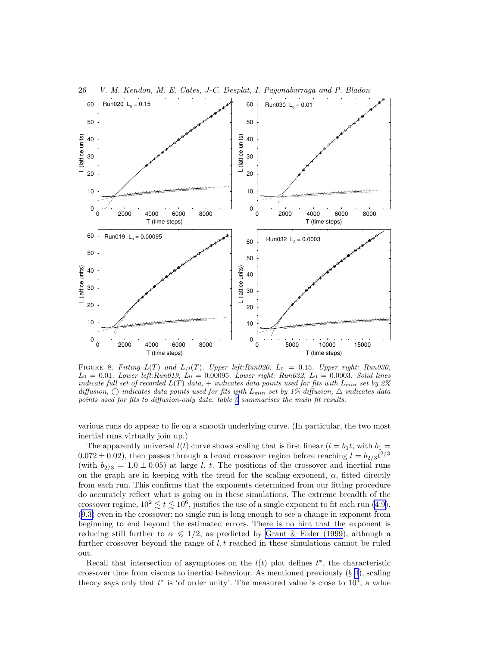<span id="page-25-0"></span>

FIGURE 8. Fitting  $L(T)$  and  $L_D(T)$ . Upper left:Run020,  $L_0 = 0.15$ . Upper right: Run030,  $L_0 = 0.01$ . Lower left:Run019,  $L_0 = 0.00095$ . Lower right: Run032,  $L_0 = 0.0003$ . Solid lines indicate full set of recorded  $L(T)$  data, + indicates data points used for fits with  $L_{min}$  set by 2% diffusion,  $\bigcap$  indicates data points used for fits with  $L_{min}$  set by 1% diffusion,  $\bigtriangleup$  indicates data points used for fits to diffusion-only data. table [5](#page-22-0) summarises the main fit results.

various runs do appear to lie on a smooth underlying curve. (In particular, the two most inertial runs virtually join up.)

The apparently universal  $l(t)$  curve shows scaling that is first linear  $(l = b_1 t$ , with  $b_1 =$  $(0.072 \pm 0.02)$ , then passes through a broad crossover region before reaching  $l = b_{2/3}t^{2/3}$ (with  $b_{2/3} = 1.0 \pm 0.05$ ) at large l, t. The positions of the crossover and inertial runs on the graph are in keeping with the trend for the scaling exponent,  $\alpha$ , fitted directly from each run. This confirms that the exponents determined from our fitting procedure do accurately reflect what is going on in these simulations. The extreme breadth of the crossover regime,  $10^2 \lesssim t \lesssim 10^6$ , justifies the use of a single exponent to fit each run [\(4.9](#page-7-0)), ([9.3\)](#page-21-0) even in the crossover: no single run is long enough to see a change in exponent from beginning to end beyond the estimated errors. There is no hint that the exponent is reducing still further to  $\alpha \leq 1/2$ , as predicted by [Grant & Elder \(1999\)](#page-46-0), although a further crossover beyond the range of  $l, t$  reached in these simulations cannot be ruled out.

Recall that intersection of asymptotes on the  $l(t)$  plot defines  $t^*$ , the characteristic crossover time from viscous to inertial behaviour. As mentioned previously  $(\S 4)$  $(\S 4)$  $(\S 4)$ , scaling theory says only that  $t^*$  is 'of order unity'. The measured value is close to  $10^4$ , a value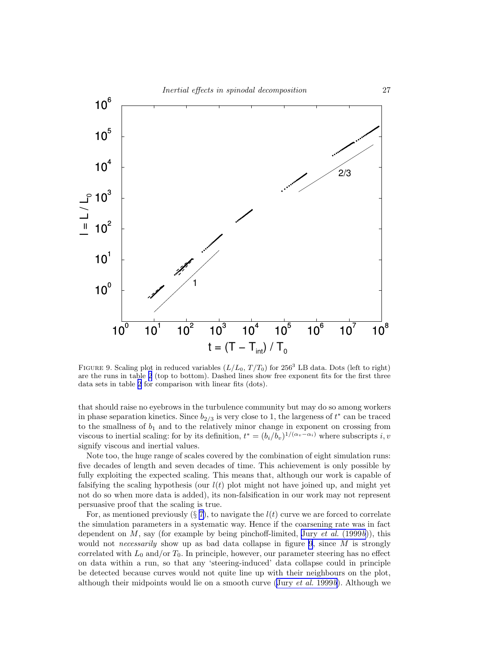<span id="page-26-0"></span>

FIGURE 9. Scaling plot in reduced variables  $(L/L_0, T/T_0)$  for 256<sup>3</sup> LB data. Dots (left to right) are the runs in table [2](#page-15-0) (top to bottom). Dashed lines show free exponent fits for the first three data sets in table [2](#page-15-0) for comparison with linear fits (dots).

that should raise no eyebrows in the turbulence community but may do so among workers in phase separation kinetics. Since  $b_{2/3}$  is very close to 1, the largeness of  $t^*$  can be traced to the smallness of  $b_1$  and to the relatively minor change in exponent on crossing from viscous to inertial scaling: for by its definition,  $t^* = (b_i/b_v)^{1/(\alpha_v - \alpha_i)}$  where subscripts i, v signify viscous and inertial values.

Note too, the huge range of scales covered by the combination of eight simulation runs: five decades of length and seven decades of time. This achievement is only possible by fully exploiting the expected scaling. This means that, although our work is capable of falsifying the scaling hypothesis (our  $l(t)$  plot might not have joined up, and might yet not do so when more data is added), its non-falsification in our work may not represent persuasive proof that the scaling is true.

For, as mentioned previously  $(\S 7)$  $(\S 7)$  $(\S 7)$ , to navigate the  $l(t)$  curve we are forced to correlate the simulation parameters in a systematic way. Hence if the coarsening rate was in fact dependent on  $M$ , say (for example by being pinchoff-limited, Jury *et al.* [\(1999](#page-47-0)b)), this would not *necessarily* show up as bad data collapse in figure [9](#page-25-0), since  $M$  is strongly correlated with  $L_0$  and/or  $T_0$ . In principle, however, our parameter steering has no effect on data within a run, so that any 'steering-induced' data collapse could in principle be detected because curves would not quite line up with their neighbours on the plot, although their midpoints would lie on a smooth curve (Jury  $et \ al.$  1999b). Although we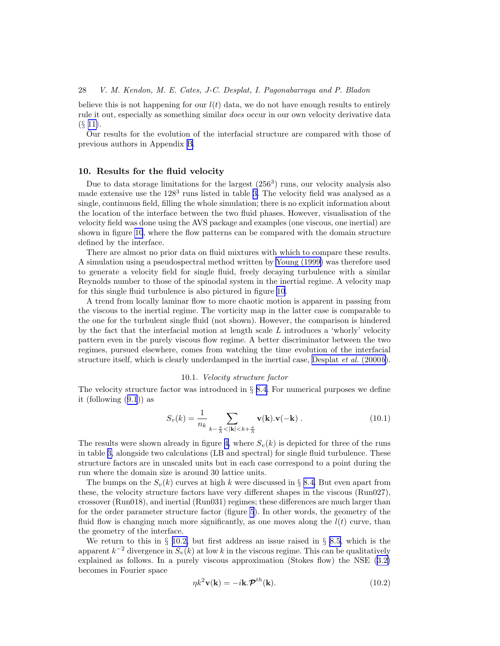<span id="page-27-0"></span>believe this is not happening for our  $l(t)$  data, we do not have enough results to entirely rule it out, especially as something similar does occur in our own velocity derivative data  $(\S 11).$  $(\S 11).$  $(\S 11).$ 

Our results for the evolution of the interfacial structure are compared with those of previous authors in Appendix [B](#page-42-0).

#### 10. Results for the fluid velocity

Due to data storage limitations for the largest  $(256^3)$  runs, our velocity analysis also made extensive use the  $128<sup>3</sup>$  runs listed in table [3.](#page-15-0) The velocity field was analysed as a single, continuous field, filling the whole simulation; there is no explicit information about the location of the interface between the two fluid phases. However, visualisation of the velocity field was done using the AVS package and examples (one viscous, one inertial) are shown in figure 10, where the flow patterns can be compared with the domain structure defined by the interface.

There are almost no prior data on fluid mixtures with which to compare these results. A simulation using a pseudospectral method written by [Young](#page-47-0) (1999) was therefore used to generate a velocity field for single fluid, freely decaying turbulence with a similar Reynolds number to those of the spinodal system in the inertial regime. A velocity map for this single fluid turbulence is also pictured in figure 10.

A trend from locally laminar flow to more chaotic motion is apparent in passing from the viscous to the inertial regime. The vorticity map in the latter case is comparable to the one for the turbulent single fluid (not shown). However, the comparison is hindered by the fact that the interfacial motion at length scale  $L$  introduces a 'whorly' velocity pattern even in the purely viscous flow regime. A better discriminator between the two regimes, pursued elsewhere, comes from watching the time evolution of the interfacial structure itself, which is clearly underdamped in the inertial case, [Desplat](#page-46-0)  $et al. (2000b)$ .

## 10.1. Velocity structure factor

The velocity structure factor was introduced in  $\S$  [8.4.](#page-18-0) For numerical purposes we define it (following  $(9.1)$  $(9.1)$  $(9.1)$ ) as

$$
S_v(k) = \frac{1}{n_k} \sum_{k - \frac{\pi}{\Lambda} < |\mathbf{k}| < k + \frac{\pi}{\Lambda}} \mathbf{v}(\mathbf{k}).\mathbf{v}(-\mathbf{k}).\tag{10.1}
$$

The results were shown already in figure [4,](#page-18-0) where  $S_n(k)$  is depicted for three of the runs in table [3,](#page-15-0) alongside two calculations (LB and spectral) for single fluid turbulence. These structure factors are in unscaled units but in each case correspond to a point during the run where the domain size is around 30 lattice units.

The bumps on the  $S_v(k)$  curves at high k were discussed in § [8.4.](#page-18-0) But even apart from these, the velocity structure factors have very different shapes in the viscous (Run027), crossover (Run018), and inertial (Run031) regimes; these differences are much larger than for the order parameter structure factor (figure [5](#page-20-0)). In other words, the geometry of the fluid flow is changing much more significantly, as one moves along the  $l(t)$  curve, than the geometry of the interface.

We return to this in  $\S$  [10.2,](#page-28-0) but first address an issue raised in  $\S$  [8.5](#page-19-0), which is the apparent  $k^{-2}$  divergence in  $S_v(k)$  at low k in the viscous regime. This can be qualitatively explained as follows. In a purely viscous approximation (Stokes flow) the NSE ([3.2\)](#page-5-0) becomes in Fourier space

$$
\eta k^2 \mathbf{v}(\mathbf{k}) = -i\mathbf{k} \cdot \mathcal{P}^{th}(\mathbf{k}).\tag{10.2}
$$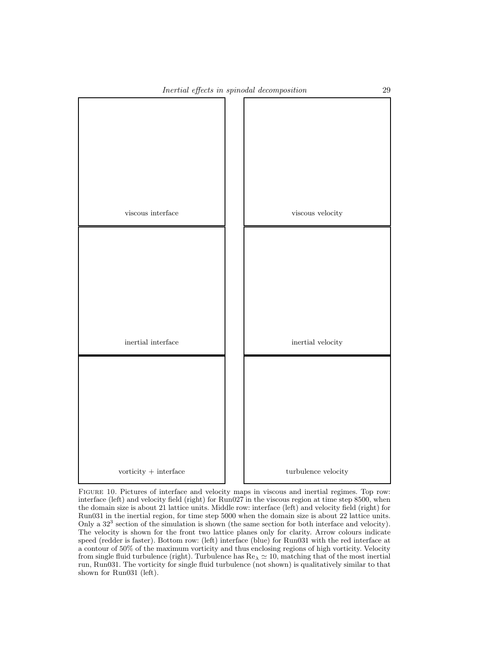<span id="page-28-0"></span>

Figure 10. Pictures of interface and velocity maps in viscous and inertial regimes. Top row: interface (left) and velocity field (right) for Run027 in the viscous region at time step 8500, when the domain size is about 21 lattice units. Middle row: interface (left) and velocity field (right) for Run031 in the inertial region, for time step 5000 when the domain size is about 22 lattice units. Only a  $32<sup>3</sup>$  section of the simulation is shown (the same section for both interface and velocity). The velocity is shown for the front two lattice planes only for clarity. Arrow colours indicate speed (redder is faster). Bottom row: (left) interface (blue) for Run031 with the red interface at a contour of 50% of the maximum vorticity and thus enclosing regions of high vorticity. Velocity from single fluid turbulence (right). Turbulence has  $\text{Re}\lambda \simeq 10$ , matching that of the most inertial run, Run031. The vorticity for single fluid turbulence (not shown) is qualitatively similar to that shown for Run031 (left).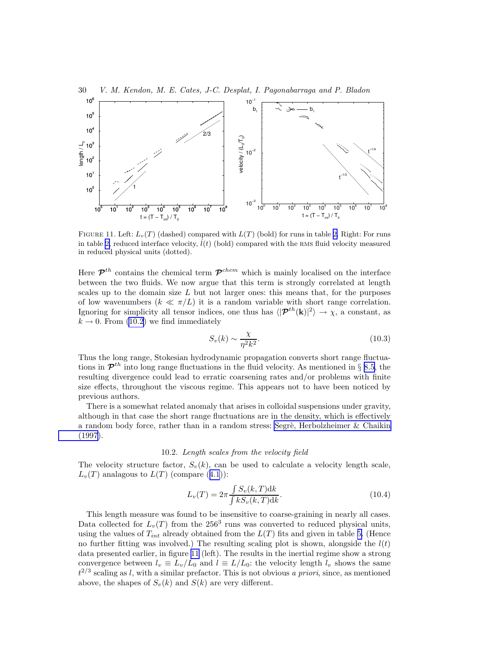<span id="page-29-0"></span>

FIGURE 11. Left:  $L_v(T)$  (dashed) compared with  $L(T)$  (bold) for runs in table [2.](#page-15-0) Right: For runs in table [2,](#page-15-0) reduced interface velocity,  $\dot{l}(t)$  (bold) compared with the RMS fluid velocity measured in reduced physical units (dotted).

Here  $\mathcal{P}^{th}$  contains the chemical term  $\mathcal{P}^{chem}$  which is mainly localised on the interface between the two fluids. We now argue that this term is strongly correlated at length scales up to the domain size  $L$  but not larger ones: this means that, for the purposes of low wavenumbers  $(k \ll \pi/L)$  it is a random variable with short range correlation. Ignoring for simplicity all tensor indices, one thus has  $\langle |\mathcal{P}^{th}(\mathbf{k})|^2 \rangle \to \chi$ , a constant, as  $k \rightarrow 0$ . From [\(10.2\)](#page-26-0) we find immediately

$$
S_v(k) \sim \frac{\chi}{\eta^2 k^2}.\tag{10.3}
$$

Thus the long range, Stokesian hydrodynamic propagation converts short range fluctuations in  $\mathcal{P}^{th}$  into long range fluctuations in the fluid velocity. As mentioned in § [8.5,](#page-19-0) the resulting divergence could lead to erratic coarsening rates and/or problems with finite size effects, throughout the viscous regime. This appears not to have been noticed by previous authors.

There is a somewhat related anomaly that arises in colloidal suspensions under gravity, although in that case the short range fluctuations are in the density, which is effectively a random body force, rather than in a random stress: Segrè, Herbolzheimer  $&$  Chaikin [\(1997\)](#page-47-0).

## 10.2. Length scales from the velocity field

The velocity structure factor,  $S_n(k)$ , can be used to calculate a velocity length scale,  $L_v(T)$  analagous to  $L(T)$  (compare ([4.1](#page-5-0))):

$$
L_v(T) = 2\pi \frac{\int S_v(k, T) \mathrm{d}k}{\int k S_v(k, T) \mathrm{d}k}.
$$
\n(10.4)

This length measure was found to be insensitive to coarse-graining in nearly all cases. Data collected for  $L_v(T)$  from the 256<sup>3</sup> runs was converted to reduced physical units, using the values of  $T_{int}$  already obtained from the  $L(T)$  fits and given in table [5.](#page-22-0) (Hence no further fitting was involved.) The resulting scaling plot is shown, alongside the  $l(t)$ data presented earlier, in figure [11](#page-28-0) (left). The results in the inertial regime show a strong convergence between  $l_v \equiv L_v/L_0$  and  $l \equiv L/L_0$ : the velocity length  $l_v$  shows the same  $t^{2/3}$  scaling as l, with a similar prefactor. This is not obvious a priori, since, as mentioned above, the shapes of  $S_v(k)$  and  $S(k)$  are very different.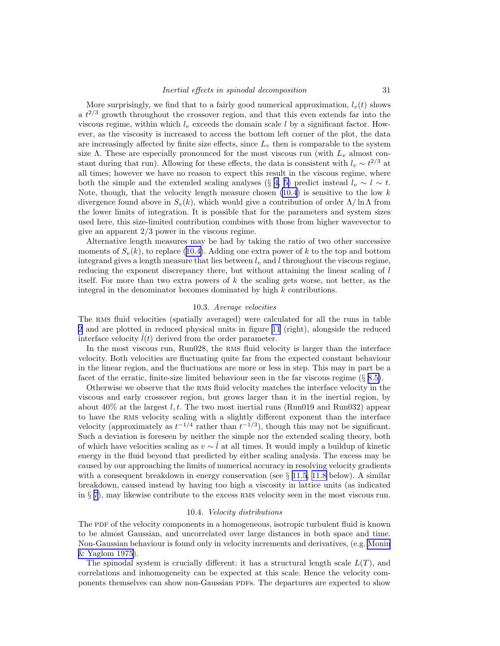<span id="page-30-0"></span>More surprisingly, we find that to a fairly good numerical approximation,  $l_v(t)$  shows a  $t^{2/3}$  growth throughout the crossover region, and that this even extends far into the viscous regime, within which  $l_v$  exceeds the domain scale l by a significant factor. However, as the viscosity is increased to access the bottom left corner of the plot, the data are increasingly affected by finite size effects, since  $L<sub>v</sub>$  then is comparable to the system size Λ. These are especially pronounced for the most viscous run (with  $L_v$  almost constant during that run). Allowing for these effects, the data is consistent with  $l_v \sim t^{2/3}$  at all times; however we have no reason to expect this result in the viscous regime, where both the simple and the extended scaling analyses (§ [4](#page-5-0), [5\)](#page-7-0) predict instead  $l_v \sim l \sim t$ . Note, though, that the velocity length measure chosen  $(10.4)$  is sensitive to the low k divergence found above in  $S_v(k)$ , which would give a contribution of order  $\Lambda/\ln\Lambda$  from the lower limits of integration. It is possible that for the parameters and system sizes used here, this size-limited contribution combines with those from higher wavevector to give an apparent 2/3 power in the viscous regime.

Alternative length measures may be had by taking the ratio of two other successive moments of  $S_v(k)$ , to replace ([10.4\)](#page-28-0). Adding one extra power of k to the top and bottom integrand gives a length measure that lies between  $l_v$  and l throughout the viscous regime, reducing the exponent discrepancy there, but without attaining the linear scaling of l itself. For more than two extra powers of  $k$  the scaling gets worse, not better, as the integral in the denominator becomes dominated by high  $k$  contributions.

#### 10.3. Average velocities

The rms fluid velocities (spatially averaged) were calculated for all the runs in table [2](#page-15-0) and are plotted in reduced physical units in figure [11](#page-28-0) (right), alongside the reduced interface velocity  $\dot{l}(t)$  derived from the order parameter.

In the most viscous run, Run028, the RMS fluid velocity is larger than the interface velocity. Both velocities are fluctuating quite far from the expected constant behaviour in the linear region, and the fluctuations are more or less in step. This may in part be a facet of the erratic, finite-size limited behaviour seen in the far viscous regime (§ [8.5\)](#page-19-0).

Otherwise we observe that the rms fluid velocity matches the interface velocity in the viscous and early crossover region, but grows larger than it in the inertial region, by about  $40\%$  at the largest l, t. The two most inertial runs (Run019 and Run032) appear to have the rms velocity scaling with a slightly different exponent than the interface velocity (approximately as  $t^{-1/4}$  rather than  $t^{-1/3}$ ), though this may not be significant. Such a deviation is foreseen by neither the simple nor the extended scaling theory, both of which have velocities scaling as  $v \sim i$  at all times. It would imply a buildup of kinetic energy in the fluid beyond that predicted by either scaling analysis. The excess may be caused by our approaching the limits of numerical accuracy in resolving velocity gradients with a consequent breakdown in energy conservation (see  $\S 11.5, 11.8$  $\S 11.5, 11.8$  $\S 11.5, 11.8$  below). A similar breakdown, caused instead by having too high a viscosity in lattice units (as indicated in § [7](#page-13-0)), may likewise contribute to the excess rms velocity seen in the most viscous run.

#### 10.4. Velocity distributions

The PDF of the velocity components in a homogeneous, isotropic turbulent fluid is known to be almost Gaussian, and uncorrelated over large distances in both space and time. Non-Gaussian behaviour is found only in velocity increments and derivatives, (e.g. [Monin](#page-47-0) [& Yaglom 1975](#page-47-0)).

The spinodal system is crucially different: it has a structural length scale  $L(T)$ , and correlations and inhomogeneity can be expected at this scale. Hence the velocity components themselves can show non-Gaussian PDFs. The departures are expected to show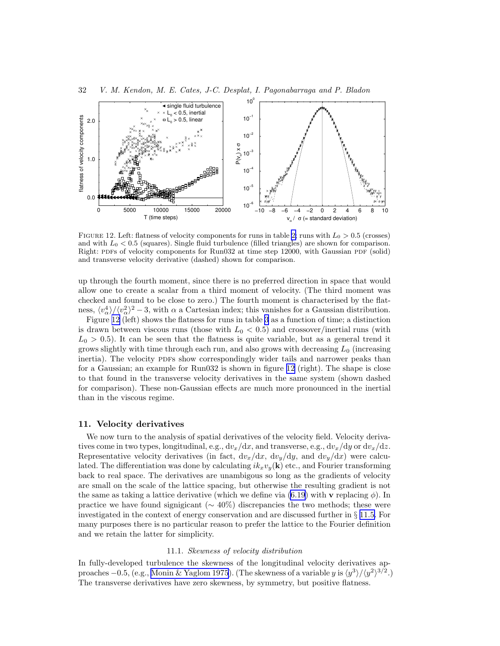<span id="page-31-0"></span>



FIGURE 12. Left: flatness of velocity components for runs in table [2;](#page-15-0) runs with  $L_0 > 0.5$  (crosses) and with  $L_0 < 0.5$  (squares). Single fluid turbulence (filled triangles) are shown for comparison. Right: PDFs of velocity components for Run032 at time step 12000, with Gaussian PDF (solid) and transverse velocity derivative (dashed) shown for comparison.

up through the fourth moment, since there is no preferred direction in space that would allow one to create a scalar from a third moment of velocity. (The third moment was checked and found to be close to zero.) The fourth moment is characterised by the flatness,  $\langle v_\alpha^4 \rangle / \langle v_\alpha^2 \rangle^2 - 3$ , with  $\alpha$  a Cartesian index; this vanishes for a Gaussian distribution.

Figure [12](#page-30-0) (left) shows the flatness for runs in table [3](#page-15-0) as a function of time; a distinction is drawn between viscous runs (those with  $L_0 < 0.5$ ) and crossover/inertial runs (with  $L_0 > 0.5$ ). It can be seen that the flatness is quite variable, but as a general trend it grows slightly with time through each run, and also grows with decreasing  $L_0$  (increasing inertia). The velocity PDFs show correspondingly wider tails and narrower peaks than for a Gaussian; an example for Run032 is shown in figure [12](#page-30-0) (right). The shape is close to that found in the transverse velocity derivatives in the same system (shown dashed for comparison). These non-Gaussian effects are much more pronounced in the inertial than in the viscous regime.

#### 11. Velocity derivatives

We now turn to the analysis of spatial derivatives of the velocity field. Velocity derivatives come in two types, longitudinal, e.g.,  $dv_x/dx$ , and transverse, e.g.,  $dv_x/dy$  or  $dv_x/dz$ . Representative velocity derivatives (in fact,  $dv_x/dx$ ,  $dv_y/dy$ , and  $dv_y/dx$ ) were calculated. The differentiation was done by calculating  $ik_xv_y(\mathbf{k})$  etc., and Fourier transforming back to real space. The derivatives are unambigous so long as the gradients of velocity are small on the scale of the lattice spacing, but otherwise the resulting gradient is not the same as taking a lattice derivative (which we define via  $(6.19)$  with v replacing  $\phi$ ). In practice we have found signigicant ( $\sim 40\%$ ) discrepancies the two methods; these were investigated in the context of energy conservation and are discussed further in § [11.5.](#page-34-0) For many purposes there is no particular reason to prefer the lattice to the Fourier definition and we retain the latter for simplicity.

## 11.1. Skewness of velocity distribution

In fully-developed turbulence the skewness of the longitudinal velocity derivatives approaches  $-0.5$ , (e.g., [Monin & Yaglom 1975\)](#page-47-0). (The skewness of a variable y is  $\langle y^3 \rangle / \langle y^2 \rangle^{3/2}$ .) The transverse derivatives have zero skewness, by symmetry, but positive flatness.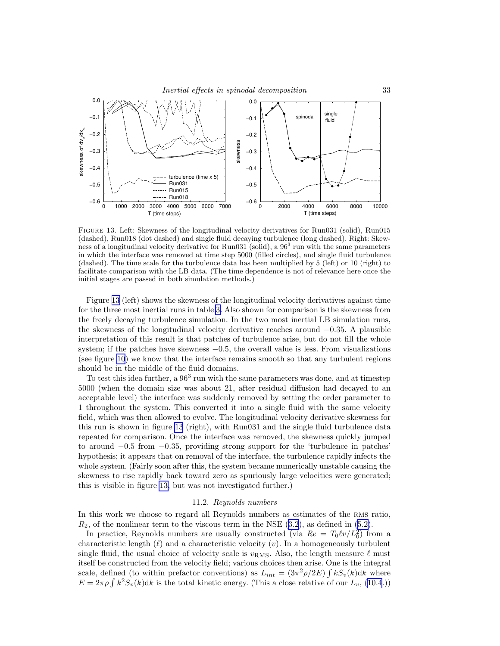<span id="page-32-0"></span>

Figure 13. Left: Skewness of the longitudinal velocity derivatives for Run031 (solid), Run015 (dashed), Run018 (dot dashed) and single fluid decaying turbulence (long dashed). Right: Skewness of a longitudinal velocity derivative for Run031 (solid), a 96<sup>3</sup> run with the same parameters in which the interface was removed at time step 5000 (filled circles), and single fluid turbulence (dashed). The time scale for the turbulence data has been multiplied by 5 (left) or 10 (right) to facilitate comparison with the LB data. (The time dependence is not of relevance here once the initial stages are passed in both simulation methods.)

Figure [13](#page-31-0) (left) shows the skewness of the longitudinal velocity derivatives against time for the three most inertial runs in table [3.](#page-15-0) Also shown for comparison is the skewness from the freely decaying turbulence simulation. In the two most inertial LB simulation runs, the skewness of the longitudinal velocity derivative reaches around −0.35. A plausible interpretation of this result is that patches of turbulence arise, but do not fill the whole system; if the patches have skewness  $-0.5$ , the overall value is less. From visualizations (see figure [10](#page-27-0)) we know that the interface remains smooth so that any turbulent regions should be in the middle of the fluid domains.

To test this idea further, a  $96<sup>3</sup>$  run with the same parameters was done, and at timestep 5000 (when the domain size was about 21, after residual diffusion had decayed to an acceptable level) the interface was suddenly removed by setting the order parameter to 1 throughout the system. This converted it into a single fluid with the same velocity field, which was then allowed to evolve. The longitudinal velocity derivative skewness for this run is shown in figure [13](#page-31-0) (right), with Run031 and the single fluid turbulence data repeated for comparison. Once the interface was removed, the skewness quickly jumped to around −0.5 from −0.35, providing strong support for the 'turbulence in patches' hypothesis; it appears that on removal of the interface, the turbulence rapidly infects the whole system. (Fairly soon after this, the system became numerically unstable causing the skewness to rise rapidly back toward zero as spuriously large velocities were generated; this is visible in figure [13,](#page-31-0) but was not investigated further.)

## 11.2. Reynolds numbers

In this work we choose to regard all Reynolds numbers as estimates of the rms ratio,  $R_2$ , of the nonlinear term to the viscous term in the NSE  $(3.2)$  $(3.2)$ , as defined in  $(5.2)$  $(5.2)$ .

In practice, Reynolds numbers are usually constructed (via  $Re = T_0 \ell v / L_0^2$ ) from a characteristic length  $(\ell)$  and a characteristic velocity  $(v)$ . In a homogeneously turbulent single fluid, the usual choice of velocity scale is  $v_{RMS}$ . Also, the length measure  $\ell$  must itself be constructed from the velocity field; various choices then arise. One is the integral scale, defined (to within prefactor conventions) as  $L_{int} = (3\pi^2 \rho/2E) \int kS_v(k)dk$  where  $E = 2\pi \rho \int k^2 S_v(k) dk$  is the total kinetic energy. (This a close relative of our  $L_v$ , [\(10.4](#page-28-0).))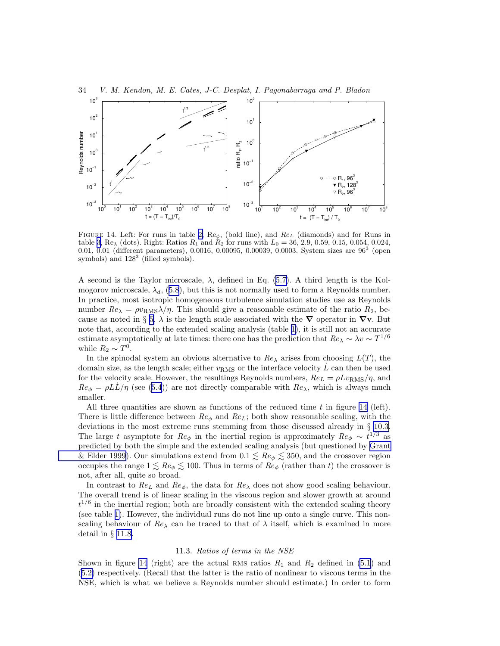

FIGURE 14. Left: For runs in table [2,](#page-15-0)  $\text{Re}_{\phi}$ , (bold line), and  $Re_L$  (diamonds) and for Runs in table [3](#page-15-0), Re<sub> $\lambda$ </sub> (dots). Right: Ratios  $R_1$  and  $R_2$  for runs with  $L_0 = 36, 2.9, 0.59, 0.15, 0.054, 0.024,$ 0.01, 0.01 (different parameters), 0.0016, 0.00095, 0.00039, 0.0003. System sizes are 96<sup>3</sup> (open symbols) and  $128<sup>3</sup>$  (filled symbols).

A second is the Taylor microscale,  $\lambda$ , defined in Eq. ([5.7\)](#page-8-0). A third length is the Kolmogorov microscale,  $\lambda_d$ , ([5.8](#page-8-0)), but this is not normally used to form a Reynolds number. In practice, most isotropic homogeneous turbulence simulation studies use as Reynolds number  $Re_{\lambda} = \rho v_{\rm RMS} \lambda / \eta$ . This should give a reasonable estimate of the ratio  $R_2$ , be-cause as noted in § [5](#page-7-0),  $\lambda$  is the length scale associated with the  $\nabla$  operator in  $\nabla$ v. But note that, according to the extended scaling analysis (table [1\)](#page-9-0), it is still not an accurate estimate asymptotically at late times: there one has the prediction that  $Re_\lambda \sim \lambda v \sim T^{1/6}$ while  $R_2 \sim T^0$ .

In the spinodal system an obvious alternative to  $Re_\lambda$  arises from choosing  $L(T)$ , the domain size, as the length scale; either  $v_{RMS}$  or the interface velocity L can then be used for the velocity scale. However, the resultings Reynolds numbers,  $Re_L = \rho L v_{RMS}/\eta$ , and  $Re_{\phi} = \rho L L / \eta$  (see ([5.4](#page-7-0))) are not directly comparable with  $Re_{\lambda}$ , which is always much smaller.

All three quantities are shown as functions of the reduced time  $t$  in figure [14](#page-32-0) (left). There is little difference between  $Re_{\phi}$  and  $Re_{L}$ ; both show reasonable scaling, with the deviations in the most extreme runs stemming from those discussed already in § [10.3.](#page-29-0) The large t asymptote for  $Re_{\phi}$  in the inertial region is approximately  $Re_{\phi} \sim t^{1/3}$  as predicted by both the simple and the extended scaling analysis (but questioned by [Grant](#page-46-0) [& Elder 1999](#page-46-0)). Our simulations extend from  $0.1 \lesssim Re_{\phi} \lesssim 350$ , and the crossover region occupies the range  $1 \lesssim Re_\phi \lesssim 100$ . Thus in terms of  $Re_\phi$  (rather than t) the crossover is not, after all, quite so broad.

In contrast to  $Re<sub>L</sub>$  and  $Re<sub>\phi</sub>$ , the data for  $Re<sub>\lambda</sub>$  does not show good scaling behaviour. The overall trend is of linear scaling in the viscous region and slower growth at around  $t^{1/6}$  in the inertial region; both are broadly consistent with the extended scaling theory (see table [1\)](#page-9-0). However, the individual runs do not line up onto a single curve. This nonscaling behaviour of  $Re_\lambda$  can be traced to that of  $\lambda$  itself, which is examined in more detail in § [11.8.](#page-37-0)

#### 11.3. Ratios of terms in the NSE

Shown in figure [14](#page-32-0) (right) are the actual RMS ratios  $R_1$  and  $R_2$  defined in [\(5.1](#page-7-0)) and ([5.2\)](#page-7-0) respectively. (Recall that the latter is the ratio of nonlinear to viscous terms in the NSE, which is what we believe a Reynolds number should estimate.) In order to form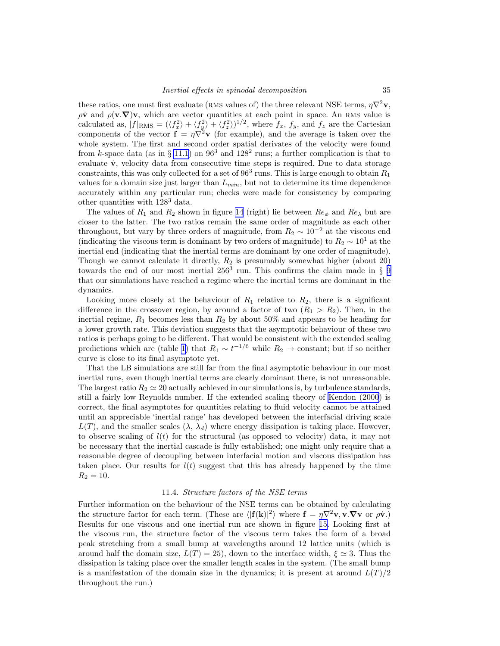<span id="page-34-0"></span>these ratios, one must first evaluate (RMS values of) the three relevant NSE terms,  $\eta \nabla^2 \mathbf{v}$ ,  $\rho \dot{\mathbf{v}}$  and  $\rho (\mathbf{v}, \nabla) \mathbf{v}$ , which are vector quantities at each point in space. An RMS value is calculated as,  $|f|_{\text{RMS}} = (\langle f_x^2 \rangle + \langle f_y^2 \rangle)^{1/2}$ , where  $f_x$ ,  $f_y$ , and  $f_z$  are the Cartesian components of the vector  $\mathbf{f} = \eta \nabla^2 \mathbf{v}$  (for example), and the average is taken over the whole system. The first and second order spatial derivates of the velocity were found from k-space data (as in  $\S 11.1$  $\S 11.1$ ) on  $96<sup>3</sup>$  and  $128<sup>2</sup>$  runs; a further complication is that to evaluate  $\dot{\mathbf{v}}$ , velocity data from consecutive time steps is required. Due to data storage constraints, this was only collected for a set of  $96^3$  runs. This is large enough to obtain  $R_1$ values for a domain size just larger than  $L_{min}$ , but not to determine its time dependence accurately within any particular run; checks were made for consistency by comparing other quantities with  $128<sup>3</sup>$  data.

The values of  $R_1$  and  $R_2$  shown in figure [14](#page-32-0) (right) lie between  $Re_{\phi}$  and  $Re_{\lambda}$  but are closer to the latter. The two ratios remain the same order of magnitude as each other throughout, but vary by three orders of magnitude, from  $R_2 \sim 10^{-2}$  at the viscous end (indicating the viscous term is dominant by two orders of magnitude) to  $R_2 \sim 10^1$  at the inertial end (indicating that the inertial terms are dominant by one order of magnitude). Though we cannot calculate it directly,  $R_2$  is presumably somewhat higher (about 20) towards the end of our most inertial  $256<sup>3</sup>$  run. This confirms the claim made in  $\S$  [9](#page-19-0) that our simulations have reached a regime where the inertial terms are dominant in the dynamics.

Looking more closely at the behaviour of  $R_1$  relative to  $R_2$ , there is a significant difference in the crossover region, by around a factor of two  $(R_1 > R_2)$ . Then, in the inertial regime,  $R_1$  becomes less than  $R_2$  by about 50% and appears to be heading for a lower growth rate. This deviation suggests that the asymptotic behaviour of these two ratios is perhaps going to be different. That would be consistent with the extended scaling predictions which are (table [1](#page-9-0)) that  $R_1 \sim t^{-1/6}$  while  $R_2 \to$  constant; but if so neither curve is close to its final asymptote yet.

That the LB simulations are still far from the final asymptotic behaviour in our most inertial runs, even though inertial terms are clearly dominant there, is not unreasonable. The largest ratio  $R_2 \simeq 20$  actually achieved in our simulations is, by turbulence standards, still a fairly low Reynolds number. If the extended scaling theory of [Kendon \(2000](#page-47-0)) is correct, the final asymptotes for quantities relating to fluid velocity cannot be attained until an appreciable 'inertial range' has developed between the interfacial driving scale  $L(T)$ , and the smaller scales  $(\lambda, \lambda_d)$  where energy dissipation is taking place. However, to observe scaling of  $l(t)$  for the structural (as opposed to velocity) data, it may not be necessary that the inertial cascade is fully established; one might only require that a reasonable degree of decoupling between interfacial motion and viscous dissipation has taken place. Our results for  $l(t)$  suggest that this has already happened by the time  $R_2 = 10.$ 

## 11.4. Structure factors of the NSE terms

Further information on the behaviour of the NSE terms can be obtained by calculating the structure factor for each term. (These are  $\langle |f(k)|^2 \rangle$  where  $f = \eta \nabla^2 v$ ,  $v \cdot \nabla v$  or  $\rho \dot{v}$ .) Results for one viscous and one inertial run are shown in figure 15. Looking first at the viscous run, the structure factor of the viscous term takes the form of a broad peak stretching from a small bump at wavelengths around 12 lattice units (which is around half the domain size,  $L(T) = 25$ , down to the interface width,  $\xi \simeq 3$ . Thus the dissipation is taking place over the smaller length scales in the system. (The small bump is a manifestation of the domain size in the dynamics; it is present at around  $L(T)/2$ throughout the run.)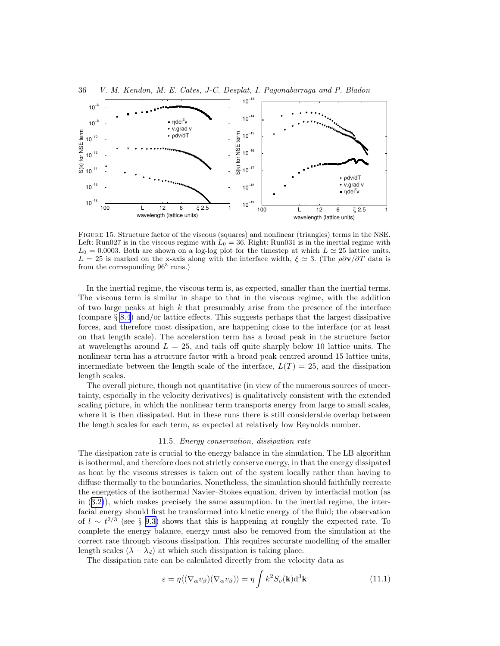<span id="page-35-0"></span>

Figure 15. Structure factor of the viscous (squares) and nonlinear (triangles) terms in the NSE. Left: Run027 is in the viscous regime with  $L_0 = 36$ . Right: Run031 is in the inertial regime with  $L_0 = 0.0003$ . Both are shown on a log-log plot for the timestep at which  $L \simeq 25$  lattice units. L = 25 is marked on the x-axis along with the interface width,  $\xi \approx 3$ . (The  $\rho \partial \mathbf{v}/\partial T$  data is from the corresponding  $96<sup>3</sup>$  runs.)

In the inertial regime, the viscous term is, as expected, smaller than the inertial terms. The viscous term is similar in shape to that in the viscous regime, with the addition of two large peaks at high  $k$  that presumably arise from the presence of the interface (compare § [8.4](#page-18-0)) and/or lattice effects. This suggests perhaps that the largest dissipative forces, and therefore most dissipation, are happening close to the interface (or at least on that length scale). The acceleration term has a broad peak in the structure factor at wavelengths around  $L = 25$ , and tails off quite sharply below 10 lattice units. The nonlinear term has a structure factor with a broad peak centred around 15 lattice units, intermediate between the length scale of the interface,  $L(T) = 25$ , and the dissipation length scales.

The overall picture, though not quantitative (in view of the numerous sources of uncertainty, especially in the velocity derivatives) is qualitatively consistent with the extended scaling picture, in which the nonlinear term transports energy from large to small scales, where it is then dissipated. But in these runs there is still considerable overlap between the length scales for each term, as expected at relatively low Reynolds number.

#### 11.5. Energy conservation, dissipation rate

The dissipation rate is crucial to the energy balance in the simulation. The LB algorithm is isothermal, and therefore does not strictly conserve energy, in that the energy dissipated as heat by the viscous stresses is taken out of the system locally rather than having to diffuse thermally to the boundaries. Nonetheless, the simulation should faithfully recreate the energetics of the isothermal Navier–Stokes equation, driven by interfacial motion (as in ([3.2\)](#page-5-0)), which makes precisely the same assumption. In the inertial regime, the interfacial energy should first be transformed into kinetic energy of the fluid; the observation of  $l \sim t^{2/3}$  (see § [9.3\)](#page-23-0) shows that this is happening at roughly the expected rate. To complete the energy balance, energy must also be removed from the simulation at the correct rate through viscous dissipation. This requires accurate modelling of the smaller length scales  $(\lambda - \lambda_d)$  at which such dissipation is taking place.

The dissipation rate can be calculated directly from the velocity data as

$$
\varepsilon = \eta \langle (\nabla_{\alpha} v_{\beta})(\nabla_{\alpha} v_{\beta}) \rangle = \eta \int k^2 S_v(\mathbf{k}) \mathrm{d}^3 \mathbf{k} \tag{11.1}
$$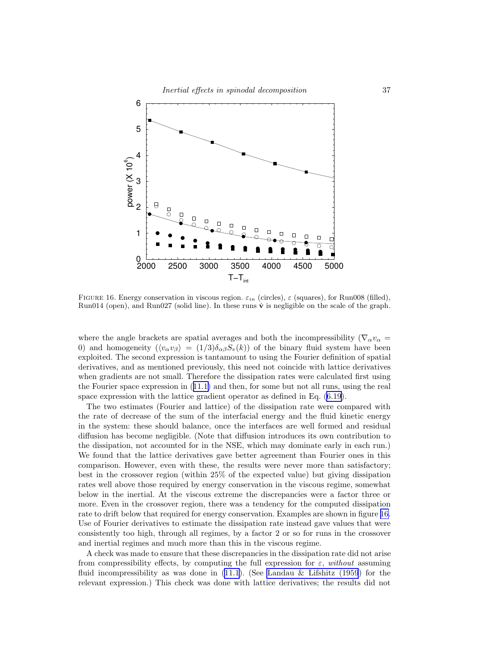<span id="page-36-0"></span>

FIGURE 16. Energy conservation in viscous region.  $\varepsilon_{in}$  (circles),  $\varepsilon$  (squares), for Run008 (filled), Run014 (open), and Run027 (solid line). In these runs  $\dot{\bf{v}}$  is negligible on the scale of the graph.

where the angle brackets are spatial averages and both the incompressibility ( $\nabla_{\alpha}v_{\alpha}$ 0) and homogeneity  $(\langle v_\alpha v_\beta \rangle = (1/3)\delta_{\alpha\beta}S_v(k))$  of the binary fluid system have been exploited. The second expression is tantamount to using the Fourier definition of spatial derivatives, and as mentioned previously, this need not coincide with lattice derivatives when gradients are not small. Therefore the dissipation rates were calculated first using the Fourier space expression in ([11.1\)](#page-34-0) and then, for some but not all runs, using the real space expression with the lattice gradient operator as defined in Eq. [\(6.19](#page-12-0)).

The two estimates (Fourier and lattice) of the dissipation rate were compared with the rate of decrease of the sum of the interfacial energy and the fluid kinetic energy in the system: these should balance, once the interfaces are well formed and residual diffusion has become negligible. (Note that diffusion introduces its own contribution to the dissipation, not accounted for in the NSE, which may dominate early in each run.) We found that the lattice derivatives gave better agreement than Fourier ones in this comparison. However, even with these, the results were never more than satisfactory; best in the crossover region (within 25% of the expected value) but giving dissipation rates well above those required by energy conservation in the viscous regime, somewhat below in the inertial. At the viscous extreme the discrepancies were a factor three or more. Even in the crossover region, there was a tendency for the computed dissipation rate to drift below that required for energy conservation. Examples are shown in figure [16.](#page-35-0) Use of Fourier derivatives to estimate the dissipation rate instead gave values that were consistently too high, through all regimes, by a factor 2 or so for runs in the crossover and inertial regimes and much more than this in the viscous regime.

A check was made to ensure that these discrepancies in the dissipation rate did not arise from compressibility effects, by computing the full expression for  $\varepsilon$ , without assuming fluid incompressibility as was done in  $(11.1)$  $(11.1)$ . (See Landau & Lifshitz  $(1959)$  for the relevant expression.) This check was done with lattice derivatives; the results did not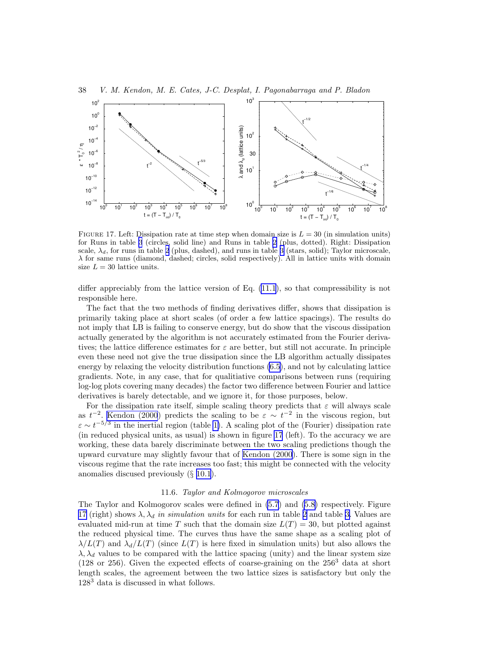<span id="page-37-0"></span>



FIGURE 17. Left: Dissipation rate at time step when domain size is  $L = 30$  (in simulation units) for Runs in table [3](#page-15-0) (circles, solid line) and Runs in table [2](#page-15-0) (plus, dotted). Right: Dissipation scale,  $\lambda_d$ , for runs in table [2](#page-15-0) (plus, dashed), and runs in table [3](#page-15-0) (stars, solid); Taylor microscale,  $\lambda$  for same runs (diamond, dashed; circles, solid respectively). All in lattice units with domain size  $L = 30$  lattice units.

differ appreciably from the lattice version of Eq.  $(11.1)$  $(11.1)$ , so that compressibility is not responsible here.

The fact that the two methods of finding derivatives differ, shows that dissipation is primarily taking place at short scales (of order a few lattice spacings). The results do not imply that LB is failing to conserve energy, but do show that the viscous dissipation actually generated by the algorithm is not accurately estimated from the Fourier derivatives; the lattice difference estimates for  $\varepsilon$  are better, but still not accurate. In principle even these need not give the true dissipation since the LB algorithm actually dissipates energy by relaxing the velocity distribution functions [\(6.5](#page-10-0)), and not by calculating lattice gradients. Note, in any case, that for qualitiative comparisons between runs (requiring log-log plots covering many decades) the factor two difference between Fourier and lattice derivatives is barely detectable, and we ignore it, for those purposes, below.

For the dissipation rate itself, simple scaling theory predicts that  $\varepsilon$  will always scale as  $t^{-2}$ . [Kendon \(2000](#page-47-0)) predicts the scaling to be  $\varepsilon \sim t^{-2}$  in the viscous region, but  $\varepsilon \sim t^{-5/3}$  in the inertial region (table [1\)](#page-9-0). A scaling plot of the (Fourier) dissipation rate (in reduced physical units, as usual) is shown in figure [17](#page-36-0) (left). To the accuracy we are working, these data barely discriminate between the two scaling predictions though the upward curvature may slightly favour that of [Kendon \(2000](#page-47-0)). There is some sign in the viscous regime that the rate increases too fast; this might be connected with the velocity anomalies discused previously (§ [10.1](#page-26-0)).

#### 11.6. Taylor and Kolmogorov microscales

The Taylor and Kolmogorov scales were defined in [\(5.7](#page-8-0)) and [\(5.8\)](#page-8-0) respectively. Figure [17](#page-36-0) (right) shows  $\lambda, \lambda_d$  in simulation units for each run in table [2](#page-15-0) and table [3.](#page-15-0) Values are evaluated mid-run at time T such that the domain size  $L(T) = 30$ , but plotted against the reduced physical time. The curves thus have the same shape as a scaling plot of  $\lambda/L(T)$  and  $\lambda_d/L(T)$  (since  $L(T)$  is here fixed in simulation units) but also allows the  $\lambda, \lambda_d$  values to be compared with the lattice spacing (unity) and the linear system size (128 or 256). Given the expected effects of coarse-graining on the  $256<sup>3</sup>$  data at short length scales, the agreement between the two lattice sizes is satisfactory but only the 128<sup>3</sup> data is discussed in what follows.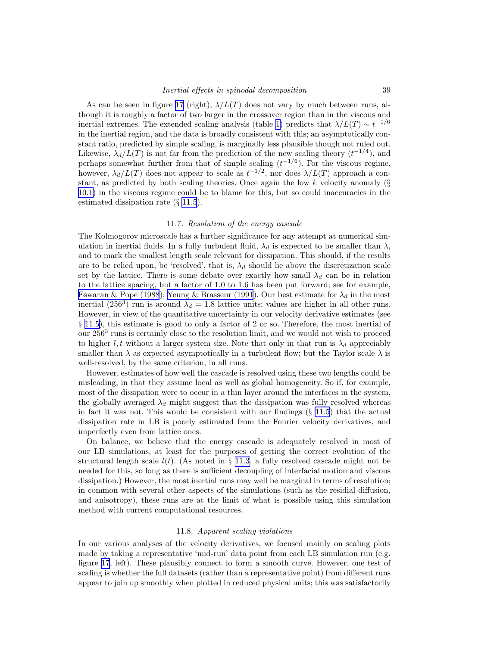<span id="page-38-0"></span>As can be seen in figure [17](#page-36-0) (right),  $\lambda/L(T)$  does not vary by much between runs, although it is roughly a factor of two larger in the crossover region than in the viscous and inertial extremes. The extended scaling analysis (table [1\)](#page-9-0) predicts that  $\lambda/L(T) \sim t^{-1/6}$ in the inertial region, and the data is broadly consistent with this; an asymptotically constant ratio, predicted by simple scaling, is marginally less plausible though not ruled out. Likewise,  $\lambda_d/L(T)$  is not far from the prediction of the new scaling theory  $(t^{-1/4})$ , and perhaps somewhat further from that of simple scaling  $(t^{-1/6})$ . For the viscous regime, however,  $\lambda_d/L(T)$  does not appear to scale as  $t^{-1/2}$ , nor does  $\lambda/L(T)$  approach a constant, as predicted by both scaling theories. Once again the low k velocity anomaly  $(\S$ [10.1\)](#page-26-0) in the viscous regime could be to blame for this, but so could inaccuracies in the estimated dissipation rate  $(\S 11.5)$  $(\S 11.5)$  $(\S 11.5)$ .

#### 11.7. Resolution of the energy cascade

The Kolmogorov microscale has a further significance for any attempt at numerical simulation in inertial fluids. In a fully turbulent fluid,  $\lambda_d$  is expected to be smaller than  $\lambda$ , and to mark the smallest length scale relevant for dissipation. This should, if the results are to be relied upon, be 'resolved', that is,  $\lambda_d$  should lie above the discretization scale set by the lattice. There is some debate over exactly how small  $\lambda_d$  can be in relation to the lattice spacing, but a factor of 1.0 to 1.6 has been put forward; see for example, [Eswaran & Pope \(1988](#page-46-0)); [Yeung & Brasseur \(1991](#page-47-0)). Our best estimate for  $\lambda_d$  in the most inertial (256<sup>3</sup>) run is around  $\lambda_d = 1.8$  lattice units; values are higher in all other runs. However, in view of the quantitative uncertainty in our velocity derivative estimates (see § [11.5\)](#page-34-0), this estimate is good to only a factor of 2 or so. Therefore, the most inertial of our 256<sup>3</sup> runs is certainly close to the resolution limit, and we would not wish to proceed to higher l, t without a larger system size. Note that only in that run is  $\lambda_d$  appreciably smaller than  $\lambda$  as expected asymptotically in a turbulent flow; but the Taylor scale  $\lambda$  is well-resolved, by the same criterion, in all runs.

However, estimates of how well the cascade is resolved using these two lengths could be misleading, in that they assume local as well as global homogeneity. So if, for example, most of the dissipation were to occur in a thin layer around the interfaces in the system, the globally averaged  $\lambda_d$  might suggest that the dissipation was fully resolved whereas in fact it was not. This would be consistent with our findings  $(\S$  [11.5](#page-34-0)) that the actual dissipation rate in LB is poorly estimated from the Fourier velocity derivatives, and imperfectly even from lattice ones.

On balance, we believe that the energy cascade is adequately resolved in most of our LB simulations, at least for the purposes of getting the correct evolution of the structural length scale  $l(t)$ . (As noted in § [11.3,](#page-32-0) a fully resolved cascade might not be needed for this, so long as there is sufficient decoupling of interfacial motion and viscous dissipation.) However, the most inertial runs may well be marginal in terms of resolution; in common with several other aspects of the simulations (such as the residial diffusion, and anisotropy), these runs are at the limit of what is possible using this simulation method with current computational resources.

#### 11.8. Apparent scaling violations

In our various analyses of the velocity derivatives, we focused mainly on scaling plots made by taking a representative 'mid-run' data point from each LB simulation run (e.g. figure [17](#page-36-0), left). These plausibly connect to form a smooth curve. However, one test of scaling is whether the full datasets (rather than a representative point) from different runs appear to join up smoothly when plotted in reduced physical units; this was satisfactorily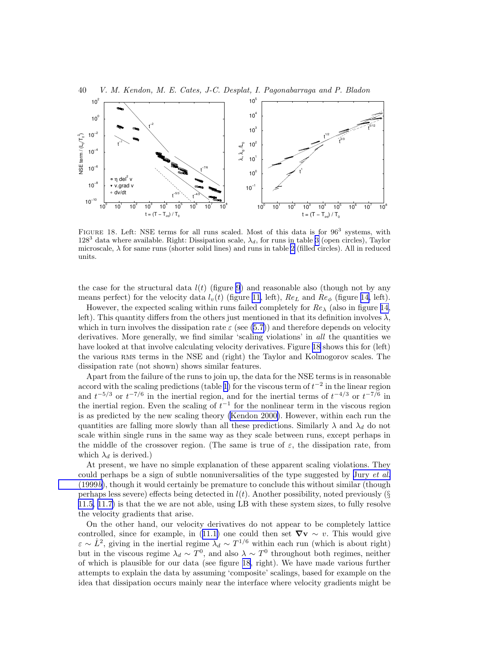<span id="page-39-0"></span>

FIGURE 18. Left: NSE terms for all runs scaled. Most of this data is for  $96^3$  systems, with  $128<sup>3</sup>$  data where available. Right: Dissipation scale,  $\lambda_d$ , for runs in table [3](#page-15-0) (open circles), Taylor microscale,  $\lambda$  for same runs (shorter solid lines) and runs in table [2](#page-15-0) (filled circles). All in reduced units.

the case for the structural data  $l(t)$  (figure [9](#page-25-0)) and reasonable also (though not by any means perfect) for the velocity data  $l_v(t)$  (figure [11,](#page-28-0) left),  $Re_L$  and  $Re_{\phi}$  (figure [14,](#page-32-0) left).

However, the expected scaling within runs failed completely for  $Re_\lambda$  (also in figure [14,](#page-32-0) left). This quantity differs from the others just mentioned in that its definition involves  $\lambda$ , which in turn involves the dissipation rate  $\varepsilon$  (see [\(5.7](#page-8-0))) and therefore depends on velocity derivatives. More generally, we find similar 'scaling violations' in all the quantities we have looked at that involve calculating velocity derivatives. Figure [18](#page-38-0) shows this for (left) the various rms terms in the NSE and (right) the Taylor and Kolmogorov scales. The dissipation rate (not shown) shows similar features.

Apart from the failure of the runs to join up, the data for the NSE terms is in reasonable accord with the scaling predictions (table [1\)](#page-9-0) for the viscous term of  $t^{-2}$  in the linear region and  $t^{-5/3}$  or  $t^{-7/6}$  in the inertial region, and for the inertial terms of  $t^{-4/3}$  or  $t^{-7/6}$  in the inertial region. Even the scaling of  $t^{-1}$  for the nonlinear term in the viscous region is as predicted by the new scaling theory [\(Kendon 2000\)](#page-47-0). However, within each run the quantities are falling more slowly than all these predictions. Similarly  $\lambda$  and  $\lambda_d$  do not scale within single runs in the same way as they scale between runs, except perhaps in the middle of the crossover region. (The same is true of  $\varepsilon$ , the dissipation rate, from which  $\lambda_d$  is derived.)

At present, we have no simple explanation of these apparent scaling violations. They could perhaps be a sign of subtle nonuniversalities of the type suggested by Jury [et al.](#page-47-0) [\(1999](#page-47-0)b), though it would certainly be premature to conclude this without similar (though perhaps less severe) effects being detected in  $l(t)$ . Another possibility, noted previously (§ [11.5,](#page-34-0) [11.7\)](#page-37-0) is that the we are not able, using LB with these system sizes, to fully resolve the velocity gradients that arise.

On the other hand, our velocity derivatives do not appear to be completely lattice controlled, since for example, in ([11.1\)](#page-34-0) one could then set  $\nabla v \sim v$ . This would give  $\varepsilon \sim L^2$ , giving in the inertial regime  $\lambda_d \sim T^{1/6}$  within each run (which is about right) but in the viscous regime  $\lambda_d \sim T^0$ , and also  $\lambda \sim T^0$  throughout both regimes, neither of which is plausible for our data (see figure [18,](#page-38-0) right). We have made various further attempts to explain the data by assuming 'composite' scalings, based for example on the idea that dissipation occurs mainly near the interface where velocity gradients might be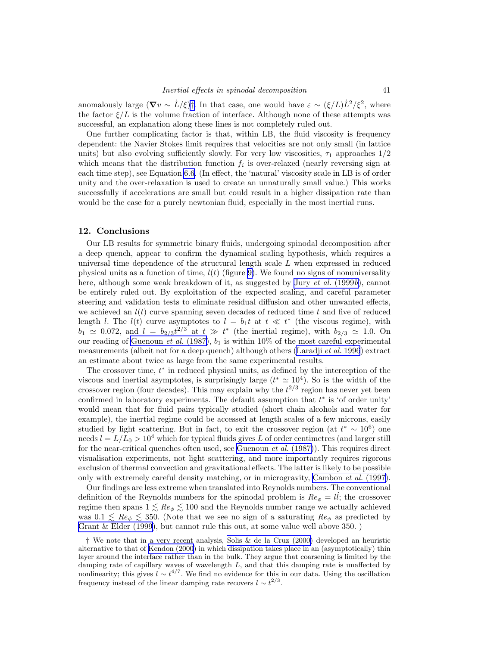anomalously large  $(\nabla v \sim L/\xi)$ . In that case, one would have  $\varepsilon \sim (\xi/L)L^2/\xi^2$ , where the factor  $\xi/L$  is the volume fraction of interface. Although none of these attempts was successful, an explanation along these lines is not completely ruled out.

One further complicating factor is that, within LB, the fluid viscosity is frequency dependent: the Navier Stokes limit requires that velocities are not only small (in lattice units) but also evolving sufficiently slowly. For very low viscosities,  $\tau_1$  approaches  $1/2$ which means that the distribution function  $f_i$  is over-relaxed (nearly reversing sign at each time step), see Equation [6.6](#page-10-0). (In effect, the 'natural' viscosity scale in LB is of order unity and the over-relaxation is used to create an unnaturally small value.) This works successfully if accelerations are small but could result in a higher dissipation rate than would be the case for a purely newtonian fluid, especially in the most inertial runs.

## 12. Conclusions

Our LB results for symmetric binary fluids, undergoing spinodal decomposition after a deep quench, appear to confirm the dynamical scaling hypothesis, which requires a universal time dependence of the structural length scale  $L$  when expressed in reduced physical units as a function of time,  $l(t)$  (figure [9\)](#page-25-0). We found no signs of nonuniversality here, although some weak breakdown of it, as suggested by Jury *et al.* [\(1999](#page-47-0)b), cannot be entirely ruled out. By exploitation of the expected scaling, and careful parameter steering and validation tests to eliminate residual diffusion and other unwanted effects, we achieved an  $l(t)$  curve spanning seven decades of reduced time t and five of reduced length l. The  $l(t)$  curve asymptotes to  $l = b_1 t$  at  $t \ll t^*$  (the viscous regime), with  $b_1 \simeq 0.072$ , and  $l = b_{2/3}t^{2/3}$  at  $t \gg t^*$  (the inertial regime), with  $b_{2/3} \simeq 1.0$ . On our reading of [Guenoun](#page-46-0) et al. (1987),  $b_1$  is within 10% of the most careful experimental measurements (albeit not for a deep quench) although others [\(Laradji](#page-47-0) et al. 1996) extract an estimate about twice as large from the same experimental results.

The crossover time,  $t^*$  in reduced physical units, as defined by the interception of the viscous and inertial asymptotes, is surprisingly large  $(t^* \approx 10^4)$ . So is the width of the crossover region (four decades). This may explain why the  $t^{2/3}$  region has never yet been confirmed in laboratory experiments. The default assumption that  $t^*$  is 'of order unity' would mean that for fluid pairs typically studied (short chain alcohols and water for example), the inertial regime could be accessed at length scales of a few microns, easily studied by light scattering. But in fact, to exit the crossover region (at  $t^* \sim 10^6$ ) one needs  $l = L/L_0 > 10^4$  which for typical fluids gives L of order centimetres (and larger still for the near-critical quenches often used, see [Guenoun](#page-46-0) *et al.* (1987)). This requires direct visualisation experiments, not light scattering, and more importantly requires rigorous exclusion of thermal convection and gravitational effects. The latter is likely to be possible only with extremely careful density matching, or in microgravity, [Cambon](#page-46-0) et al. (1997).

Our findings are less extreme when translated into Reynolds numbers. The conventional definition of the Reynolds numbers for the spinodal problem is  $Re_{\phi} = l\dot{l}$ ; the crossover regime then spans  $1 \lesssim Re_{\phi} \lesssim 100$  and the Reynolds number range we actually achieved was  $0.1 \le Re_{\phi} \le 350$ . (Note that we see no sign of a saturating  $Re_{\phi}$  as predicted by [Grant & Elder \(1999\)](#page-46-0), but cannot rule this out, at some value well above 350. )

<sup>†</sup> We note that in a very recent analysis, [Solis & de la Cruz \(2000\)](#page-47-0) developed an heuristic alternative to that of [Kendon \(2000](#page-47-0)) in which dissipation takes place in an (asymptotically) thin layer around the interface rather than in the bulk. They argue that coarsening is limited by the damping rate of capillary waves of wavelength L, and that this damping rate is unaffected by nonlinearity; this gives  $l \sim t^{4/7}$ . We find no evidence for this in our data. Using the oscillation frequency instead of the linear damping rate recovers  $l \sim t^{2/3}$ .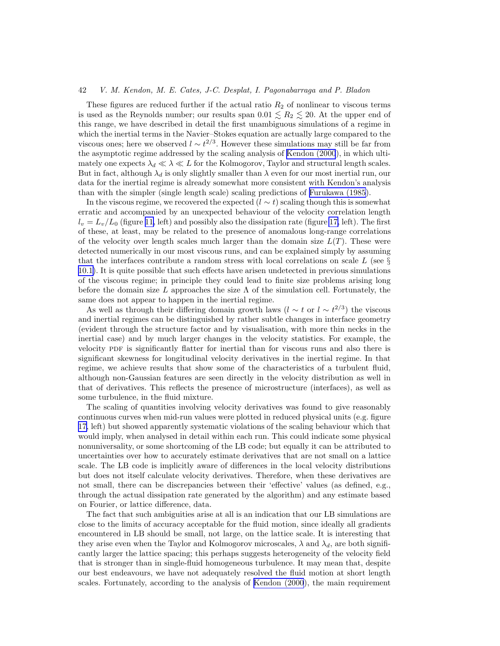<span id="page-41-0"></span>These figures are reduced further if the actual ratio  $R_2$  of nonlinear to viscous terms is used as the Reynolds number; our results span  $0.01 \lesssim R_2 \lesssim 20$ . At the upper end of this range, we have described in detail the first unambiguous simulations of a regime in which the inertial terms in the Navier–Stokes equation are actually large compared to the viscous ones; here we observed  $l \sim t^{2/3}$ . However these simulations may still be far from the asymptotic regime addressed by the scaling analysis of [Kendon \(2000](#page-47-0)), in which ultimately one expects  $\lambda_d \ll \lambda \ll L$  for the Kolmogorov, Taylor and structural length scales. But in fact, although  $\lambda_d$  is only slightly smaller than  $\lambda$  even for our most inertial run, our data for the inertial regime is already somewhat more consistent with Kendon's analysis than with the simpler (single length scale) scaling predictions of [Furukawa \(1985](#page-46-0)).

In the viscous regime, we recovered the expected  $(l \sim t)$  scaling though this is somewhat erratic and accompanied by an unexpected behaviour of the velocity correlation length  $l_v = L_v/L_0$  (figure [11,](#page-28-0) left) and possibly also the dissipation rate (figure [17,](#page-36-0) left). The first of these, at least, may be related to the presence of anomalous long-range correlations of the velocity over length scales much larger than the domain size  $L(T)$ . These were detected numerically in our most viscous runs, and can be explained simply by assuming that the interfaces contribute a random stress with local correlations on scale L (see  $\S$ ) [10.1\)](#page-26-0). It is quite possible that such effects have arisen undetected in previous simulations of the viscous regime; in principle they could lead to finite size problems arising long before the domain size L approaches the size  $\Lambda$  of the simulation cell. Fortunately, the same does not appear to happen in the inertial regime.

As well as through their differing domain growth laws  $(l \sim t$  or  $l \sim t^{2/3})$  the viscous and inertial regimes can be distinguished by rather subtle changes in interface geometry (evident through the structure factor and by visualisation, with more thin necks in the inertial case) and by much larger changes in the velocity statistics. For example, the velocity PDF is significantly flatter for inertial than for viscous runs and also there is significant skewness for longitudinal velocity derivatives in the inertial regime. In that regime, we achieve results that show some of the characteristics of a turbulent fluid, although non-Gaussian features are seen directly in the velocity distribution as well in that of derivatives. This reflects the presence of microstructure (interfaces), as well as some turbulence, in the fluid mixture.

The scaling of quantities involving velocity derivatives was found to give reasonably continuous curves when mid-run values were plotted in reduced physical units (e.g. figure [17,](#page-36-0) left) but showed apparently systematic violations of the scaling behaviour which that would imply, when analysed in detail within each run. This could indicate some physical nonuniversality, or some shortcoming of the LB code; but equally it can be attributed to uncertainties over how to accurately estimate derivatives that are not small on a lattice scale. The LB code is implicitly aware of differences in the local velocity distributions but does not itself calculate velocity derivatives. Therefore, when these derivatives are not small, there can be discrepancies between their 'effective' values (as defined, e.g., through the actual dissipation rate generated by the algorithm) and any estimate based on Fourier, or lattice difference, data.

The fact that such ambiguities arise at all is an indication that our LB simulations are close to the limits of accuracy acceptable for the fluid motion, since ideally all gradients encountered in LB should be small, not large, on the lattice scale. It is interesting that they arise even when the Taylor and Kolmogorov microscales,  $\lambda$  and  $\lambda_d$ , are both significantly larger the lattice spacing; this perhaps suggests heterogeneity of the velocity field that is stronger than in single-fluid homogeneous turbulence. It may mean that, despite our best endeavours, we have not adequately resolved the fluid motion at short length scales. Fortunately, according to the analysis of [Kendon \(2000](#page-47-0)), the main requirement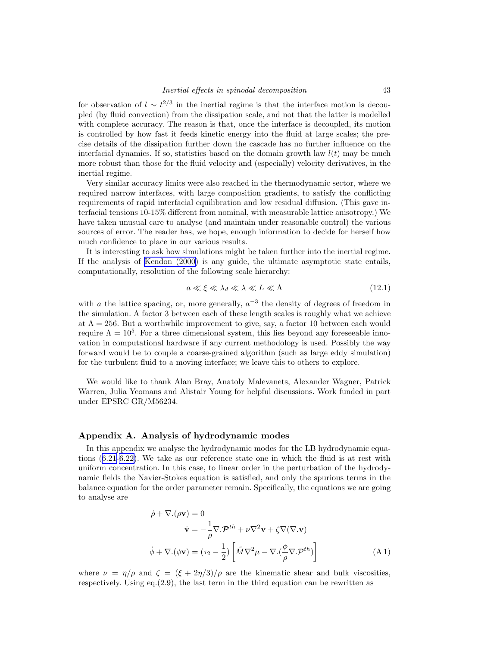<span id="page-42-0"></span>for observation of  $l \sim t^{2/3}$  in the inertial regime is that the interface motion is decoupled (by fluid convection) from the dissipation scale, and not that the latter is modelled with complete accuracy. The reason is that, once the interface is decoupled, its motion is controlled by how fast it feeds kinetic energy into the fluid at large scales; the precise details of the dissipation further down the cascade has no further influence on the interfacial dynamics. If so, statistics based on the domain growth law  $l(t)$  may be much more robust than those for the fluid velocity and (especially) velocity derivatives, in the inertial regime.

Very similar accuracy limits were also reached in the thermodynamic sector, where we required narrow interfaces, with large composition gradients, to satisfy the conflicting requirements of rapid interfacial equilibration and low residual diffusion. (This gave interfacial tensions 10-15% different from nominal, with measurable lattice anisotropy.) We have taken unusual care to analyse (and maintain under reasonable control) the various sources of error. The reader has, we hope, enough information to decide for herself how much confidence to place in our various results.

It is interesting to ask how simulations might be taken further into the inertial regime. If the analysis of [Kendon \(2000](#page-47-0)) is any guide, the ultimate asymptotic state entails, computationally, resolution of the following scale hierarchy:

$$
a \ll \xi \ll \lambda_d \ll \lambda \ll L \ll \Lambda \tag{12.1}
$$

with a the lattice spacing, or, more generally,  $a^{-3}$  the density of degrees of freedom in the simulation. A factor 3 between each of these length scales is roughly what we achieve at  $\Lambda = 256$ . But a worthwhile improvement to give, say, a factor 10 between each would require  $\Lambda = 10^5$ . For a three dimensional system, this lies beyond any foreseeable innovation in computational hardware if any current methodology is used. Possibly the way forward would be to couple a coarse-grained algorithm (such as large eddy simulation) for the turbulent fluid to a moving interface; we leave this to others to explore.

We would like to thank Alan Bray, Anatoly Malevanets, Alexander Wagner, Patrick Warren, Julia Yeomans and Alistair Young for helpful discussions. Work funded in part under EPSRC GR/M56234.

## Appendix A. Analysis of hydrodynamic modes

In this appendix we analyse the hydrodynamic modes for the LB hydrodynamic equations ([6.21-](#page-12-0)[6.22](#page-13-0)). We take as our reference state one in which the fluid is at rest with uniform concentration. In this case, to linear order in the perturbation of the hydrodynamic fields the Navier-Stokes equation is satisfied, and only the spurious terms in the balance equation for the order parameter remain. Specifically, the equations we are going to analyse are

$$
\dot{\rho} + \nabla \cdot (\rho \mathbf{v}) = 0
$$
  

$$
\dot{\mathbf{v}} = -\frac{1}{\rho} \nabla \cdot \mathbf{\mathcal{P}}^{th} + \nu \nabla^2 \mathbf{v} + \zeta \nabla (\nabla \cdot \mathbf{v})
$$
  

$$
\dot{\phi} + \nabla \cdot (\phi \mathbf{v}) = (\tau_2 - \frac{1}{2}) \left[ \tilde{M} \nabla^2 \mu - \nabla \cdot (\frac{\phi}{\rho} \nabla \cdot \mathbf{\mathcal{P}}^{th}) \right]
$$
(A1)

where  $\nu = \frac{\eta}{\rho}$  and  $\zeta = \frac{(\xi + 2\eta/3)}{\rho}$  are the kinematic shear and bulk viscosities, respectively. Using eq.(2.9), the last term in the third equation can be rewritten as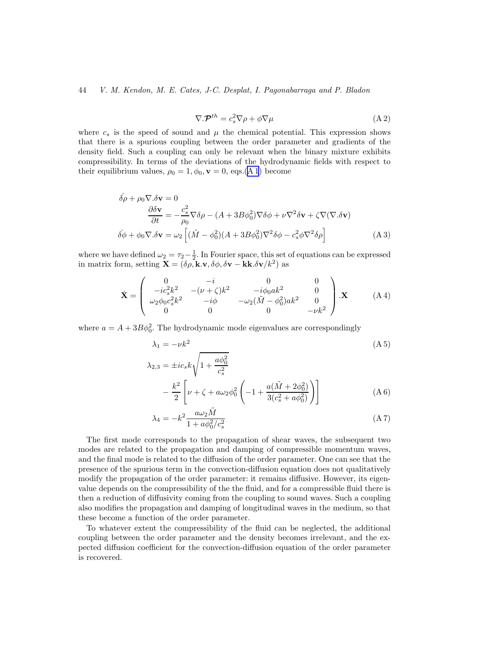$$
\nabla \cdot \mathcal{P}^{th} = c_s^2 \nabla \rho + \phi \nabla \mu \tag{A.2}
$$

<span id="page-43-0"></span>where  $c_s$  is the speed of sound and  $\mu$  the chemical potential. This expression shows that there is a spurious coupling between the order parameter and gradients of the density field. Such a coupling can only be relevant when the binary mixture exhibits compressibility. In terms of the deviations of the hydrodynamic fields with respect to their equilibrium values,  $\rho_0 = 1, \phi_0, \mathbf{v} = 0$ , eqs.[\(A 1](#page-41-0)) become

$$
\delta \rho + \rho_0 \nabla \cdot \delta \mathbf{v} = 0
$$
  

$$
\frac{\partial \delta \mathbf{v}}{\partial t} = -\frac{c_s^2}{\rho_0} \nabla \delta \rho - (A + 3B\phi_0^2) \nabla \delta \phi + \nu \nabla^2 \delta \mathbf{v} + \zeta \nabla (\nabla \cdot \delta \mathbf{v})
$$
  

$$
\delta \phi + \phi_0 \nabla \cdot \delta \mathbf{v} = \omega_2 \left[ (\tilde{M} - \phi_0^2)(A + 3B\phi_0^2) \nabla^2 \delta \phi - c_s^2 \phi \nabla^2 \delta \rho \right]
$$
(A 3)

where we have defined  $\omega_2 = \tau_2 - \frac{1}{2}$ . In Fourier space, this set of equations can be expressed in matrix form, setting  $\mathbf{X} = (\delta \rho, \mathbf{k}.\mathbf{v}, \delta \phi, \delta \mathbf{v} - \mathbf{k} \mathbf{k}.\delta \mathbf{v}/k^2)$  as

$$
\dot{\mathbf{X}} = \begin{pmatrix}\n0 & -i & 0 & 0 \\
-i c_s^2 k^2 & -(\nu + \zeta) k^2 & -i \phi_0 a k^2 & 0 \\
\omega_2 \phi_0 c_s^2 k^2 & -i \phi & -\omega_2 (\tilde{M} - \phi_0^2) a k^2 & 0 \\
0 & 0 & 0 & -\nu k^2\n\end{pmatrix} . \mathbf{X}
$$
\n(A4)

where  $a = A + 3B\phi_0^2$ . The hydrodynamic mode eigenvalues are correspondingly

$$
\lambda_1 = -\nu k^2 \tag{A.5}
$$

$$
\lambda_{2,3} = \pm ic_s k \sqrt{1 + \frac{a\phi_0^2}{c_s^2}}
$$
  
=  $\frac{k^2}{k^2} \left[ \mu + \zeta + g\omega_0 \phi_0^2 \left( -1 + \frac{a(\tilde{M} + 2\phi_0^2)}{a^2} \right) \right]$  (A.6)

$$
-\frac{k^2}{2}\left[\nu+\zeta+a\omega_2\phi_0^2\left(-1+\frac{a(\tilde{M}+2\phi_0^2)}{3(c_s^2+a\phi_0^2)}\right)\right]
$$
(A 6)

$$
\lambda_4 = -k^2 \frac{a\omega_2 \tilde{M}}{1 + a\phi_0^2/c_s^2}
$$
\n(A7)

The first mode corresponds to the propagation of shear waves, the subsequent two modes are related to the propagation and damping of compressible momentum waves, and the final mode is related to the diffusion of the order parameter. One can see that the presence of the spurious term in the convection-diffusion equation does not qualitatively modify the propagation of the order parameter: it remains diffusive. However, its eigenvalue depends on the compressibility of the the fluid, and for a compressible fluid there is then a reduction of diffusivity coming from the coupling to sound waves. Such a coupling also modifies the propagation and damping of longitudinal waves in the medium, so that these become a function of the order parameter.

To whatever extent the compressibility of the fluid can be neglected, the additional coupling between the order parameter and the density becomes irrelevant, and the expected diffusion coefficient for the convection-diffusion equation of the order parameter is recovered.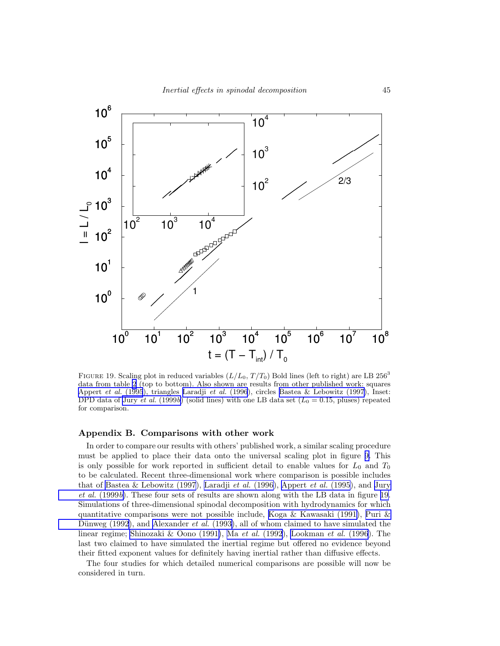<span id="page-44-0"></span>

FIGURE 19. Scaling plot in reduced variables  $(L/L_0, T/T_0)$  Bold lines (left to right) are LB 256<sup>3</sup> data from table [2](#page-15-0) (top to bottom). Also shown are results from other published work: squares [Appert](#page-46-0) et al. (1995), triangles [Laradji](#page-47-0) et al. (1996), circles [Bastea & Lebowitz \(1997](#page-46-0)), Inset: DPD data of Jury *et al.* [\(1999](#page-47-0)*b*) (solid lines) with one LB data set  $(L_0 = 0.15$ , pluses) repeated for comparison.

#### Appendix B. Comparisons with other work

In order to compare our results with others' published work, a similar scaling procedure must be applied to place their data onto the universal scaling plot in figure [9.](#page-25-0) This is only possible for work reported in sufficient detail to enable values for  $L_0$  and  $T_0$ to be calculated. Recent three-dimensional work where comparison is possible includes that of [Bastea & Lebowitz \(1997](#page-46-0)), [Laradji](#page-47-0) et al. (1996), [Appert](#page-46-0) et al. (1995), and [Jury](#page-47-0) et al. [\(1999](#page-47-0)b). These four sets of results are shown along with the LB data in figure [19.](#page-43-0) Simulations of three-dimensional spinodal decomposition with hydrodynamics for which quantitative comparisons were not possible include, Koga & [Kawasaki \(1991\)](#page-47-0), [Puri &](#page-47-0) Dünweg (1992), and [Alexander](#page-46-0) et al. (1993), all of whom claimed to have simulated the linear regime; [Shinozaki & Oono \(1991\)](#page-47-0), Ma et al. [\(1992](#page-47-0)), [Lookman](#page-47-0) et al. (1996). The last two claimed to have simulated the inertial regime but offered no evidence beyond their fitted exponent values for definitely having inertial rather than diffusive effects.

The four studies for which detailed numerical comparisons are possible will now be considered in turn.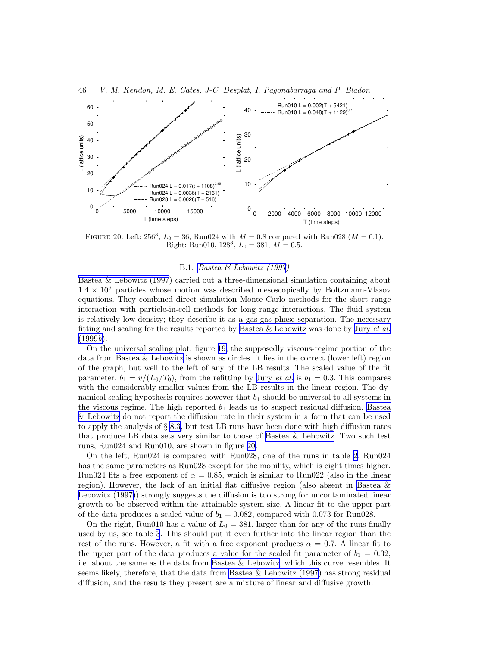

FIGURE 20. Left: 256<sup>3</sup>,  $L_0 = 36$ , Run024 with  $M = 0.8$  compared with Run028 ( $M = 0.1$ ). Right: Run010,  $128^3$ ,  $L_0 = 381$ ,  $M = 0.5$ .

#### B.1. [Bastea & Lebowitz \(1997](#page-46-0))

[Bastea & Lebowitz \(1997](#page-46-0)) carried out a three-dimensional simulation containing about  $1.4 \times 10^6$  particles whose motion was described mesoscopically by Boltzmann-Vlasov equations. They combined direct simulation Monte Carlo methods for the short range interaction with particle-in-cell methods for long range interactions. The fluid system is relatively low-density; they describe it as a gas-gas phase separation. The necessary fitting and scaling for the results reported by [Bastea & Lebowitz](#page-46-0) was done by Jury [et al.](#page-47-0)  $(1999b).$  $(1999b).$ 

On the universal scaling plot, figure [19,](#page-43-0) the supposedly viscous-regime portion of the data from [Bastea & Lebowitz](#page-46-0) is shown as circles. It lies in the correct (lower left) region of the graph, but well to the left of any of the LB results. The scaled value of the fit parameter,  $b_1 = v/(L_0/T_0)$ , from the refitting by Jury *[et al.](#page-47-0)* is  $b_1 = 0.3$ . This compares with the considerably smaller values from the LB results in the linear region. The dynamical scaling hypothesis requires however that  $b_1$  should be universal to all systems in the viscous regime. The high reported  $b_1$  leads us to suspect residual diffusion. [Bastea](#page-46-0) [& Lebowitz](#page-46-0) do not report the diffusion rate in their system in a form that can be used to apply the analysis of § [8.3](#page-17-0), but test LB runs have been done with high diffusion rates that produce LB data sets very similar to those of [Bastea & Lebowitz](#page-46-0). Two such test runs, Run024 and Run010, are shown in figure [20.](#page-44-0)

On the left, Run024 is compared with Run028, one of the runs in table [2](#page-15-0). Run024 has the same parameters as Run028 except for the mobility, which is eight times higher. Run024 fits a free exponent of  $\alpha = 0.85$ , which is similar to Run022 (also in the linear region). However, the lack of an initial flat diffusive region (also absent in [Bastea &](#page-46-0) [Lebowitz \(1997\)](#page-46-0)) strongly suggests the diffusion is too strong for uncontaminated linear growth to be observed within the attainable system size. A linear fit to the upper part of the data produces a scaled value of  $b_1 = 0.082$ , compared with 0.073 for Run028.

On the right, Run010 has a value of  $L_0 = 381$ , larger than for any of the runs finally used by us, see table [3](#page-15-0). This should put it even further into the linear region than the rest of the runs. However, a fit with a free exponent produces  $\alpha = 0.7$ . A linear fit to the upper part of the data produces a value for the scaled fit parameter of  $b_1 = 0.32$ , i.e. about the same as the data from [Bastea & Lebowitz](#page-46-0), which this curve resembles. It seems likely, therefore, that the data from [Bastea & Lebowitz \(1997](#page-46-0)) has strong residual diffusion, and the results they present are a mixture of linear and diffusive growth.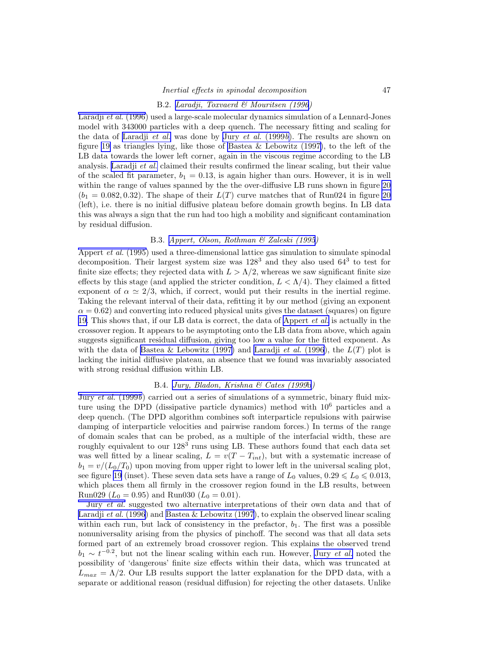#### B.2. [Laradji, Toxvaerd & Mouritsen \(1996](#page-47-0))

<span id="page-46-0"></span>[Laradji](#page-47-0) et al. (1996) used a large-scale molecular dynamics simulation of a Lennard-Jones model with 343000 particles with a deep quench. The necessary fitting and scaling for the data of [Laradji](#page-47-0) *et al.* was done by Jury *et al.* [\(1999](#page-47-0)b). The results are shown on figure [19](#page-43-0) as triangles lying, like those of Bastea & Lebowitz  $(1997)$ , to the left of the LB data towards the lower left corner, again in the viscous regime according to the LB analysis. [Laradji](#page-47-0) *et al.* claimed their results confirmed the linear scaling, but their value of the scaled fit parameter,  $b_1 = 0.13$ , is again higher than ours. However, it is in well within the range of values spanned by the the over-diffusive LB runs shown in figure [20](#page-44-0)  $(b_1 = 0.082, 0.32)$ . The shape of their  $L(T)$  curve matches that of Run024 in figure [20](#page-44-0) (left), i.e. there is no initial diffusive plateau before domain growth begins. In LB data this was always a sign that the run had too high a mobility and significant contamination by residual diffusion.

## B.3. Appert, Olson, Rothman & Zaleski (1995)

Appert *et al.* (1995) used a three-dimensional lattice gas simulation to simulate spinodal decomposition. Their largest system size was  $128<sup>3</sup>$  and they also used  $64<sup>3</sup>$  to test for finite size effects; they rejected data with  $L > \Lambda/2$ , whereas we saw significant finite size effects by this stage (and applied the stricter condition,  $L < \Lambda/4$ ). They claimed a fitted exponent of  $\alpha \simeq 2/3$ , which, if correct, would put their results in the inertial regime. Taking the relevant interval of their data, refitting it by our method (giving an exponent  $\alpha = 0.62$ ) and converting into reduced physical units gives the dataset (squares) on figure [19.](#page-43-0) This shows that, if our LB data is correct, the data of Appert *et al.* is actually in the crossover region. It appears to be asymptoting onto the LB data from above, which again suggests significant residual diffusion, giving too low a value for the fitted exponent. As with the data of Bastea & Lebowitz (1997) and [Laradji](#page-47-0) *et al.* (1996), the  $L(T)$  plot is lacking the initial diffusive plateau, an absence that we found was invariably associated with strong residual diffusion within LB.

## B.4. [Jury, Bladon, Krishna & Cates \(1999](#page-47-0)b)

Jury *et al.* [\(1999](#page-47-0)b) carried out a series of simulations of a symmetric, binary fluid mixture using the DPD (dissipative particle dynamics) method with  $10^6$  particles and a deep quench. (The DPD algorithm combines soft interparticle repulsions with pairwise damping of interparticle velocities and pairwise random forces.) In terms of the range of domain scales that can be probed, as a multiple of the interfacial width, these are roughly equivalent to our  $128^3$  runs using LB. These authors found that each data set was well fitted by a linear scaling,  $L = v(T - T_{int})$ , but with a systematic increase of  $b_1 = v/(L_0/T_0)$  upon moving from upper right to lower left in the universal scaling plot, see figure [19](#page-43-0) (inset). These seven data sets have a range of  $L_0$  values,  $0.29 \le L_0 \le 0.013$ , which places them all firmly in the crossover region found in the LB results, between Run029 ( $L_0 = 0.95$ ) and Run030 ( $L_0 = 0.01$ ).

Jury *[et al.](#page-47-0)* suggested two alternative interpretations of their own data and that of [Laradji](#page-47-0) et al. (1996) and Bastea & Lebowitz (1997), to explain the observed linear scaling within each run, but lack of consistency in the prefactor,  $b_1$ . The first was a possible nonuniversality arising from the physics of pinchoff. The second was that all data sets formed part of an extremely broad crossover region. This explains the observed trend  $b_1 \sim t^{-0.2}$ , but not the linear scaling within each run. However, Jury *[et al.](#page-47-0)* noted the possibility of 'dangerous' finite size effects within their data, which was truncated at  $L_{max} = \Lambda/2$ . Our LB results support the latter explanation for the DPD data, with a separate or additional reason (residual diffusion) for rejecting the other datasets. Unlike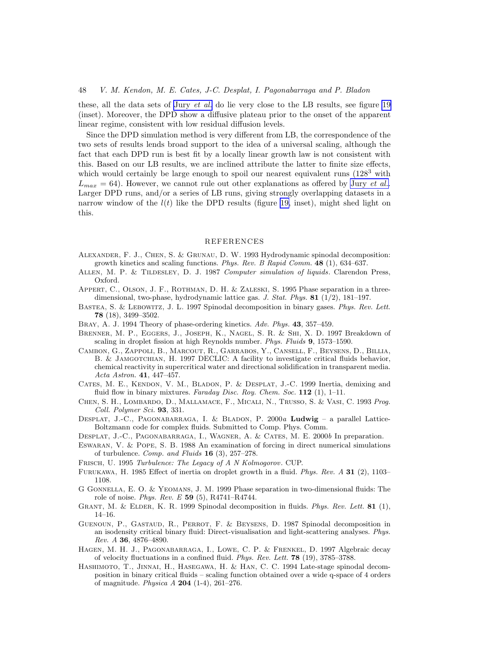<span id="page-47-0"></span>these, all the data sets of Jury et al. do lie very close to the LB results, see figure [19](#page-43-0) (inset). Moreover, the DPD show a diffusive plateau prior to the onset of the apparent linear regime, consistent with low residual diffusion levels.

Since the DPD simulation method is very different from LB, the correspondence of the two sets of results lends broad support to the idea of a universal scaling, although the fact that each DPD run is best fit by a locally linear growth law is not consistent with this. Based on our LB results, we are inclined attribute the latter to finite size effects, which would certainly be large enough to spoil our nearest equivalent runs  $(128<sup>3</sup>$  with  $L_{max} = 64$ ). However, we cannot rule out other explanations as offered by Jury *et al.*. Larger DPD runs, and/or a series of LB runs, giving strongly overlapping datasets in a narrow window of the  $l(t)$  like the DPD results (figure [19,](#page-43-0) inset), might shed light on this.

## REFERENCES

- Alexander, F. J., Chen, S. & Grunau, D. W. 1993 Hydrodynamic spinodal decomposition: growth kinetics and scaling functions. Phys. Rev. B Rapid Comm. 48 (1), 634–637.
- ALLEN, M. P. & TILDESLEY, D. J. 1987 Computer simulation of liquids. Clarendon Press, Oxford.
- APPERT, C., OLSON, J. F., ROTHMAN, D. H. & ZALESKI, S. 1995 Phase separation in a threedimensional, two-phase, hydrodynamic lattice gas. J. Stat. Phys. 81 (1/2), 181–197.
- BASTEA, S. & LEBOWITZ, J. L. 1997 Spinodal decomposition in binary gases. Phys. Rev. Lett. 78 (18), 3499–3502.
- BRAY, A. J. 1994 Theory of phase-ordering kinetics. Adv. Phys. 43, 357–459.
- Brenner, M. P., Eggers, J., Joseph, K., Nagel, S. R. & Shi, X. D. 1997 Breakdown of scaling in droplet fission at high Reynolds number. Phys. Fluids 9, 1573–1590.
- Cambon, G., Zappoli, B., Marcout, R., Garrabos, Y., Cansell, F., Beysens, D., Billia, B. & JAMGOTCHIAN, H. 1997 DECLIC: A facility to investigate critical fluids behavior, chemical reactivity in supercritical water and directional solidification in transparent media. Acta Astron. 41, 447–457.
- CATES, M. E., KENDON, V. M., BLADON, P. & DESPLAT, J.-C. 1999 Inertia, demixing and fluid flow in binary mixtures. Faraday Disc. Roy. Chem. Soc.  $112$  (1), 1–11.
- Chen, S. H., Lombardo, D., Mallamace, F., Micali, N., Trusso, S. & Vasi, C. 1993 Prog. Coll. Polymer Sci. 93, 331.
- DESPLAT, J.-C., PAGONABARRAGA, I. & BLADON, P. 2000a Ludwig a parallel Lattice-Boltzmann code for complex fluids. Submitted to Comp. Phys. Comm.
- Desplat, J.-C., Pagonabarraga, I., Wagner, A. & Cates, M. E. 2000b In preparation.
- Eswaran, V. & Pope, S. B. 1988 An examination of forcing in direct numerical simulations of turbulence. Comp. and Fluids  $16$  (3), 257–278.
- Frisch, U. 1995 Turbulence: The Legacy of A N Kolmogorov. CUP.
- Furukawa, H. 1985 Effect of inertia on droplet growth in a fluid. Phys. Rev. A 31 (2), 1103– 1108.
- G Gonnella, E. O. & Yeomans, J. M. 1999 Phase separation in two-dimensional fluids: The role of noise. Phys. Rev. E 59 (5), R4741-R4744.
- GRANT, M. & ELDER, K. R. 1999 Spinodal decomposition in fluids. Phys. Rev. Lett. 81  $(1)$ , 14–16.
- Guenoun, P., Gastaud, R., Perrot, F. & Beysens, D. 1987 Spinodal decomposition in an isodensity critical binary fluid: Direct-visualisation and light-scattering analyses. Phys. Rev. A 36, 4876–4890.
- Hagen, M. H. J., Pagonabarraga, I., Lowe, C. P. & Frenkel, D. 1997 Algebraic decay of velocity fluctuations in a confined fluid. Phys. Rev. Lett. 78 (19), 3785–3788.
- Hashimoto, T., Jinnai, H., Hasegawa, H. & Han, C. C. 1994 Late-stage spinodal decomposition in binary critical fluids – scaling function obtained over a wide q-space of 4 orders of magnitude. *Physica A* 204 (1-4), 261-276.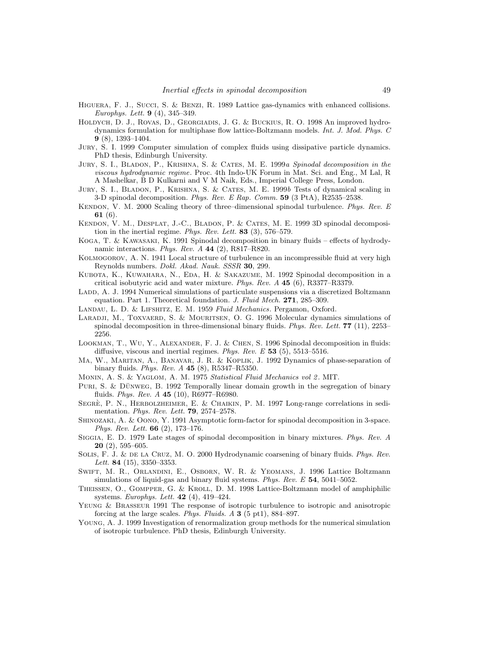- Higuera, F. J., Succi, S. & Benzi, R. 1989 Lattice gas-dynamics with enhanced collisions. Europhys. Lett. 9 (4), 345–349.
- Holdych, D. J., Rovas, D., Georgiadis, J. G. & Buckius, R. O. 1998 An improved hydrodynamics formulation for multiphase flow lattice-Boltzmann models. Int. J. Mod. Phys. C 9 (8), 1393–1404.
- Jury, S. I. 1999 Computer simulation of complex fluids using dissipative particle dynamics. PhD thesis, Edinburgh University.
- JURY, S. I., BLADON, P., KRISHNA, S. & CATES, M. E. 1999a Spinodal decomposition in the viscous hydrodynamic regime. Proc. 4th Indo-UK Forum in Mat. Sci. and Eng., M Lal, R A Mashelkar, B D Kulkarni and V M Naik, Eds., Imperial College Press, London.
- JURY, S. I., BLADON, P., KRISHNA, S. & CATES, M. E. 1999b Tests of dynamical scaling in 3-D spinodal decomposition. Phys. Rev. E Rap. Comm. 59 (3 PtA), R2535–2538.
- KENDON, V. M. 2000 Scaling theory of three–dimensional spinodal turbulence. Phys. Rev. E 61 (6).
- Kendon, V. M., Desplat, J.-C., Bladon, P. & Cates, M. E. 1999 3D spinodal decomposition in the inertial regime. Phys. Rev. Lett.  $83$  (3), 576–579.
- Koga, T. & Kawasaki, K. 1991 Spinodal decomposition in binary fluids effects of hydrodynamic interactions. Phys. Rev.  $A$  44 (2), R817–R820.
- Kolmogorov, A. N. 1941 Local structure of turbulence in an incompressible fluid at very high Reynolds numbers. Dokl. Akad. Nauk. SSSR 30, 299.
- Kubota, K., Kuwahara, N., Eda, H. & Sakazume, M. 1992 Spinodal decomposition in a critical isobutyric acid and water mixture. Phys. Rev.  $A$  45 (6), R3377–R3379.
- LADD, A. J. 1994 Numerical simulations of particulate suspensions via a discretized Boltzmann equation. Part 1. Theoretical foundation. J. Fluid Mech. 271, 285–309.
- LANDAU, L. D. & LIFSHITZ, E. M. 1959 Fluid Mechanics. Pergamon, Oxford.
- LARADJI, M., TOXVAERD, S. & MOURITSEN, O. G. 1996 Molecular dynamics simulations of spinodal decomposition in three-dimensional binary fluids. Phys. Rev. Lett.  $77$  (11), 2253– 2256.
- LOOKMAN, T., WU, Y., ALEXANDER, F. J. & CHEN, S. 1996 Spinodal decomposition in fluids: diffusive, viscous and inertial regimes. Phys. Rev.  $E$  53 (5), 5513-5516.
- Ma, W., Maritan, A., Banavar, J. R. & Koplik, J. 1992 Dynamics of phase-separation of binary fluids. Phys. Rev. A 45 (8), R5347–R5350.
- Monin, A. S. & Yaglom, A. M. 1975 Statistical Fluid Mechanics vol 2. MIT.
- PURI, S. & DÜNWEG, B. 1992 Temporally linear domain growth in the segregation of binary fluids. Phys. Rev. A 45 (10), R6977–R6980.
- SEGRÈ, P. N., HERBOLZHEIMER, E. & CHAIKIN, P. M. 1997 Long-range correlations in sedimentation. Phys. Rev. Lett. 79, 2574–2578.
- Shinozaki, A. & Oono, Y. 1991 Asymptotic form-factor for spinodal decomposition in 3-space. Phys. Rev. Lett. 66 (2), 173–176.
- Siggia, E. D. 1979 Late stages of spinodal decomposition in binary mixtures. Phys. Rev. A 20 (2), 595–605.
- SOLIS, F. J. & DE LA CRUZ, M. O. 2000 Hydrodynamic coarsening of binary fluids. Phys. Rev. *Lett.* **84** (15), 3350–3353.
- Swift, M. R., Orlandini, E., Osborn, W. R. & Yeomans, J. 1996 Lattice Boltzmann simulations of liquid-gas and binary fluid systems. Phys. Rev. E 54, 5041-5052.
- Theissen, O., Gompper, G. & Kroll, D. M. 1998 Lattice-Boltzmann model of amphiphilic systems. Europhys. Lett. 42 (4), 419–424.
- Yeung & Brasseur 1991 The response of isotropic turbulence to isotropic and anisotropic forcing at the large scales. Phys. Fluids. A 3 (5 pt1), 884–897.
- Young, A. J. 1999 Investigation of renormalization group methods for the numerical simulation of isotropic turbulence. PhD thesis, Edinburgh University.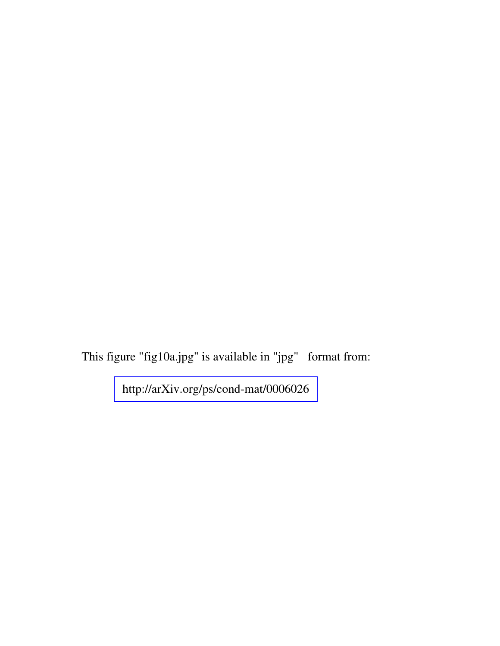This figure "fig10a.jpg" is available in "jpg" format from: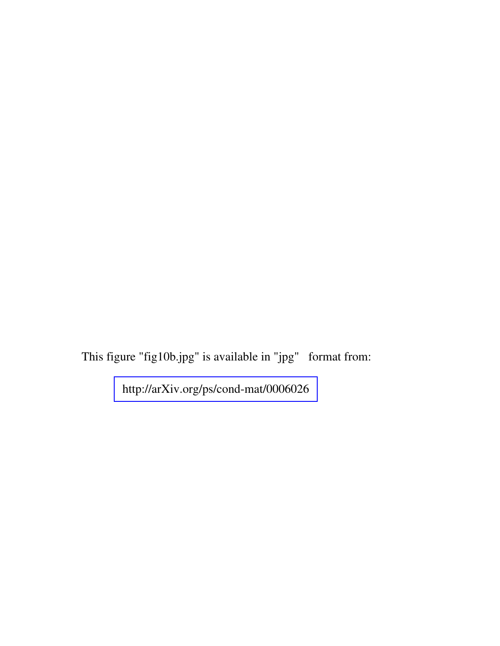This figure "fig10b.jpg" is available in "jpg" format from: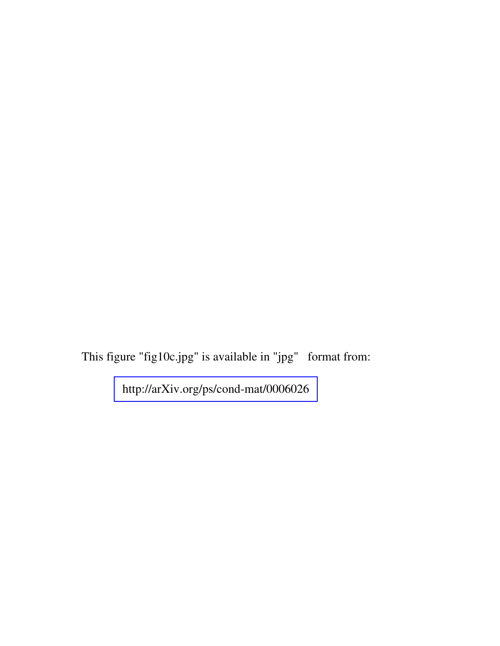This figure "fig10c.jpg" is available in "jpg" format from: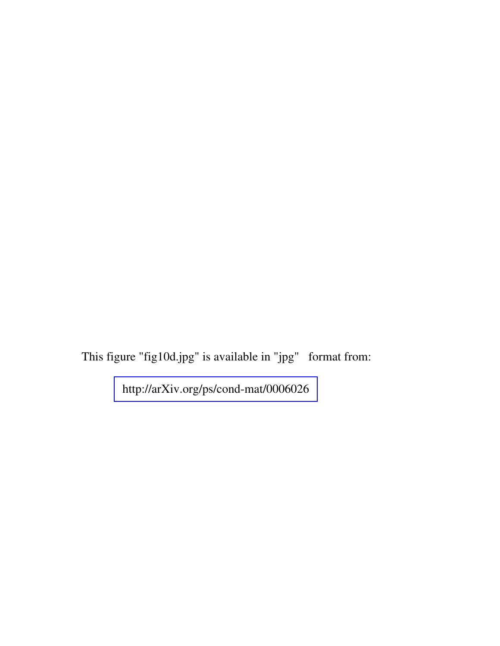This figure "fig10d.jpg" is available in "jpg" format from: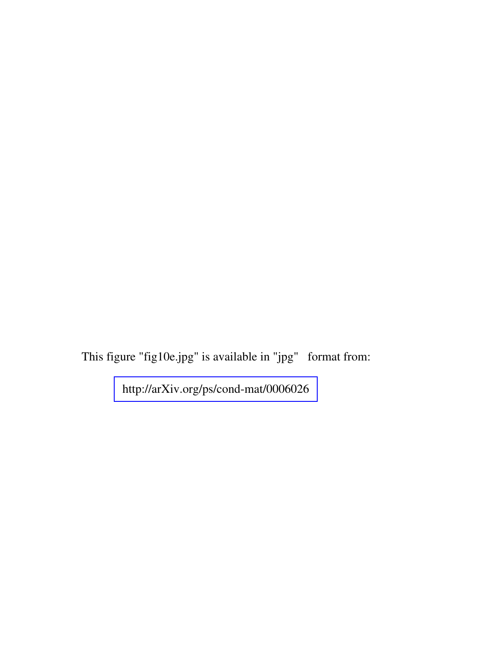This figure "fig10e.jpg" is available in "jpg" format from: